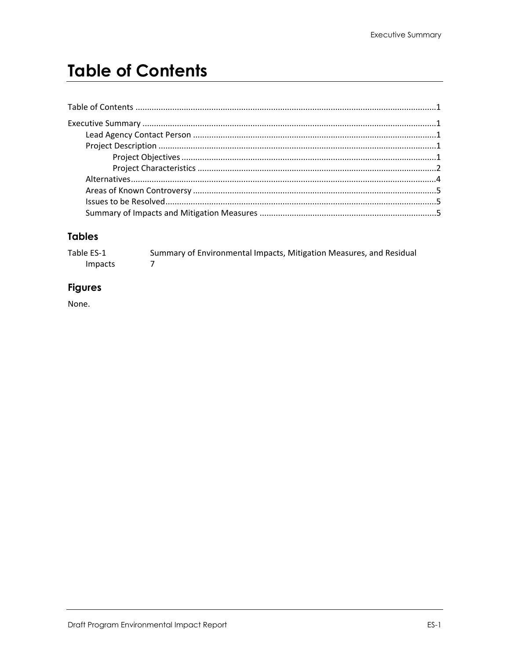# <span id="page-0-0"></span>**Table of Contents**

### **Tables**

| Table ES-1     | Summary of Environmental Impacts, Mitigation Measures, and Residual |  |
|----------------|---------------------------------------------------------------------|--|
| <i>Impacts</i> |                                                                     |  |

### **Figures**

None.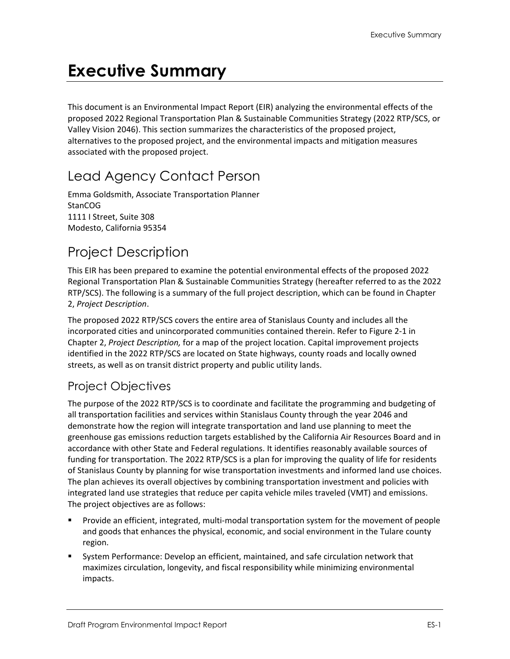# <span id="page-2-0"></span>**Executive Summary**

This document is an Environmental Impact Report (EIR) analyzing the environmental effects of the proposed 2022 Regional Transportation Plan & Sustainable Communities Strategy (2022 RTP/SCS, or Valley Vision 2046). This section summarizes the characteristics of the proposed project, alternatives to the proposed project, and the environmental impacts and mitigation measures associated with the proposed project.

## <span id="page-2-1"></span>Lead Agency Contact Person

Emma Goldsmith, Associate Transportation Planner StanCOG 1111 I Street, Suite 308 Modesto, California 95354

## <span id="page-2-2"></span>Project Description

This EIR has been prepared to examine the potential environmental effects of the proposed 2022 Regional Transportation Plan & Sustainable Communities Strategy (hereafter referred to as the 2022 RTP/SCS). The following is a summary of the full project description, which can be found in Chapter 2, *Project Description*.

The proposed 2022 RTP/SCS covers the entire area of Stanislaus County and includes all the incorporated cities and unincorporated communities contained therein. Refer to Figure 2-1 in Chapter 2, *Project Description,* for a map of the project location. Capital improvement projects identified in the 2022 RTP/SCS are located on State highways, county roads and locally owned streets, as well as on transit district property and public utility lands.

### <span id="page-2-3"></span>Project Objectives

The purpose of the 2022 RTP/SCS is to coordinate and facilitate the programming and budgeting of all transportation facilities and services within Stanislaus County through the year 2046 and demonstrate how the region will integrate transportation and land use planning to meet the greenhouse gas emissions reduction targets established by the California Air Resources Board and in accordance with other State and Federal regulations. It identifies reasonably available sources of funding for transportation. The 2022 RTP/SCS is a plan for improving the quality of life for residents of Stanislaus County by planning for wise transportation investments and informed land use choices. The plan achieves its overall objectives by combining transportation investment and policies with integrated land use strategies that reduce per capita vehicle miles traveled (VMT) and emissions. The project objectives are as follows:

- Provide an efficient, integrated, multi-modal transportation system for the movement of people and goods that enhances the physical, economic, and social environment in the Tulare county region.
- System Performance: Develop an efficient, maintained, and safe circulation network that maximizes circulation, longevity, and fiscal responsibility while minimizing environmental impacts.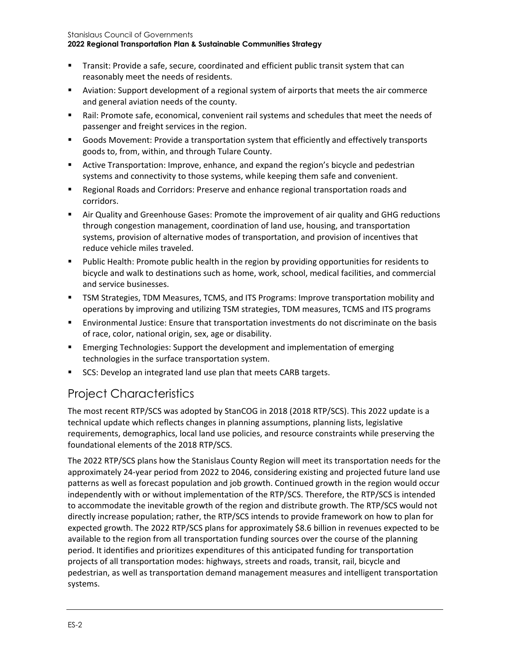- Transit: Provide a safe, secure, coordinated and efficient public transit system that can reasonably meet the needs of residents.
- Aviation: Support development of a regional system of airports that meets the air commerce and general aviation needs of the county.
- Rail: Promote safe, economical, convenient rail systems and schedules that meet the needs of passenger and freight services in the region.
- Goods Movement: Provide a transportation system that efficiently and effectively transports goods to, from, within, and through Tulare County.
- Active Transportation: Improve, enhance, and expand the region's bicycle and pedestrian systems and connectivity to those systems, while keeping them safe and convenient.
- **EXECT** Regional Roads and Corridors: Preserve and enhance regional transportation roads and corridors.
- Air Quality and Greenhouse Gases: Promote the improvement of air quality and GHG reductions through congestion management, coordination of land use, housing, and transportation systems, provision of alternative modes of transportation, and provision of incentives that reduce vehicle miles traveled.
- Public Health: Promote public health in the region by providing opportunities for residents to bicycle and walk to destinations such as home, work, school, medical facilities, and commercial and service businesses.
- TSM Strategies, TDM Measures, TCMS, and ITS Programs: Improve transportation mobility and operations by improving and utilizing TSM strategies, TDM measures, TCMS and ITS programs
- Environmental Justice: Ensure that transportation investments do not discriminate on the basis of race, color, national origin, sex, age or disability.
- **Emerging Technologies: Support the development and implementation of emerging** technologies in the surface transportation system.
- SCS: Develop an integrated land use plan that meets CARB targets.

### <span id="page-3-0"></span>Project Characteristics

The most recent RTP/SCS was adopted by StanCOG in 2018 (2018 RTP/SCS). This 2022 update is a technical update which reflects changes in planning assumptions, planning lists, legislative requirements, demographics, local land use policies, and resource constraints while preserving the foundational elements of the 2018 RTP/SCS.

The 2022 RTP/SCS plans how the Stanislaus County Region will meet its transportation needs for the approximately 24-year period from 2022 to 2046, considering existing and projected future land use patterns as well as forecast population and job growth. Continued growth in the region would occur independently with or without implementation of the RTP/SCS. Therefore, the RTP/SCS is intended to accommodate the inevitable growth of the region and distribute growth. The RTP/SCS would not directly increase population; rather, the RTP/SCS intends to provide framework on how to plan for expected growth. The 2022 RTP/SCS plans for approximately \$8.6 billion in revenues expected to be available to the region from all transportation funding sources over the course of the planning period. It identifies and prioritizes expenditures of this anticipated funding for transportation projects of all transportation modes: highways, streets and roads, transit, rail, bicycle and pedestrian, as well as transportation demand management measures and intelligent transportation systems.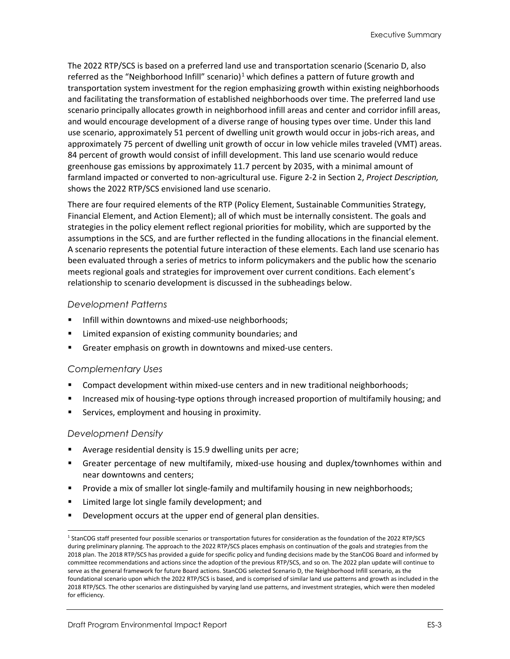The 2022 RTP/SCS is based on a preferred land use and transportation scenario (Scenario D, also referred as the "Neighborhood Infill" scenario)<sup>[1](#page-4-0)</sup> which defines a pattern of future growth and transportation system investment for the region emphasizing growth within existing neighborhoods and facilitating the transformation of established neighborhoods over time. The preferred land use scenario principally allocates growth in neighborhood infill areas and center and corridor infill areas, and would encourage development of a diverse range of housing types over time. Under this land use scenario, approximately 51 percent of dwelling unit growth would occur in jobs-rich areas, and approximately 75 percent of dwelling unit growth of occur in low vehicle miles traveled (VMT) areas. 84 percent of growth would consist of infill development. This land use scenario would reduce greenhouse gas emissions by approximately 11.7 percent by 2035, with a minimal amount of farmland impacted or converted to non-agricultural use. Figure 2-2 in Section 2, *Project Description,* shows the 2022 RTP/SCS envisioned land use scenario.

There are four required elements of the RTP (Policy Element, Sustainable Communities Strategy, Financial Element, and Action Element); all of which must be internally consistent. The goals and strategies in the policy element reflect regional priorities for mobility, which are supported by the assumptions in the SCS, and are further reflected in the funding allocations in the financial element. A scenario represents the potential future interaction of these elements. Each land use scenario has been evaluated through a series of metrics to inform policymakers and the public how the scenario meets regional goals and strategies for improvement over current conditions. Each element's relationship to scenario development is discussed in the subheadings below.

#### *Development Patterns*

- Infill within downtowns and mixed-use neighborhoods;
- Limited expansion of existing community boundaries; and
- Greater emphasis on growth in downtowns and mixed-use centers.

#### *Complementary Uses*

- Compact development within mixed-use centers and in new traditional neighborhoods;
- Increased mix of housing-type options through increased proportion of multifamily housing; and
- Services, employment and housing in proximity.

#### *Development Density*

- Average residential density is 15.9 dwelling units per acre;
- Greater percentage of new multifamily, mixed-use housing and duplex/townhomes within and near downtowns and centers;
- Provide a mix of smaller lot single-family and multifamily housing in new neighborhoods;
- **EXTE:** Limited large lot single family development; and
- Development occurs at the upper end of general plan densities.

<span id="page-4-0"></span><sup>1</sup> StanCOG staff presented four possible scenarios or transportation futures for consideration as the foundation of the 2022 RTP/SCS during preliminary planning. The approach to the 2022 RTP/SCS places emphasis on continuation of the goals and strategies from the 2018 plan. The 2018 RTP/SCS has provided a guide for specific policy and funding decisions made by the StanCOG Board and informed by committee recommendations and actions since the adoption of the previous RTP/SCS, and so on. The 2022 plan update will continue to serve as the general framework for future Board actions. StanCOG selected Scenario D, the Neighborhood Infill scenario, as the foundational scenario upon which the 2022 RTP/SCS is based, and is comprised of similar land use patterns and growth as included in the 2018 RTP/SCS. The other scenarios are distinguished by varying land use patterns, and investment strategies, which were then modeled for efficiency.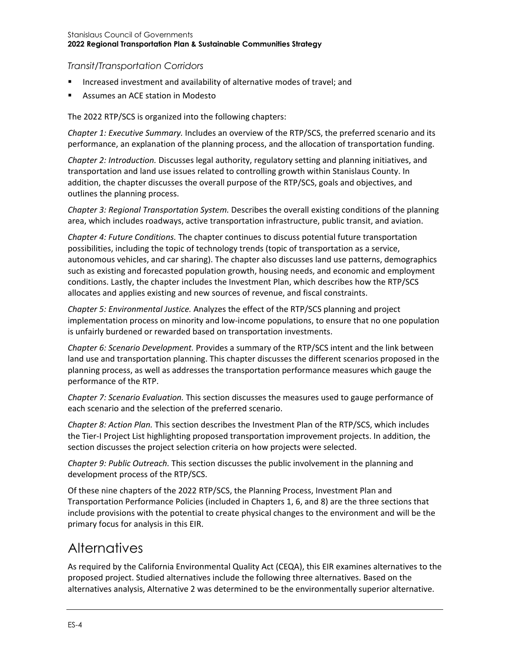#### *Transit/Transportation Corridors*

- Increased investment and availability of alternative modes of travel; and
- **Assumes an ACE station in Modesto**

The 2022 RTP/SCS is organized into the following chapters:

*Chapter 1: Executive Summary.* Includes an overview of the RTP/SCS, the preferred scenario and its performance, an explanation of the planning process, and the allocation of transportation funding.

*Chapter 2: Introduction.* Discusses legal authority, regulatory setting and planning initiatives, and transportation and land use issues related to controlling growth within Stanislaus County. In addition, the chapter discusses the overall purpose of the RTP/SCS, goals and objectives, and outlines the planning process.

*Chapter 3: Regional Transportation System.* Describes the overall existing conditions of the planning area, which includes roadways, active transportation infrastructure, public transit, and aviation.

*Chapter 4: Future Conditions.* The chapter continues to discuss potential future transportation possibilities, including the topic of technology trends (topic of transportation as a service, autonomous vehicles, and car sharing). The chapter also discusses land use patterns, demographics such as existing and forecasted population growth, housing needs, and economic and employment conditions. Lastly, the chapter includes the Investment Plan, which describes how the RTP/SCS allocates and applies existing and new sources of revenue, and fiscal constraints.

*Chapter 5: Environmental Justice.* Analyzes the effect of the RTP/SCS planning and project implementation process on minority and low-income populations, to ensure that no one population is unfairly burdened or rewarded based on transportation investments.

*Chapter 6: Scenario Development.* Provides a summary of the RTP/SCS intent and the link between land use and transportation planning. This chapter discusses the different scenarios proposed in the planning process, as well as addresses the transportation performance measures which gauge the performance of the RTP.

*Chapter 7: Scenario Evaluation.* This section discusses the measures used to gauge performance of each scenario and the selection of the preferred scenario.

*Chapter 8: Action Plan.* This section describes the Investment Plan of the RTP/SCS, which includes the Tier-I Project List highlighting proposed transportation improvement projects. In addition, the section discusses the project selection criteria on how projects were selected.

*Chapter 9: Public Outreach.* This section discusses the public involvement in the planning and development process of the RTP/SCS.

Of these nine chapters of the 2022 RTP/SCS, the Planning Process, Investment Plan and Transportation Performance Policies (included in Chapters 1, 6, and 8) are the three sections that include provisions with the potential to create physical changes to the environment and will be the primary focus for analysis in this EIR.

### <span id="page-5-0"></span>**Alternatives**

As required by the California Environmental Quality Act (CEQA), this EIR examines alternatives to the proposed project. Studied alternatives include the following three alternatives. Based on the alternatives analysis, Alternative 2 was determined to be the environmentally superior alternative.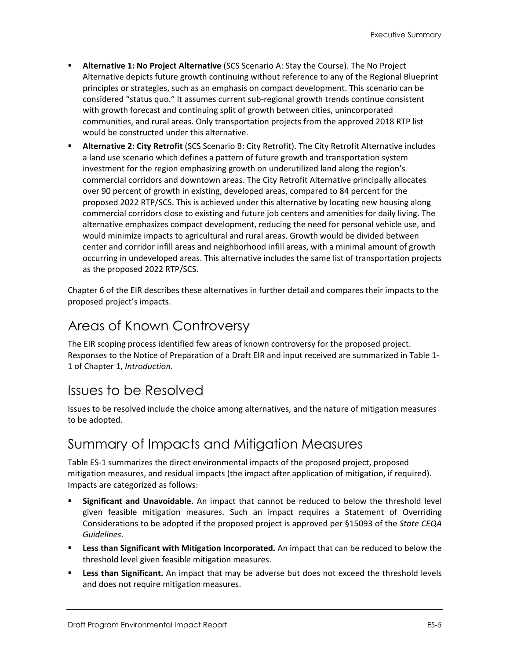- **Alternative 1: No Project Alternative** (SCS Scenario A: Stay the Course). The No Project Alternative depicts future growth continuing without reference to any of the Regional Blueprint principles or strategies, such as an emphasis on compact development. This scenario can be considered "status quo." It assumes current sub-regional growth trends continue consistent with growth forecast and continuing split of growth between cities, unincorporated communities, and rural areas. Only transportation projects from the approved 2018 RTP list would be constructed under this alternative.
- **Alternative 2: City Retrofit** (SCS Scenario B: City Retrofit). The City Retrofit Alternative includes a land use scenario which defines a pattern of future growth and transportation system investment for the region emphasizing growth on underutilized land along the region's commercial corridors and downtown areas. The City Retrofit Alternative principally allocates over 90 percent of growth in existing, developed areas, compared to 84 percent for the proposed 2022 RTP/SCS. This is achieved under this alternative by locating new housing along commercial corridors close to existing and future job centers and amenities for daily living. The alternative emphasizes compact development, reducing the need for personal vehicle use, and would minimize impacts to agricultural and rural areas. Growth would be divided between center and corridor infill areas and neighborhood infill areas, with a minimal amount of growth occurring in undeveloped areas. This alternative includes the same list of transportation projects as the proposed 2022 RTP/SCS.

Chapter 6 of the EIR describes these alternatives in further detail and compares their impacts to the proposed project's impacts.

### <span id="page-6-0"></span>Areas of Known Controversy

The EIR scoping process identified few areas of known controversy for the proposed project. Responses to the Notice of Preparation of a Draft EIR and input received are summarized in Table 1- 1 of Chapter 1, *Introduction*.

### <span id="page-6-1"></span>Issues to be Resolved

Issues to be resolved include the choice among alternatives, and the nature of mitigation measures to be adopted.

### <span id="page-6-2"></span>Summary of Impacts and Mitigation Measures

[Table ES-1](#page-8-0) summarizes the direct environmental impacts of the proposed project, proposed mitigation measures, and residual impacts (the impact after application of mitigation, if required). Impacts are categorized as follows:

- **Significant and Unavoidable.** An impact that cannot be reduced to below the threshold level given feasible mitigation measures. Such an impact requires a Statement of Overriding Considerations to be adopted if the proposed project is approved per §15093 of the *State CEQA Guidelines*.
- **Less than Significant with Mitigation Incorporated.** An impact that can be reduced to below the threshold level given feasible mitigation measures.
- **Less than Significant.** An impact that may be adverse but does not exceed the threshold levels and does not require mitigation measures.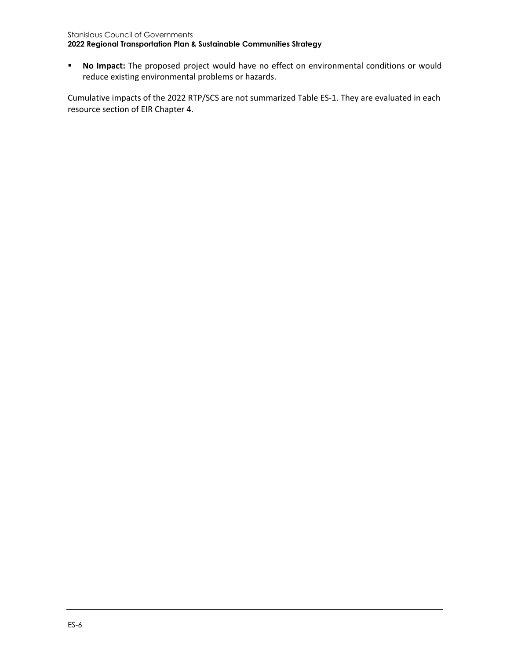**No Impact:** The proposed project would have no effect on environmental conditions or would reduce existing environmental problems or hazards.

Cumulative impacts of the 2022 RTP/SCS are not summarized Table ES-1. They are evaluated in each resource section of EIR Chapter 4.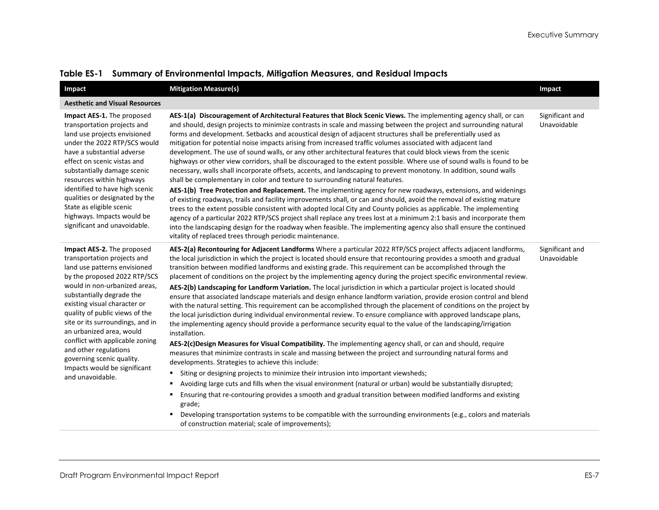<span id="page-8-0"></span>

| Impact                                                                                                                                                                                                                                                                                                                                                                                                                                                                 | <b>Mitigation Measure(s)</b>                                                                                                                                                                                                                                                                                                                                                                                                                                                                                                                                                                                                                                                                                                                                                                                                                                                                                                                                                                                                                                                                                                                                                                                                                                                                                                                                                                                                                                                                                                                                                                                                                                                                                                                                                                                                                                                                                         | Impact                         |
|------------------------------------------------------------------------------------------------------------------------------------------------------------------------------------------------------------------------------------------------------------------------------------------------------------------------------------------------------------------------------------------------------------------------------------------------------------------------|----------------------------------------------------------------------------------------------------------------------------------------------------------------------------------------------------------------------------------------------------------------------------------------------------------------------------------------------------------------------------------------------------------------------------------------------------------------------------------------------------------------------------------------------------------------------------------------------------------------------------------------------------------------------------------------------------------------------------------------------------------------------------------------------------------------------------------------------------------------------------------------------------------------------------------------------------------------------------------------------------------------------------------------------------------------------------------------------------------------------------------------------------------------------------------------------------------------------------------------------------------------------------------------------------------------------------------------------------------------------------------------------------------------------------------------------------------------------------------------------------------------------------------------------------------------------------------------------------------------------------------------------------------------------------------------------------------------------------------------------------------------------------------------------------------------------------------------------------------------------------------------------------------------------|--------------------------------|
| <b>Aesthetic and Visual Resources</b>                                                                                                                                                                                                                                                                                                                                                                                                                                  |                                                                                                                                                                                                                                                                                                                                                                                                                                                                                                                                                                                                                                                                                                                                                                                                                                                                                                                                                                                                                                                                                                                                                                                                                                                                                                                                                                                                                                                                                                                                                                                                                                                                                                                                                                                                                                                                                                                      |                                |
| Impact AES-1. The proposed<br>transportation projects and<br>land use projects envisioned<br>under the 2022 RTP/SCS would<br>have a substantial adverse<br>effect on scenic vistas and<br>substantially damage scenic<br>resources within highways<br>identified to have high scenic<br>qualities or designated by the<br>State as eligible scenic<br>highways. Impacts would be<br>significant and unavoidable.                                                       | AES-1(a) Discouragement of Architectural Features that Block Scenic Views. The implementing agency shall, or can<br>and should, design projects to minimize contrasts in scale and massing between the project and surrounding natural<br>forms and development. Setbacks and acoustical design of adjacent structures shall be preferentially used as<br>mitigation for potential noise impacts arising from increased traffic volumes associated with adjacent land<br>development. The use of sound walls, or any other architectural features that could block views from the scenic<br>highways or other view corridors, shall be discouraged to the extent possible. Where use of sound walls is found to be<br>necessary, walls shall incorporate offsets, accents, and landscaping to prevent monotony. In addition, sound walls<br>shall be complementary in color and texture to surrounding natural features.<br>AES-1(b) Tree Protection and Replacement. The implementing agency for new roadways, extensions, and widenings<br>of existing roadways, trails and facility improvements shall, or can and should, avoid the removal of existing mature<br>trees to the extent possible consistent with adopted local City and County policies as applicable. The implementing<br>agency of a particular 2022 RTP/SCS project shall replace any trees lost at a minimum 2:1 basis and incorporate them<br>into the landscaping design for the roadway when feasible. The implementing agency also shall ensure the continued<br>vitality of replaced trees through periodic maintenance.                                                                                                                                                                                                                                                                                                                  | Significant and<br>Unavoidable |
| Impact AES-2. The proposed<br>transportation projects and<br>land use patterns envisioned<br>by the proposed 2022 RTP/SCS<br>would in non-urbanized areas.<br>substantially degrade the<br>existing visual character or<br>quality of public views of the<br>site or its surroundings, and in<br>an urbanized area, would<br>conflict with applicable zoning<br>and other regulations<br>governing scenic quality.<br>Impacts would be significant<br>and unavoidable. | AES-2(a) Recontouring for Adjacent Landforms Where a particular 2022 RTP/SCS project affects adjacent landforms,<br>the local jurisdiction in which the project is located should ensure that recontouring provides a smooth and gradual<br>transition between modified landforms and existing grade. This requirement can be accomplished through the<br>placement of conditions on the project by the implementing agency during the project specific environmental review.<br>AES-2(b) Landscaping for Landform Variation. The local jurisdiction in which a particular project is located should<br>ensure that associated landscape materials and design enhance landform variation, provide erosion control and blend<br>with the natural setting. This requirement can be accomplished through the placement of conditions on the project by<br>the local jurisdiction during individual environmental review. To ensure compliance with approved landscape plans,<br>the implementing agency should provide a performance security equal to the value of the landscaping/irrigation<br>installation.<br>AES-2(c)Design Measures for Visual Compatibility. The implementing agency shall, or can and should, require<br>measures that minimize contrasts in scale and massing between the project and surrounding natural forms and<br>developments. Strategies to achieve this include:<br>Siting or designing projects to minimize their intrusion into important viewsheds;<br>٠<br>Avoiding large cuts and fills when the visual environment (natural or urban) would be substantially disrupted;<br>٠<br>Ensuring that re-contouring provides a smooth and gradual transition between modified landforms and existing<br>grade;<br>Developing transportation systems to be compatible with the surrounding environments (e.g., colors and materials<br>of construction material; scale of improvements); | Significant and<br>Unavoidable |

#### **Table ES-1 Summary of Environmental Impacts, Mitigation Measures, and Residual Impacts**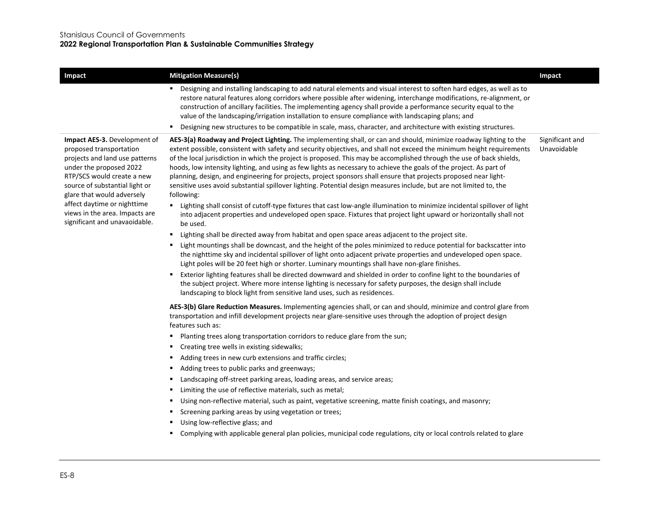| <b>Impact</b>                                                                                                                                                                                                                                                                                                        | <b>Mitigation Measure(s)</b>                                                                                                                                                                                                                                                                                                                                                                                                                                                                                                                                                                                                                                                                                                                                                                                                                                                                                                                                                                                                                                                                                                                                                                                                                                                                                                                                                                                                                                                                                                                                                                                                                                                                                                                                                                                                                                                                                                                                                                                                                                                | Impact                         |
|----------------------------------------------------------------------------------------------------------------------------------------------------------------------------------------------------------------------------------------------------------------------------------------------------------------------|-----------------------------------------------------------------------------------------------------------------------------------------------------------------------------------------------------------------------------------------------------------------------------------------------------------------------------------------------------------------------------------------------------------------------------------------------------------------------------------------------------------------------------------------------------------------------------------------------------------------------------------------------------------------------------------------------------------------------------------------------------------------------------------------------------------------------------------------------------------------------------------------------------------------------------------------------------------------------------------------------------------------------------------------------------------------------------------------------------------------------------------------------------------------------------------------------------------------------------------------------------------------------------------------------------------------------------------------------------------------------------------------------------------------------------------------------------------------------------------------------------------------------------------------------------------------------------------------------------------------------------------------------------------------------------------------------------------------------------------------------------------------------------------------------------------------------------------------------------------------------------------------------------------------------------------------------------------------------------------------------------------------------------------------------------------------------------|--------------------------------|
|                                                                                                                                                                                                                                                                                                                      | Designing and installing landscaping to add natural elements and visual interest to soften hard edges, as well as to<br>٠<br>restore natural features along corridors where possible after widening, interchange modifications, re-alignment, or<br>construction of ancillary facilities. The implementing agency shall provide a performance security equal to the<br>value of the landscaping/irrigation installation to ensure compliance with landscaping plans; and<br>Designing new structures to be compatible in scale, mass, character, and architecture with existing structures.<br>٠                                                                                                                                                                                                                                                                                                                                                                                                                                                                                                                                                                                                                                                                                                                                                                                                                                                                                                                                                                                                                                                                                                                                                                                                                                                                                                                                                                                                                                                                            |                                |
| Impact AES-3. Development of<br>proposed transportation<br>projects and land use patterns<br>under the proposed 2022<br>RTP/SCS would create a new<br>source of substantial light or<br>glare that would adversely<br>affect daytime or nighttime<br>views in the area. Impacts are<br>significant and unavaoidable. | AES-3(a) Roadway and Project Lighting. The implementing shall, or can and should, minimize roadway lighting to the<br>extent possible, consistent with safety and security objectives, and shall not exceed the minimum height requirements<br>of the local jurisdiction in which the project is proposed. This may be accomplished through the use of back shields,<br>hoods, low intensity lighting, and using as few lights as necessary to achieve the goals of the project. As part of<br>planning, design, and engineering for projects, project sponsors shall ensure that projects proposed near light-<br>sensitive uses avoid substantial spillover lighting. Potential design measures include, but are not limited to, the<br>following:<br>$\blacksquare$<br>Lighting shall consist of cutoff-type fixtures that cast low-angle illumination to minimize incidental spillover of light<br>into adjacent properties and undeveloped open space. Fixtures that project light upward or horizontally shall not<br>be used.<br>Lighting shall be directed away from habitat and open space areas adjacent to the project site.<br>٠<br>Light mountings shall be downcast, and the height of the poles minimized to reduce potential for backscatter into<br>л.<br>the nighttime sky and incidental spillover of light onto adjacent private properties and undeveloped open space.<br>Light poles will be 20 feet high or shorter. Luminary mountings shall have non-glare finishes.<br>Exterior lighting features shall be directed downward and shielded in order to confine light to the boundaries of<br>the subject project. Where more intense lighting is necessary for safety purposes, the design shall include<br>landscaping to block light from sensitive land uses, such as residences.<br>AES-3(b) Glare Reduction Measures. Implementing agencies shall, or can and should, minimize and control glare from<br>transportation and infill development projects near glare-sensitive uses through the adoption of project design<br>features such as: | Significant and<br>Unavoidable |
|                                                                                                                                                                                                                                                                                                                      | Planting trees along transportation corridors to reduce glare from the sun;<br>٠<br>Creating tree wells in existing sidewalks;<br>٠<br>Adding trees in new curb extensions and traffic circles;<br>٠<br>Adding trees to public parks and greenways;<br>٠<br>Landscaping off-street parking areas, loading areas, and service areas;<br>٠<br>Limiting the use of reflective materials, such as metal;<br>٠<br>Using non-reflective material, such as paint, vegetative screening, matte finish coatings, and masonry;<br>٠<br>Screening parking areas by using vegetation or trees;<br>٠<br>Using low-reflective glass; and<br>٠<br>Complying with applicable general plan policies, municipal code regulations, city or local controls related to glare<br>٠                                                                                                                                                                                                                                                                                                                                                                                                                                                                                                                                                                                                                                                                                                                                                                                                                                                                                                                                                                                                                                                                                                                                                                                                                                                                                                                |                                |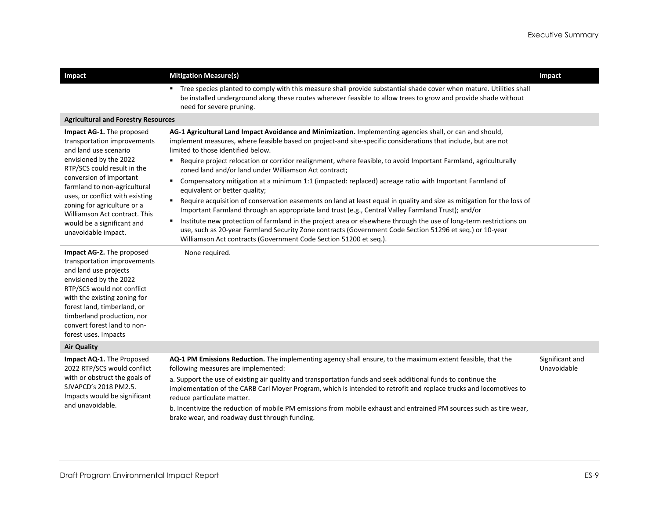| Impact                                                                                                                                                                                                                                                                                                                                                        | <b>Mitigation Measure(s)</b>                                                                                                                                                                                                                                                                                                                                                                                                                                                                                                                                                                                                                                                                                                                                                                                                                                                                                                                                                                                                                                                                                                                                | Impact                         |
|---------------------------------------------------------------------------------------------------------------------------------------------------------------------------------------------------------------------------------------------------------------------------------------------------------------------------------------------------------------|-------------------------------------------------------------------------------------------------------------------------------------------------------------------------------------------------------------------------------------------------------------------------------------------------------------------------------------------------------------------------------------------------------------------------------------------------------------------------------------------------------------------------------------------------------------------------------------------------------------------------------------------------------------------------------------------------------------------------------------------------------------------------------------------------------------------------------------------------------------------------------------------------------------------------------------------------------------------------------------------------------------------------------------------------------------------------------------------------------------------------------------------------------------|--------------------------------|
|                                                                                                                                                                                                                                                                                                                                                               | Tree species planted to comply with this measure shall provide substantial shade cover when mature. Utilities shall<br>be installed underground along these routes wherever feasible to allow trees to grow and provide shade without<br>need for severe pruning.                                                                                                                                                                                                                                                                                                                                                                                                                                                                                                                                                                                                                                                                                                                                                                                                                                                                                           |                                |
| <b>Agricultural and Forestry Resources</b>                                                                                                                                                                                                                                                                                                                    |                                                                                                                                                                                                                                                                                                                                                                                                                                                                                                                                                                                                                                                                                                                                                                                                                                                                                                                                                                                                                                                                                                                                                             |                                |
| Impact AG-1. The proposed<br>transportation improvements<br>and land use scenario<br>envisioned by the 2022<br>RTP/SCS could result in the<br>conversion of important<br>farmland to non-agricultural<br>uses, or conflict with existing<br>zoning for agriculture or a<br>Williamson Act contract. This<br>would be a significant and<br>unavoidable impact. | AG-1 Agricultural Land Impact Avoidance and Minimization. Implementing agencies shall, or can and should,<br>implement measures, where feasible based on project-and site-specific considerations that include, but are not<br>limited to those identified below.<br>Require project relocation or corridor realignment, where feasible, to avoid Important Farmland, agriculturally<br>zoned land and/or land under Williamson Act contract;<br>Compensatory mitigation at a minimum 1:1 (impacted: replaced) acreage ratio with Important Farmland of<br>$\blacksquare$<br>equivalent or better quality;<br>Require acquisition of conservation easements on land at least equal in quality and size as mitigation for the loss of<br>٠<br>Important Farmland through an appropriate land trust (e.g., Central Valley Farmland Trust); and/or<br>Institute new protection of farmland in the project area or elsewhere through the use of long-term restrictions on<br>٠<br>use, such as 20-year Farmland Security Zone contracts (Government Code Section 51296 et seq.) or 10-year<br>Williamson Act contracts (Government Code Section 51200 et seq.). |                                |
| Impact AG-2. The proposed<br>transportation improvements<br>and land use projects<br>envisioned by the 2022<br>RTP/SCS would not conflict<br>with the existing zoning for<br>forest land, timberland, or<br>timberland production, nor<br>convert forest land to non-<br>forest uses. Impacts                                                                 | None required.                                                                                                                                                                                                                                                                                                                                                                                                                                                                                                                                                                                                                                                                                                                                                                                                                                                                                                                                                                                                                                                                                                                                              |                                |
| <b>Air Quality</b>                                                                                                                                                                                                                                                                                                                                            |                                                                                                                                                                                                                                                                                                                                                                                                                                                                                                                                                                                                                                                                                                                                                                                                                                                                                                                                                                                                                                                                                                                                                             |                                |
| Impact AQ-1. The Proposed<br>2022 RTP/SCS would conflict<br>with or obstruct the goals of<br>SJVAPCD's 2018 PM2.5.<br>Impacts would be significant<br>and unavoidable.                                                                                                                                                                                        | AQ-1 PM Emissions Reduction. The implementing agency shall ensure, to the maximum extent feasible, that the<br>following measures are implemented:<br>a. Support the use of existing air quality and transportation funds and seek additional funds to continue the<br>implementation of the CARB Carl Moyer Program, which is intended to retrofit and replace trucks and locomotives to<br>reduce particulate matter.<br>b. Incentivize the reduction of mobile PM emissions from mobile exhaust and entrained PM sources such as tire wear,<br>brake wear, and roadway dust through funding.                                                                                                                                                                                                                                                                                                                                                                                                                                                                                                                                                             | Significant and<br>Unavoidable |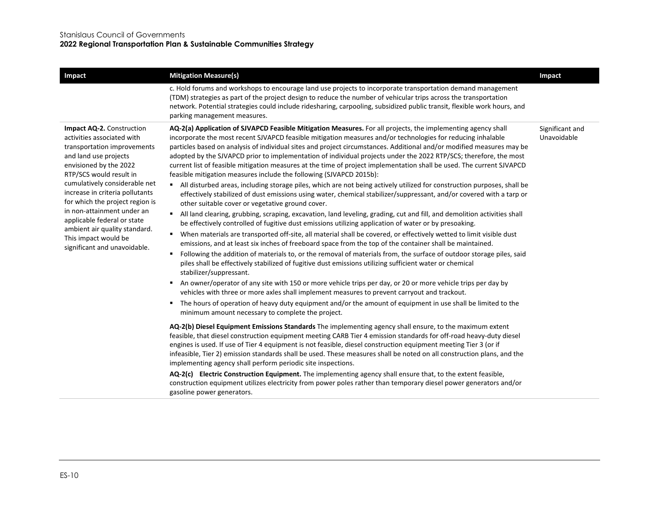| Impact                                                                                                                                                                                                                                                                                                                                                                                                                            | <b>Mitigation Measure(s)</b>                                                                                                                                                                                                                                                                                                                                                                                                                                                                                                                                                                                                                                                                                                                                                                                                                                                                                                                                                                                                                                                                                                                                                                                                                                                                                                                                                                                                                                                                                                                                                                                                                                                                                                                                                                                                                                                                                                                                                                                                                                                                                                                                                                                                                                                                                                                                  | Impact                         |
|-----------------------------------------------------------------------------------------------------------------------------------------------------------------------------------------------------------------------------------------------------------------------------------------------------------------------------------------------------------------------------------------------------------------------------------|---------------------------------------------------------------------------------------------------------------------------------------------------------------------------------------------------------------------------------------------------------------------------------------------------------------------------------------------------------------------------------------------------------------------------------------------------------------------------------------------------------------------------------------------------------------------------------------------------------------------------------------------------------------------------------------------------------------------------------------------------------------------------------------------------------------------------------------------------------------------------------------------------------------------------------------------------------------------------------------------------------------------------------------------------------------------------------------------------------------------------------------------------------------------------------------------------------------------------------------------------------------------------------------------------------------------------------------------------------------------------------------------------------------------------------------------------------------------------------------------------------------------------------------------------------------------------------------------------------------------------------------------------------------------------------------------------------------------------------------------------------------------------------------------------------------------------------------------------------------------------------------------------------------------------------------------------------------------------------------------------------------------------------------------------------------------------------------------------------------------------------------------------------------------------------------------------------------------------------------------------------------------------------------------------------------------------------------------------------------|--------------------------------|
|                                                                                                                                                                                                                                                                                                                                                                                                                                   | c. Hold forums and workshops to encourage land use projects to incorporate transportation demand management<br>(TDM) strategies as part of the project design to reduce the number of vehicular trips across the transportation<br>network. Potential strategies could include ridesharing, carpooling, subsidized public transit, flexible work hours, and<br>parking management measures.                                                                                                                                                                                                                                                                                                                                                                                                                                                                                                                                                                                                                                                                                                                                                                                                                                                                                                                                                                                                                                                                                                                                                                                                                                                                                                                                                                                                                                                                                                                                                                                                                                                                                                                                                                                                                                                                                                                                                                   |                                |
| Impact AQ-2. Construction<br>activities associated with<br>transportation improvements<br>and land use projects<br>envisioned by the 2022<br>RTP/SCS would result in<br>cumulatively considerable net<br>increase in criteria pollutants<br>for which the project region is<br>in non-attainment under an<br>applicable federal or state<br>ambient air quality standard.<br>This impact would be<br>significant and unavoidable. | AQ-2(a) Application of SJVAPCD Feasible Mitigation Measures. For all projects, the implementing agency shall<br>incorporate the most recent SJVAPCD feasible mitigation measures and/or technologies for reducing inhalable<br>particles based on analysis of individual sites and project circumstances. Additional and/or modified measures may be<br>adopted by the SJVAPCD prior to implementation of individual projects under the 2022 RTP/SCS; therefore, the most<br>current list of feasible mitigation measures at the time of project implementation shall be used. The current SJVAPCD<br>feasible mitigation measures include the following (SJVAPCD 2015b):<br>All disturbed areas, including storage piles, which are not being actively utilized for construction purposes, shall be<br>effectively stabilized of dust emissions using water, chemical stabilizer/suppressant, and/or covered with a tarp or<br>other suitable cover or vegetative ground cover.<br>All land clearing, grubbing, scraping, excavation, land leveling, grading, cut and fill, and demolition activities shall<br>٠.<br>be effectively controlled of fugitive dust emissions utilizing application of water or by presoaking.<br>When materials are transported off-site, all material shall be covered, or effectively wetted to limit visible dust<br>٠<br>emissions, and at least six inches of freeboard space from the top of the container shall be maintained.<br>Following the addition of materials to, or the removal of materials from, the surface of outdoor storage piles, said<br>٠<br>piles shall be effectively stabilized of fugitive dust emissions utilizing sufficient water or chemical<br>stabilizer/suppressant.<br>An owner/operator of any site with 150 or more vehicle trips per day, or 20 or more vehicle trips per day by<br>vehicles with three or more axles shall implement measures to prevent carryout and trackout.<br>The hours of operation of heavy duty equipment and/or the amount of equipment in use shall be limited to the<br>minimum amount necessary to complete the project.<br>AQ-2(b) Diesel Equipment Emissions Standards The implementing agency shall ensure, to the maximum extent<br>feasible, that diesel construction equipment meeting CARB Tier 4 emission standards for off-road heavy-duty diesel | Significant and<br>Unavoidable |
|                                                                                                                                                                                                                                                                                                                                                                                                                                   | engines is used. If use of Tier 4 equipment is not feasible, diesel construction equipment meeting Tier 3 (or if<br>infeasible, Tier 2) emission standards shall be used. These measures shall be noted on all construction plans, and the<br>implementing agency shall perform periodic site inspections.                                                                                                                                                                                                                                                                                                                                                                                                                                                                                                                                                                                                                                                                                                                                                                                                                                                                                                                                                                                                                                                                                                                                                                                                                                                                                                                                                                                                                                                                                                                                                                                                                                                                                                                                                                                                                                                                                                                                                                                                                                                    |                                |
|                                                                                                                                                                                                                                                                                                                                                                                                                                   | AQ-2(c) Electric Construction Equipment. The implementing agency shall ensure that, to the extent feasible,<br>construction equipment utilizes electricity from power poles rather than temporary diesel power generators and/or<br>gasoline power generators.                                                                                                                                                                                                                                                                                                                                                                                                                                                                                                                                                                                                                                                                                                                                                                                                                                                                                                                                                                                                                                                                                                                                                                                                                                                                                                                                                                                                                                                                                                                                                                                                                                                                                                                                                                                                                                                                                                                                                                                                                                                                                                |                                |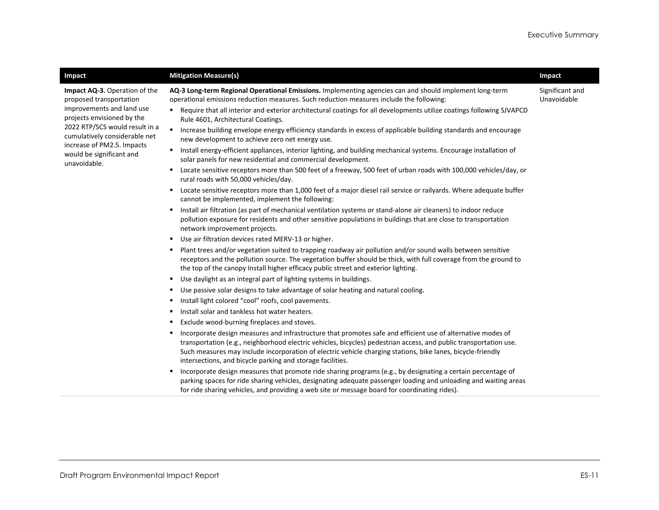| Impact                                                                                                              | <b>Mitigation Measure(s)</b>                                                                                                                                                                                                                                                                                                                                                                                       | Impact                         |
|---------------------------------------------------------------------------------------------------------------------|--------------------------------------------------------------------------------------------------------------------------------------------------------------------------------------------------------------------------------------------------------------------------------------------------------------------------------------------------------------------------------------------------------------------|--------------------------------|
| Impact AQ-3. Operation of the<br>proposed transportation<br>improvements and land use<br>projects envisioned by the | AQ-3 Long-term Regional Operational Emissions. Implementing agencies can and should implement long-term<br>operational emissions reduction measures. Such reduction measures include the following:<br>Require that all interior and exterior architectural coatings for all developments utilize coatings following SJVAPCD<br>Rule 4601, Architectural Coatings.                                                 | Significant and<br>Unavoidable |
| 2022 RTP/SCS would result in a<br>cumulatively considerable net<br>increase of PM2.5. Impacts                       | Increase building envelope energy efficiency standards in excess of applicable building standards and encourage<br>new development to achieve zero net energy use.                                                                                                                                                                                                                                                 |                                |
| would be significant and<br>unavoidable.                                                                            | Install energy-efficient appliances, interior lighting, and building mechanical systems. Encourage installation of<br>٠<br>solar panels for new residential and commercial development.                                                                                                                                                                                                                            |                                |
|                                                                                                                     | Locate sensitive receptors more than 500 feet of a freeway, 500 feet of urban roads with 100,000 vehicles/day, or<br>٠<br>rural roads with 50,000 vehicles/day.                                                                                                                                                                                                                                                    |                                |
|                                                                                                                     | Locate sensitive receptors more than 1,000 feet of a major diesel rail service or railyards. Where adequate buffer<br>٠<br>cannot be implemented, implement the following:                                                                                                                                                                                                                                         |                                |
|                                                                                                                     | Install air filtration (as part of mechanical ventilation systems or stand-alone air cleaners) to indoor reduce<br>٠<br>pollution exposure for residents and other sensitive populations in buildings that are close to transportation<br>network improvement projects.                                                                                                                                            |                                |
|                                                                                                                     | Use air filtration devices rated MERV-13 or higher.<br>٠                                                                                                                                                                                                                                                                                                                                                           |                                |
|                                                                                                                     | Plant trees and/or vegetation suited to trapping roadway air pollution and/or sound walls between sensitive<br>٠<br>receptors and the pollution source. The vegetation buffer should be thick, with full coverage from the ground to<br>the top of the canopy Install higher efficacy public street and exterior lighting.                                                                                         |                                |
|                                                                                                                     | Use daylight as an integral part of lighting systems in buildings.<br>٠                                                                                                                                                                                                                                                                                                                                            |                                |
|                                                                                                                     | Use passive solar designs to take advantage of solar heating and natural cooling.<br>٠                                                                                                                                                                                                                                                                                                                             |                                |
|                                                                                                                     | Install light colored "cool" roofs, cool pavements.<br>٠                                                                                                                                                                                                                                                                                                                                                           |                                |
|                                                                                                                     | Install solar and tankless hot water heaters.<br>٠                                                                                                                                                                                                                                                                                                                                                                 |                                |
|                                                                                                                     | Exclude wood-burning fireplaces and stoves.<br>٠                                                                                                                                                                                                                                                                                                                                                                   |                                |
|                                                                                                                     | Incorporate design measures and infrastructure that promotes safe and efficient use of alternative modes of<br>٠<br>transportation (e.g., neighborhood electric vehicles, bicycles) pedestrian access, and public transportation use.<br>Such measures may include incorporation of electric vehicle charging stations, bike lanes, bicycle-friendly<br>intersections, and bicycle parking and storage facilities. |                                |
|                                                                                                                     | Incorporate design measures that promote ride sharing programs (e.g., by designating a certain percentage of<br>٠<br>parking spaces for ride sharing vehicles, designating adequate passenger loading and unloading and waiting areas<br>for ride sharing vehicles, and providing a web site or message board for coordinating rides).                                                                             |                                |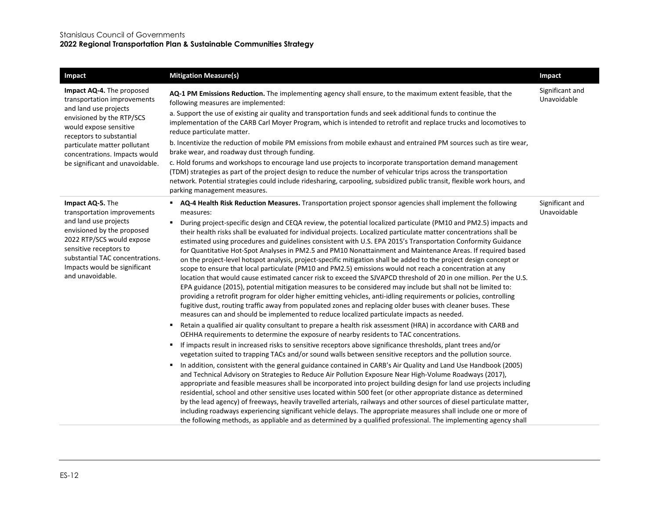#### Stanislaus Council of Governments

#### **2022 Regional Transportation Plan & Sustainable Communities Strategy**

| Impact                                                                                                                                                                                            | <b>Mitigation Measure(s)</b>                                                                                                                                                                                                                                                                                                                                                                                                                                                                                                                                                                                                                                                                                                                                                                                                                                                                                                                                                                                                                                                                                                                                                                                                                                                           | Impact                         |
|---------------------------------------------------------------------------------------------------------------------------------------------------------------------------------------------------|----------------------------------------------------------------------------------------------------------------------------------------------------------------------------------------------------------------------------------------------------------------------------------------------------------------------------------------------------------------------------------------------------------------------------------------------------------------------------------------------------------------------------------------------------------------------------------------------------------------------------------------------------------------------------------------------------------------------------------------------------------------------------------------------------------------------------------------------------------------------------------------------------------------------------------------------------------------------------------------------------------------------------------------------------------------------------------------------------------------------------------------------------------------------------------------------------------------------------------------------------------------------------------------|--------------------------------|
| Impact AQ-4. The proposed<br>transportation improvements<br>and land use projects<br>envisioned by the RTP/SCS<br>would expose sensitive<br>receptors to substantial                              | AQ-1 PM Emissions Reduction. The implementing agency shall ensure, to the maximum extent feasible, that the<br>following measures are implemented:<br>a. Support the use of existing air quality and transportation funds and seek additional funds to continue the                                                                                                                                                                                                                                                                                                                                                                                                                                                                                                                                                                                                                                                                                                                                                                                                                                                                                                                                                                                                                    | Significant and<br>Unavoidable |
|                                                                                                                                                                                                   | implementation of the CARB Carl Moyer Program, which is intended to retrofit and replace trucks and locomotives to<br>reduce particulate matter.                                                                                                                                                                                                                                                                                                                                                                                                                                                                                                                                                                                                                                                                                                                                                                                                                                                                                                                                                                                                                                                                                                                                       |                                |
| particulate matter pollutant<br>concentrations. Impacts would                                                                                                                                     | b. Incentivize the reduction of mobile PM emissions from mobile exhaust and entrained PM sources such as tire wear,<br>brake wear, and roadway dust through funding.                                                                                                                                                                                                                                                                                                                                                                                                                                                                                                                                                                                                                                                                                                                                                                                                                                                                                                                                                                                                                                                                                                                   |                                |
| be significant and unavoidable.                                                                                                                                                                   | c. Hold forums and workshops to encourage land use projects to incorporate transportation demand management<br>(TDM) strategies as part of the project design to reduce the number of vehicular trips across the transportation<br>network. Potential strategies could include ridesharing, carpooling, subsidized public transit, flexible work hours, and<br>parking management measures.                                                                                                                                                                                                                                                                                                                                                                                                                                                                                                                                                                                                                                                                                                                                                                                                                                                                                            |                                |
| Impact AQ-5. The<br>transportation improvements                                                                                                                                                   | AQ-4 Health Risk Reduction Measures. Transportation project sponsor agencies shall implement the following<br>measures:                                                                                                                                                                                                                                                                                                                                                                                                                                                                                                                                                                                                                                                                                                                                                                                                                                                                                                                                                                                                                                                                                                                                                                | Significant and<br>Unavoidable |
| and land use projects<br>envisioned by the proposed<br>2022 RTP/SCS would expose<br>sensitive receptors to<br>substantial TAC concentrations.<br>Impacts would be significant<br>and unavoidable. | During project-specific design and CEQA review, the potential localized particulate (PM10 and PM2.5) impacts and<br>٠<br>their health risks shall be evaluated for individual projects. Localized particulate matter concentrations shall be<br>estimated using procedures and guidelines consistent with U.S. EPA 2015's Transportation Conformity Guidance<br>for Quantitative Hot-Spot Analyses in PM2.5 and PM10 Nonattainment and Maintenance Areas. If required based<br>on the project-level hotspot analysis, project-specific mitigation shall be added to the project design concept or<br>scope to ensure that local particulate (PM10 and PM2.5) emissions would not reach a concentration at any<br>location that would cause estimated cancer risk to exceed the SJVAPCD threshold of 20 in one million. Per the U.S.<br>EPA guidance (2015), potential mitigation measures to be considered may include but shall not be limited to:<br>providing a retrofit program for older higher emitting vehicles, anti-idling requirements or policies, controlling<br>fugitive dust, routing traffic away from populated zones and replacing older buses with cleaner buses. These<br>measures can and should be implemented to reduce localized particulate impacts as needed. |                                |
|                                                                                                                                                                                                   | Retain a qualified air quality consultant to prepare a health risk assessment (HRA) in accordance with CARB and<br>٠<br>OEHHA requirements to determine the exposure of nearby residents to TAC concentrations.                                                                                                                                                                                                                                                                                                                                                                                                                                                                                                                                                                                                                                                                                                                                                                                                                                                                                                                                                                                                                                                                        |                                |
|                                                                                                                                                                                                   | If impacts result in increased risks to sensitive receptors above significance thresholds, plant trees and/or<br>٠,<br>vegetation suited to trapping TACs and/or sound walls between sensitive receptors and the pollution source.                                                                                                                                                                                                                                                                                                                                                                                                                                                                                                                                                                                                                                                                                                                                                                                                                                                                                                                                                                                                                                                     |                                |
|                                                                                                                                                                                                   | In addition, consistent with the general guidance contained in CARB's Air Quality and Land Use Handbook (2005)<br>٠.<br>and Technical Advisory on Strategies to Reduce Air Pollution Exposure Near High-Volume Roadways (2017),<br>appropriate and feasible measures shall be incorporated into project building design for land use projects including<br>residential, school and other sensitive uses located within 500 feet (or other appropriate distance as determined<br>by the lead agency) of freeways, heavily travelled arterials, railways and other sources of diesel particulate matter,<br>including roadways experiencing significant vehicle delays. The appropriate measures shall include one or more of<br>the following methods, as appliable and as determined by a qualified professional. The implementing agency shall                                                                                                                                                                                                                                                                                                                                                                                                                                        |                                |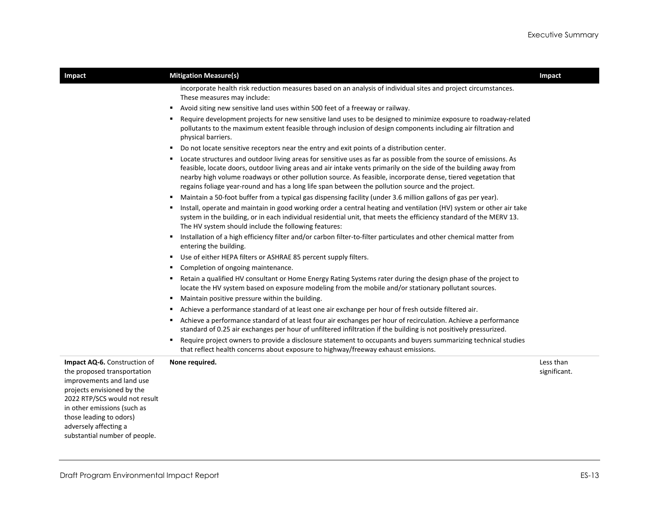| Impact                                                                                                                                                                                                            | <b>Mitigation Measure(s)</b>                                                                                                                                                                                                                                                                                                                                                                                                                                 | Impact                    |
|-------------------------------------------------------------------------------------------------------------------------------------------------------------------------------------------------------------------|--------------------------------------------------------------------------------------------------------------------------------------------------------------------------------------------------------------------------------------------------------------------------------------------------------------------------------------------------------------------------------------------------------------------------------------------------------------|---------------------------|
|                                                                                                                                                                                                                   | incorporate health risk reduction measures based on an analysis of individual sites and project circumstances.<br>These measures may include:                                                                                                                                                                                                                                                                                                                |                           |
|                                                                                                                                                                                                                   | Avoid siting new sensitive land uses within 500 feet of a freeway or railway.                                                                                                                                                                                                                                                                                                                                                                                |                           |
|                                                                                                                                                                                                                   | Require development projects for new sensitive land uses to be designed to minimize exposure to roadway-related<br>pollutants to the maximum extent feasible through inclusion of design components including air filtration and<br>physical barriers.                                                                                                                                                                                                       |                           |
|                                                                                                                                                                                                                   | Do not locate sensitive receptors near the entry and exit points of a distribution center.                                                                                                                                                                                                                                                                                                                                                                   |                           |
|                                                                                                                                                                                                                   | Locate structures and outdoor living areas for sensitive uses as far as possible from the source of emissions. As<br>feasible, locate doors, outdoor living areas and air intake vents primarily on the side of the building away from<br>nearby high volume roadways or other pollution source. As feasible, incorporate dense, tiered vegetation that<br>regains foliage year-round and has a long life span between the pollution source and the project. |                           |
|                                                                                                                                                                                                                   | Maintain a 50-foot buffer from a typical gas dispensing facility (under 3.6 million gallons of gas per year).                                                                                                                                                                                                                                                                                                                                                |                           |
|                                                                                                                                                                                                                   | Install, operate and maintain in good working order a central heating and ventilation (HV) system or other air take<br>system in the building, or in each individual residential unit, that meets the efficiency standard of the MERV 13.<br>The HV system should include the following features:                                                                                                                                                            |                           |
|                                                                                                                                                                                                                   | Installation of a high efficiency filter and/or carbon filter-to-filter particulates and other chemical matter from<br>entering the building.                                                                                                                                                                                                                                                                                                                |                           |
|                                                                                                                                                                                                                   | Use of either HEPA filters or ASHRAE 85 percent supply filters.<br>٠                                                                                                                                                                                                                                                                                                                                                                                         |                           |
|                                                                                                                                                                                                                   | Completion of ongoing maintenance.                                                                                                                                                                                                                                                                                                                                                                                                                           |                           |
|                                                                                                                                                                                                                   | Retain a qualified HV consultant or Home Energy Rating Systems rater during the design phase of the project to<br>locate the HV system based on exposure modeling from the mobile and/or stationary pollutant sources.                                                                                                                                                                                                                                       |                           |
|                                                                                                                                                                                                                   | Maintain positive pressure within the building.                                                                                                                                                                                                                                                                                                                                                                                                              |                           |
|                                                                                                                                                                                                                   | Achieve a performance standard of at least one air exchange per hour of fresh outside filtered air.                                                                                                                                                                                                                                                                                                                                                          |                           |
|                                                                                                                                                                                                                   | Achieve a performance standard of at least four air exchanges per hour of recirculation. Achieve a performance<br>standard of 0.25 air exchanges per hour of unfiltered infiltration if the building is not positively pressurized.                                                                                                                                                                                                                          |                           |
|                                                                                                                                                                                                                   | Require project owners to provide a disclosure statement to occupants and buyers summarizing technical studies<br>that reflect health concerns about exposure to highway/freeway exhaust emissions.                                                                                                                                                                                                                                                          |                           |
| Impact AQ-6. Construction of<br>the proposed transportation<br>improvements and land use<br>projects envisioned by the<br>2022 RTP/SCS would not result<br>in other emissions (such as<br>those leading to odors) | None required.                                                                                                                                                                                                                                                                                                                                                                                                                                               | Less than<br>significant. |
| adversely affecting a                                                                                                                                                                                             |                                                                                                                                                                                                                                                                                                                                                                                                                                                              |                           |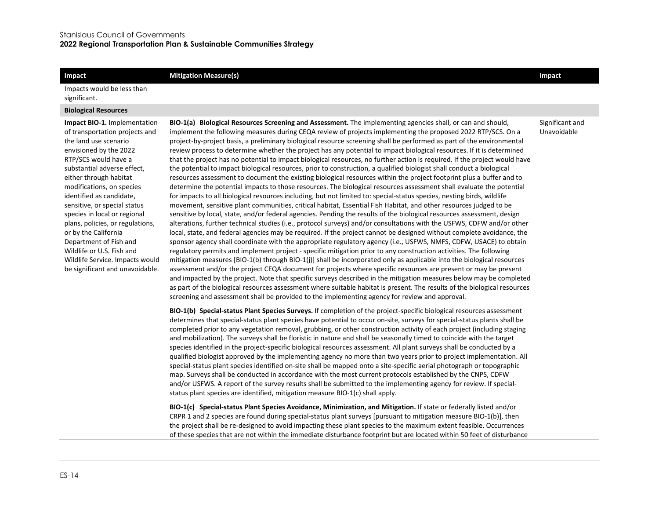#### **Impact** and **Impact Impact Mitigation Measure(s) Impact Impact Impact Impact**

Impacts would be less than significant.

#### **Biological Resources**

**Impact BIO-1.** Implementation of transportation projects and the land use scenario envisioned by the 2022 RTP/SCS would have a substantial adverse effect, either through habitat modifications, on species identified as candidate, sensitive, or special status species in local or regional plans, policies, or regulations, or by the California Department of Fish and Wildlife or U.S. Fish and Wildlife Service. Impacts would be significant and unavoidable.

**BIO-1(a) Biological Resources Screening and Assessment.** The implementing agencies shall, or can and should, implement the following measures during CEQA review of projects implementing the proposed 2022 RTP/SCS. On a project-by-project basis, a preliminary biological resource screening shall be performed as part of the environmental review process to determine whether the project has any potential to impact biological resources. If it is determined that the project has no potential to impact biological resources, no further action is required. If the project would have the potential to impact biological resources, prior to construction, a qualified biologist shall conduct a biological resources assessment to document the existing biological resources within the project footprint plus a buffer and to determine the potential impacts to those resources. The biological resources assessment shall evaluate the potential for impacts to all biological resources including, but not limited to: special-status species, nesting birds, wildlife movement, sensitive plant communities, critical habitat, Essential Fish Habitat, and other resources judged to be sensitive by local, state, and/or federal agencies. Pending the results of the biological resources assessment, design alterations, further technical studies (i.e., protocol surveys) and/or consultations with the USFWS, CDFW and/or other local, state, and federal agencies may be required. If the project cannot be designed without complete avoidance, the sponsor agency shall coordinate with the appropriate regulatory agency (i.e., USFWS, NMFS, CDFW, USACE) to obtain regulatory permits and implement project - specific mitigation prior to any construction activities. The following mitigation measures [BIO-1(b) through BIO-1(j)] shall be incorporated only as applicable into the biological resources assessment and/or the project CEQA document for projects where specific resources are present or may be present and impacted by the project. Note that specific surveys described in the mitigation measures below may be completed as part of the biological resources assessment where suitable habitat is present. The results of the biological resources screening and assessment shall be provided to the implementing agency for review and approval.

**BIO-1(b) Special-status Plant Species Surveys.** If completion of the project-specific biological resources assessment determines that special-status plant species have potential to occur on-site, surveys for special-status plants shall be completed prior to any vegetation removal, grubbing, or other construction activity of each project (including staging and mobilization). The surveys shall be floristic in nature and shall be seasonally timed to coincide with the target species identified in the project-specific biological resources assessment. All plant surveys shall be conducted by a qualified biologist approved by the implementing agency no more than two years prior to project implementation. All special-status plant species identified on-site shall be mapped onto a site-specific aerial photograph or topographic map. Surveys shall be conducted in accordance with the most current protocols established by the CNPS, CDFW and/or USFWS. A report of the survey results shall be submitted to the implementing agency for review. If specialstatus plant species are identified, mitigation measure BIO-1(c) shall apply.

**BIO-1(c) Special-status Plant Species Avoidance, Minimization, and Mitigation.** If state or federally listed and/or CRPR 1 and 2 species are found during special-status plant surveys [pursuant to mitigation measure BIO-1(b)], then the project shall be re-designed to avoid impacting these plant species to the maximum extent feasible. Occurrences of these species that are not within the immediate disturbance footprint but are located within 50 feet of disturbance

Significant and Unavoidable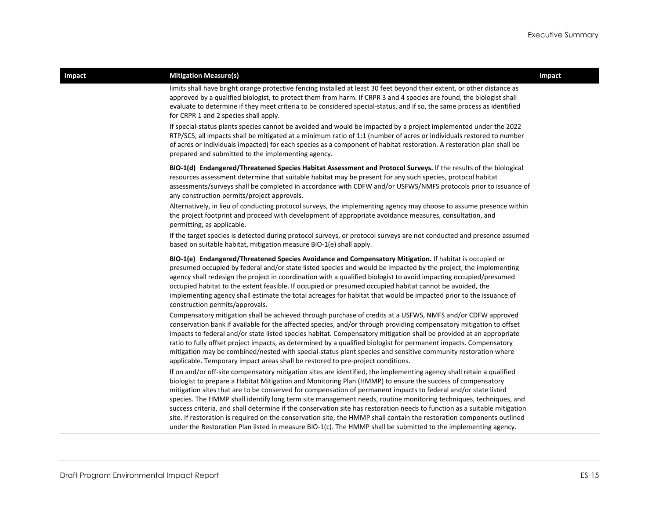#### **Impact Example 2 Impact Mitigation Measure(s) Impact Impact Impact Impact**

limits shall have bright orange protective fencing installed at least 30 feet beyond their extent, or other distance as approved by a qualified biologist, to protect them from harm. If CRPR 3 and 4 species are found, the biologist shall evaluate to determine if they meet criteria to be considered special-status, and if so, the same process as identified for CRPR 1 and 2 species shall apply.

If special-status plants species cannot be avoided and would be impacted by a project implemented under the 2022 RTP/SCS, all impacts shall be mitigated at a minimum ratio of 1:1 (number of acres or individuals restored to number of acres or individuals impacted) for each species as a component of habitat restoration. A restoration plan shall be prepared and submitted to the implementing agency.

**BIO-1(d) Endangered/Threatened Species Habitat Assessment and Protocol Surveys.** If the results of the biological resources assessment determine that suitable habitat may be present for any such species, protocol habitat assessments/surveys shall be completed in accordance with CDFW and/or USFWS/NMFS protocols prior to issuance of any construction permits/project approvals.

Alternatively, in lieu of conducting protocol surveys, the implementing agency may choose to assume presence within the project footprint and proceed with development of appropriate avoidance measures, consultation, and permitting, as applicable.

If the target species is detected during protocol surveys, or protocol surveys are not conducted and presence assumed based on suitable habitat, mitigation measure BIO-1(e) shall apply.

**BIO-1(e) Endangered/Threatened Species Avoidance and Compensatory Mitigation.** If habitat is occupied or presumed occupied by federal and/or state listed species and would be impacted by the project, the implementing agency shall redesign the project in coordination with a qualified biologist to avoid impacting occupied/presumed occupied habitat to the extent feasible. If occupied or presumed occupied habitat cannot be avoided, the implementing agency shall estimate the total acreages for habitat that would be impacted prior to the issuance of construction permits/approvals.

Compensatory mitigation shall be achieved through purchase of credits at a USFWS, NMFS and/or CDFW approved conservation bank if available for the affected species, and/or through providing compensatory mitigation to offset impacts to federal and/or state listed species habitat. Compensatory mitigation shall be provided at an appropriate ratio to fully offset project impacts, as determined by a qualified biologist for permanent impacts. Compensatory mitigation may be combined/nested with special-status plant species and sensitive community restoration where applicable. Temporary impact areas shall be restored to pre-project conditions.

If on and/or off-site compensatory mitigation sites are identified, the implementing agency shall retain a qualified biologist to prepare a Habitat Mitigation and Monitoring Plan (HMMP) to ensure the success of compensatory mitigation sites that are to be conserved for compensation of permanent impacts to federal and/or state listed species. The HMMP shall identify long term site management needs, routine monitoring techniques, techniques, and success criteria, and shall determine if the conservation site has restoration needs to function as a suitable mitigation site. If restoration is required on the conservation site, the HMMP shall contain the restoration components outlined under the Restoration Plan listed in measure BIO-1(c). The HMMP shall be submitted to the implementing agency.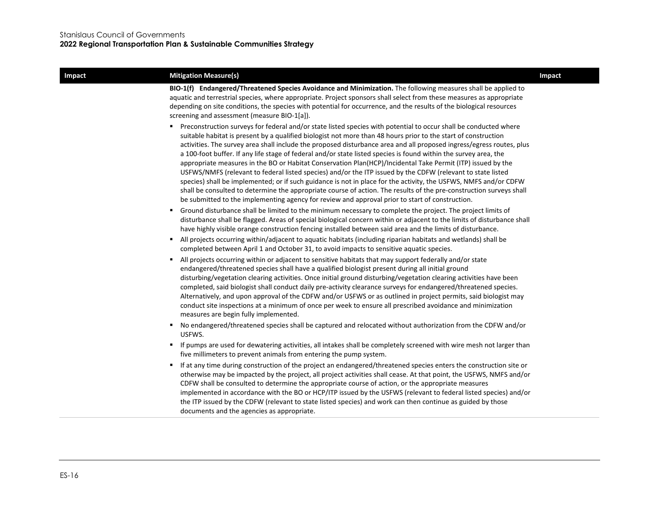#### **Impact Example 2 Impact Mitigation Measure(s) Impact Impact Impact Impact**

**BIO-1(f) Endangered/Threatened Species Avoidance and Minimization.** The following measures shall be applied to aquatic and terrestrial species, where appropriate. Project sponsors shall select from these measures as appropriate depending on site conditions, the species with potential for occurrence, and the results of the biological resources screening and assessment (measure BIO-1[a]).

- Preconstruction surveys for federal and/or state listed species with potential to occur shall be conducted where suitable habitat is present by a qualified biologist not more than 48 hours prior to the start of construction activities. The survey area shall include the proposed disturbance area and all proposed ingress/egress routes, plus a 100-foot buffer. If any life stage of federal and/or state listed species is found within the survey area, the appropriate measures in the BO or Habitat Conservation Plan(HCP)/Incidental Take Permit (ITP) issued by the USFWS/NMFS (relevant to federal listed species) and/or the ITP issued by the CDFW (relevant to state listed species) shall be implemented; or if such guidance is not in place for the activity, the USFWS, NMFS and/or CDFW shall be consulted to determine the appropriate course of action. The results of the pre-construction surveys shall be submitted to the implementing agency for review and approval prior to start of construction.
- Ground disturbance shall be limited to the minimum necessary to complete the project. The project limits of disturbance shall be flagged. Areas of special biological concern within or adjacent to the limits of disturbance shall have highly visible orange construction fencing installed between said area and the limits of disturbance.
- All projects occurring within/adjacent to aquatic habitats (including riparian habitats and wetlands) shall be completed between April 1 and October 31, to avoid impacts to sensitive aquatic species.
- All projects occurring within or adjacent to sensitive habitats that may support federally and/or state endangered/threatened species shall have a qualified biologist present during all initial ground disturbing/vegetation clearing activities. Once initial ground disturbing/vegetation clearing activities have been completed, said biologist shall conduct daily pre-activity clearance surveys for endangered/threatened species. Alternatively, and upon approval of the CDFW and/or USFWS or as outlined in project permits, said biologist may conduct site inspections at a minimum of once per week to ensure all prescribed avoidance and minimization measures are begin fully implemented.
- No endangered/threatened species shall be captured and relocated without authorization from the CDFW and/or USFWS.
- If pumps are used for dewatering activities, all intakes shall be completely screened with wire mesh not larger than five millimeters to prevent animals from entering the pump system.
- If at any time during construction of the project an endangered/threatened species enters the construction site or otherwise may be impacted by the project, all project activities shall cease. At that point, the USFWS, NMFS and/or CDFW shall be consulted to determine the appropriate course of action, or the appropriate measures implemented in accordance with the BO or HCP/ITP issued by the USFWS (relevant to federal listed species) and/or the ITP issued by the CDFW (relevant to state listed species) and work can then continue as guided by those documents and the agencies as appropriate.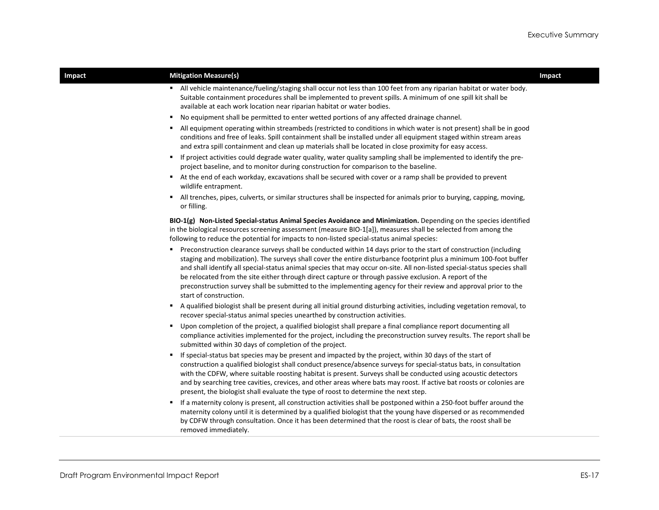| Impact | <b>Mitigation Measure(s)</b>                                                                                                                                                                                                                                                                                                                                                                                                                                                                                                                                                                                               | Impact |
|--------|----------------------------------------------------------------------------------------------------------------------------------------------------------------------------------------------------------------------------------------------------------------------------------------------------------------------------------------------------------------------------------------------------------------------------------------------------------------------------------------------------------------------------------------------------------------------------------------------------------------------------|--------|
|        | All vehicle maintenance/fueling/staging shall occur not less than 100 feet from any riparian habitat or water body.<br>Suitable containment procedures shall be implemented to prevent spills. A minimum of one spill kit shall be<br>available at each work location near riparian habitat or water bodies.                                                                                                                                                                                                                                                                                                               |        |
|        | No equipment shall be permitted to enter wetted portions of any affected drainage channel.<br>٠                                                                                                                                                                                                                                                                                                                                                                                                                                                                                                                            |        |
|        | All equipment operating within streambeds (restricted to conditions in which water is not present) shall be in good<br>conditions and free of leaks. Spill containment shall be installed under all equipment staged within stream areas<br>and extra spill containment and clean up materials shall be located in close proximity for easy access.                                                                                                                                                                                                                                                                        |        |
|        | If project activities could degrade water quality, water quality sampling shall be implemented to identify the pre-<br>project baseline, and to monitor during construction for comparison to the baseline.                                                                                                                                                                                                                                                                                                                                                                                                                |        |
|        | At the end of each workday, excavations shall be secured with cover or a ramp shall be provided to prevent<br>٠<br>wildlife entrapment.                                                                                                                                                                                                                                                                                                                                                                                                                                                                                    |        |
|        | All trenches, pipes, culverts, or similar structures shall be inspected for animals prior to burying, capping, moving,<br>or filling.                                                                                                                                                                                                                                                                                                                                                                                                                                                                                      |        |
|        | BIO-1(g) Non-Listed Special-status Animal Species Avoidance and Minimization. Depending on the species identified<br>in the biological resources screening assessment (measure BIO-1[a]), measures shall be selected from among the<br>following to reduce the potential for impacts to non-listed special-status animal species:                                                                                                                                                                                                                                                                                          |        |
|        | Preconstruction clearance surveys shall be conducted within 14 days prior to the start of construction (including<br>staging and mobilization). The surveys shall cover the entire disturbance footprint plus a minimum 100-foot buffer<br>and shall identify all special-status animal species that may occur on-site. All non-listed special-status species shall<br>be relocated from the site either through direct capture or through passive exclusion. A report of the<br>preconstruction survey shall be submitted to the implementing agency for their review and approval prior to the<br>start of construction. |        |
|        | A qualified biologist shall be present during all initial ground disturbing activities, including vegetation removal, to<br>٠<br>recover special-status animal species unearthed by construction activities.                                                                                                                                                                                                                                                                                                                                                                                                               |        |
|        | Upon completion of the project, a qualified biologist shall prepare a final compliance report documenting all<br>٠<br>compliance activities implemented for the project, including the preconstruction survey results. The report shall be<br>submitted within 30 days of completion of the project.                                                                                                                                                                                                                                                                                                                       |        |
|        | If special-status bat species may be present and impacted by the project, within 30 days of the start of<br>construction a qualified biologist shall conduct presence/absence surveys for special-status bats, in consultation<br>with the CDFW, where suitable roosting habitat is present. Surveys shall be conducted using acoustic detectors<br>and by searching tree cavities, crevices, and other areas where bats may roost. If active bat roosts or colonies are<br>present, the biologist shall evaluate the type of roost to determine the next step.                                                            |        |
|        | If a maternity colony is present, all construction activities shall be postponed within a 250-foot buffer around the<br>٠<br>maternity colony until it is determined by a qualified biologist that the young have dispersed or as recommended<br>by CDFW through consultation. Once it has been determined that the roost is clear of bats, the roost shall be<br>removed immediately.                                                                                                                                                                                                                                     |        |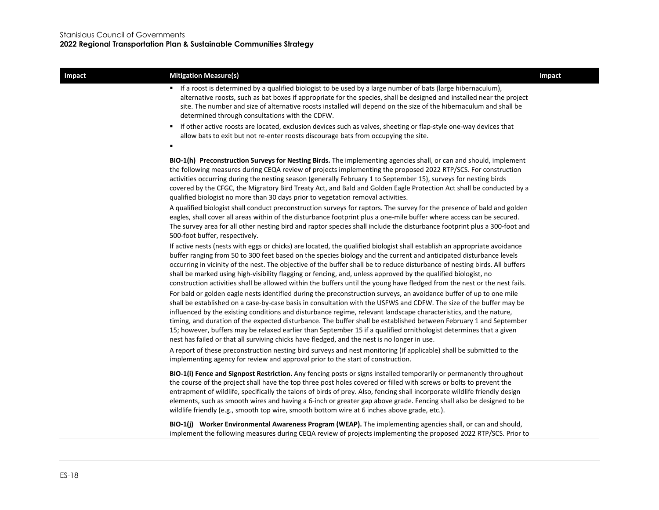| Impact | <b>Mitigation Measure(s)</b>                                                                                                                                                                                                                                                                                                                                                                                                                                                                                                                                                                                                                                                                                | Impact |
|--------|-------------------------------------------------------------------------------------------------------------------------------------------------------------------------------------------------------------------------------------------------------------------------------------------------------------------------------------------------------------------------------------------------------------------------------------------------------------------------------------------------------------------------------------------------------------------------------------------------------------------------------------------------------------------------------------------------------------|--------|
|        | If a roost is determined by a qualified biologist to be used by a large number of bats (large hibernaculum),<br>alternative roosts, such as bat boxes if appropriate for the species, shall be designed and installed near the project<br>site. The number and size of alternative roosts installed will depend on the size of the hibernaculum and shall be<br>determined through consultations with the CDFW.                                                                                                                                                                                                                                                                                             |        |
|        | If other active roosts are located, exclusion devices such as valves, sheeting or flap-style one-way devices that<br>allow bats to exit but not re-enter roosts discourage bats from occupying the site.                                                                                                                                                                                                                                                                                                                                                                                                                                                                                                    |        |
|        | BIO-1(h) Preconstruction Surveys for Nesting Birds. The implementing agencies shall, or can and should, implement<br>the following measures during CEQA review of projects implementing the proposed 2022 RTP/SCS. For construction<br>activities occurring during the nesting season (generally February 1 to September 15), surveys for nesting birds<br>covered by the CFGC, the Migratory Bird Treaty Act, and Bald and Golden Eagle Protection Act shall be conducted by a<br>qualified biologist no more than 30 days prior to vegetation removal activities.                                                                                                                                         |        |
|        | A qualified biologist shall conduct preconstruction surveys for raptors. The survey for the presence of bald and golden<br>eagles, shall cover all areas within of the disturbance footprint plus a one-mile buffer where access can be secured.<br>The survey area for all other nesting bird and raptor species shall include the disturbance footprint plus a 300-foot and<br>500-foot buffer, respectively.                                                                                                                                                                                                                                                                                             |        |
|        | If active nests (nests with eggs or chicks) are located, the qualified biologist shall establish an appropriate avoidance<br>buffer ranging from 50 to 300 feet based on the species biology and the current and anticipated disturbance levels<br>occurring in vicinity of the nest. The objective of the buffer shall be to reduce disturbance of nesting birds. All buffers<br>shall be marked using high-visibility flagging or fencing, and, unless approved by the qualified biologist, no<br>construction activities shall be allowed within the buffers until the young have fledged from the nest or the nest fails.                                                                               |        |
|        | For bald or golden eagle nests identified during the preconstruction surveys, an avoidance buffer of up to one mile<br>shall be established on a case-by-case basis in consultation with the USFWS and CDFW. The size of the buffer may be<br>influenced by the existing conditions and disturbance regime, relevant landscape characteristics, and the nature,<br>timing, and duration of the expected disturbance. The buffer shall be established between February 1 and September<br>15; however, buffers may be relaxed earlier than September 15 if a qualified ornithologist determines that a given<br>nest has failed or that all surviving chicks have fledged, and the nest is no longer in use. |        |
|        | A report of these preconstruction nesting bird surveys and nest monitoring (if applicable) shall be submitted to the<br>implementing agency for review and approval prior to the start of construction.                                                                                                                                                                                                                                                                                                                                                                                                                                                                                                     |        |
|        | BIO-1(i) Fence and Signpost Restriction. Any fencing posts or signs installed temporarily or permanently throughout<br>the course of the project shall have the top three post holes covered or filled with screws or bolts to prevent the<br>entrapment of wildlife, specifically the talons of birds of prey. Also, fencing shall incorporate wildlife friendly design<br>elements, such as smooth wires and having a 6-inch or greater gap above grade. Fencing shall also be designed to be                                                                                                                                                                                                             |        |

wildlife friendly (e.g., smooth top wire, smooth bottom wire at 6 inches above grade, etc.).

**BIO-1(j) Worker Environmental Awareness Program (WEAP).** The implementing agencies shall, or can and should, implement the following measures during CEQA review of projects implementing the proposed 2022 RTP/SCS. Prior to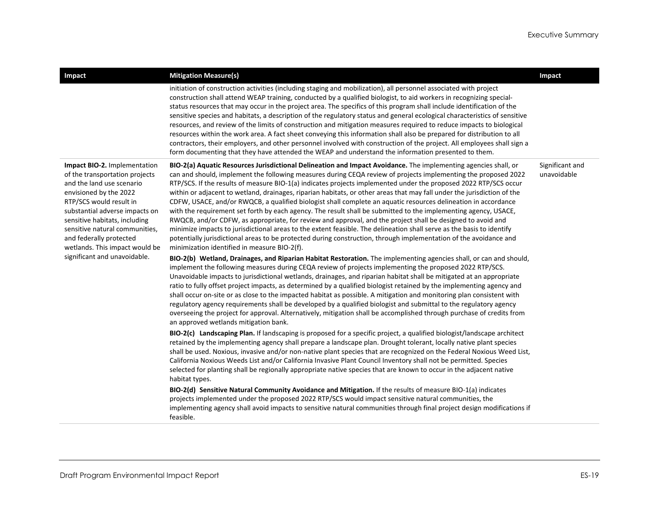| <b>Impact</b>                                                                                                                                                                                                                                                                                                                                      | <b>Mitigation Measure(s)</b>                                                                                                                                                                                                                                                                                                                                                                                                                                                                                                                                                                                                                                                                                                                                                                                                                                                                                                                                                                                                                                                                                                                                                                                                                                                                                                                                                                                                                                                                                                                                                                                                                                                                                                                                                                                                                                                                                                                                                                                                                                                                                                                                                                                                                                                                                                                                                                                                                                                                                                                                                                                                                                                                                                                                                                                                                                                                        | Impact                         |
|----------------------------------------------------------------------------------------------------------------------------------------------------------------------------------------------------------------------------------------------------------------------------------------------------------------------------------------------------|-----------------------------------------------------------------------------------------------------------------------------------------------------------------------------------------------------------------------------------------------------------------------------------------------------------------------------------------------------------------------------------------------------------------------------------------------------------------------------------------------------------------------------------------------------------------------------------------------------------------------------------------------------------------------------------------------------------------------------------------------------------------------------------------------------------------------------------------------------------------------------------------------------------------------------------------------------------------------------------------------------------------------------------------------------------------------------------------------------------------------------------------------------------------------------------------------------------------------------------------------------------------------------------------------------------------------------------------------------------------------------------------------------------------------------------------------------------------------------------------------------------------------------------------------------------------------------------------------------------------------------------------------------------------------------------------------------------------------------------------------------------------------------------------------------------------------------------------------------------------------------------------------------------------------------------------------------------------------------------------------------------------------------------------------------------------------------------------------------------------------------------------------------------------------------------------------------------------------------------------------------------------------------------------------------------------------------------------------------------------------------------------------------------------------------------------------------------------------------------------------------------------------------------------------------------------------------------------------------------------------------------------------------------------------------------------------------------------------------------------------------------------------------------------------------------------------------------------------------------------------------------------------------|--------------------------------|
|                                                                                                                                                                                                                                                                                                                                                    | initiation of construction activities (including staging and mobilization), all personnel associated with project<br>construction shall attend WEAP training, conducted by a qualified biologist, to aid workers in recognizing special-<br>status resources that may occur in the project area. The specifics of this program shall include identification of the<br>sensitive species and habitats, a description of the regulatory status and general ecological characteristics of sensitive<br>resources, and review of the limits of construction and mitigation measures required to reduce impacts to biological<br>resources within the work area. A fact sheet conveying this information shall also be prepared for distribution to all<br>contractors, their employers, and other personnel involved with construction of the project. All employees shall sign a<br>form documenting that they have attended the WEAP and understand the information presented to them.                                                                                                                                                                                                                                                                                                                                                                                                                                                                                                                                                                                                                                                                                                                                                                                                                                                                                                                                                                                                                                                                                                                                                                                                                                                                                                                                                                                                                                                                                                                                                                                                                                                                                                                                                                                                                                                                                                                |                                |
| Impact BIO-2. Implementation<br>of the transportation projects<br>and the land use scenario<br>envisioned by the 2022<br>RTP/SCS would result in<br>substantial adverse impacts on<br>sensitive habitats, including<br>sensitive natural communities,<br>and federally protected<br>wetlands. This impact would be<br>significant and unavoidable. | BIO-2(a) Aquatic Resources Jurisdictional Delineation and Impact Avoidance. The implementing agencies shall, or<br>can and should, implement the following measures during CEQA review of projects implementing the proposed 2022<br>RTP/SCS. If the results of measure BIO-1(a) indicates projects implemented under the proposed 2022 RTP/SCS occur<br>within or adjacent to wetland, drainages, riparian habitats, or other areas that may fall under the jurisdiction of the<br>CDFW, USACE, and/or RWQCB, a qualified biologist shall complete an aquatic resources delineation in accordance<br>with the requirement set forth by each agency. The result shall be submitted to the implementing agency, USACE,<br>RWQCB, and/or CDFW, as appropriate, for review and approval, and the project shall be designed to avoid and<br>minimize impacts to jurisdictional areas to the extent feasible. The delineation shall serve as the basis to identify<br>potentially jurisdictional areas to be protected during construction, through implementation of the avoidance and<br>minimization identified in measure BIO-2(f).<br>BIO-2(b) Wetland, Drainages, and Riparian Habitat Restoration. The implementing agencies shall, or can and should,<br>implement the following measures during CEQA review of projects implementing the proposed 2022 RTP/SCS.<br>Unavoidable impacts to jurisdictional wetlands, drainages, and riparian habitat shall be mitigated at an appropriate<br>ratio to fully offset project impacts, as determined by a qualified biologist retained by the implementing agency and<br>shall occur on-site or as close to the impacted habitat as possible. A mitigation and monitoring plan consistent with<br>regulatory agency requirements shall be developed by a qualified biologist and submittal to the regulatory agency<br>overseeing the project for approval. Alternatively, mitigation shall be accomplished through purchase of credits from<br>an approved wetlands mitigation bank.<br>BIO-2(c) Landscaping Plan. If landscaping is proposed for a specific project, a qualified biologist/landscape architect<br>retained by the implementing agency shall prepare a landscape plan. Drought tolerant, locally native plant species<br>shall be used. Noxious, invasive and/or non-native plant species that are recognized on the Federal Noxious Weed List,<br>California Noxious Weeds List and/or California Invasive Plant Council Inventory shall not be permitted. Species<br>selected for planting shall be regionally appropriate native species that are known to occur in the adjacent native<br>habitat types.<br>BIO-2(d) Sensitive Natural Community Avoidance and Mitigation. If the results of measure BIO-1(a) indicates<br>projects implemented under the proposed 2022 RTP/SCS would impact sensitive natural communities, the | Significant and<br>unavoidable |
|                                                                                                                                                                                                                                                                                                                                                    | implementing agency shall avoid impacts to sensitive natural communities through final project design modifications if<br>feasible.                                                                                                                                                                                                                                                                                                                                                                                                                                                                                                                                                                                                                                                                                                                                                                                                                                                                                                                                                                                                                                                                                                                                                                                                                                                                                                                                                                                                                                                                                                                                                                                                                                                                                                                                                                                                                                                                                                                                                                                                                                                                                                                                                                                                                                                                                                                                                                                                                                                                                                                                                                                                                                                                                                                                                                 |                                |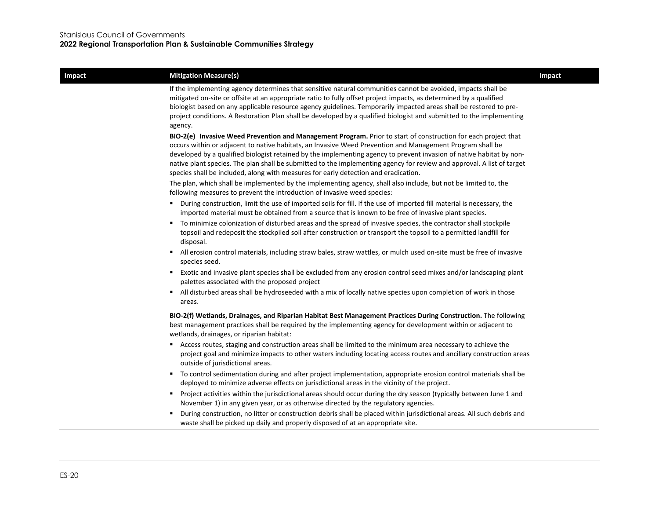#### **Impact Example 2 Impact Mitigation Measure(s) Impact Impact Impact Impact**

If the implementing agency determines that sensitive natural communities cannot be avoided, impacts shall be mitigated on-site or offsite at an appropriate ratio to fully offset project impacts, as determined by a qualified biologist based on any applicable resource agency guidelines. Temporarily impacted areas shall be restored to preproject conditions. A Restoration Plan shall be developed by a qualified biologist and submitted to the implementing agency.

**BIO-2(e) Invasive Weed Prevention and Management Program.** Prior to start of construction for each project that occurs within or adjacent to native habitats, an Invasive Weed Prevention and Management Program shall be developed by a qualified biologist retained by the implementing agency to prevent invasion of native habitat by nonnative plant species. The plan shall be submitted to the implementing agency for review and approval. A list of target species shall be included, along with measures for early detection and eradication.

The plan, which shall be implemented by the implementing agency, shall also include, but not be limited to, the following measures to prevent the introduction of invasive weed species:

- During construction, limit the use of imported soils for fill. If the use of imported fill material is necessary, the imported material must be obtained from a source that is known to be free of invasive plant species.
- To minimize colonization of disturbed areas and the spread of invasive species, the contractor shall stockpile topsoil and redeposit the stockpiled soil after construction or transport the topsoil to a permitted landfill for disposal.
- All erosion control materials, including straw bales, straw wattles, or mulch used on-site must be free of invasive species seed.
- Exotic and invasive plant species shall be excluded from any erosion control seed mixes and/or landscaping plant palettes associated with the proposed project
- All disturbed areas shall be hydroseeded with a mix of locally native species upon completion of work in those areas.

**BIO-2(f) Wetlands, Drainages, and Riparian Habitat Best Management Practices During Construction.** The following best management practices shall be required by the implementing agency for development within or adjacent to wetlands, drainages, or riparian habitat:

- Access routes, staging and construction areas shall be limited to the minimum area necessary to achieve the project goal and minimize impacts to other waters including locating access routes and ancillary construction areas outside of jurisdictional areas.
- To control sedimentation during and after project implementation, appropriate erosion control materials shall be deployed to minimize adverse effects on jurisdictional areas in the vicinity of the project.
- Project activities within the jurisdictional areas should occur during the dry season (typically between June 1 and November 1) in any given year, or as otherwise directed by the regulatory agencies.
- During construction, no litter or construction debris shall be placed within jurisdictional areas. All such debris and waste shall be picked up daily and properly disposed of at an appropriate site.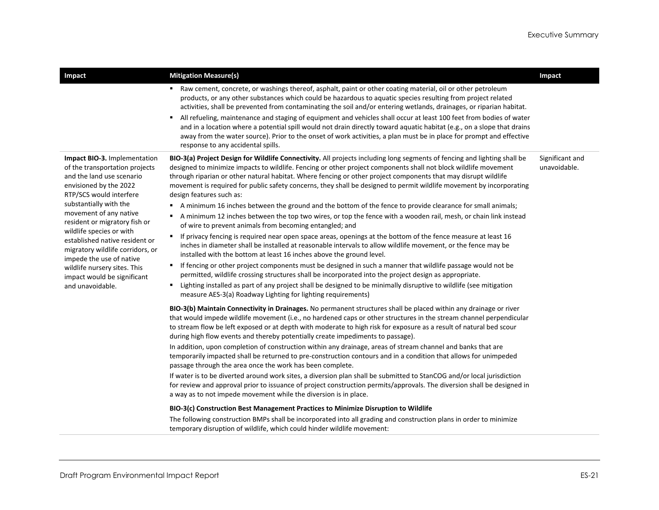| Impact                                                                                                                                                                                                                                                                                                                                                                                                                                                 | <b>Mitigation Measure(s)</b>                                                                                                                                                                                                                                                                                                                                                                                                                                                                                                                                                                                                                                                                                                                                                                                                                                                                                                                                                                                                                                                                                                                                                                                                                                                                                                                                                                                                                                                                                                                                                                                                                                                                                                                                                                                                                                                                                                                                                                                                                                                                                                                                                                                                                                                                                                                                                                                                                                                                                                                                                                                                                                                                                                                                                                                                                                                                                             | Impact                          |
|--------------------------------------------------------------------------------------------------------------------------------------------------------------------------------------------------------------------------------------------------------------------------------------------------------------------------------------------------------------------------------------------------------------------------------------------------------|--------------------------------------------------------------------------------------------------------------------------------------------------------------------------------------------------------------------------------------------------------------------------------------------------------------------------------------------------------------------------------------------------------------------------------------------------------------------------------------------------------------------------------------------------------------------------------------------------------------------------------------------------------------------------------------------------------------------------------------------------------------------------------------------------------------------------------------------------------------------------------------------------------------------------------------------------------------------------------------------------------------------------------------------------------------------------------------------------------------------------------------------------------------------------------------------------------------------------------------------------------------------------------------------------------------------------------------------------------------------------------------------------------------------------------------------------------------------------------------------------------------------------------------------------------------------------------------------------------------------------------------------------------------------------------------------------------------------------------------------------------------------------------------------------------------------------------------------------------------------------------------------------------------------------------------------------------------------------------------------------------------------------------------------------------------------------------------------------------------------------------------------------------------------------------------------------------------------------------------------------------------------------------------------------------------------------------------------------------------------------------------------------------------------------------------------------------------------------------------------------------------------------------------------------------------------------------------------------------------------------------------------------------------------------------------------------------------------------------------------------------------------------------------------------------------------------------------------------------------------------------------------------------------------------|---------------------------------|
|                                                                                                                                                                                                                                                                                                                                                                                                                                                        | Raw cement, concrete, or washings thereof, asphalt, paint or other coating material, oil or other petroleum<br>products, or any other substances which could be hazardous to aquatic species resulting from project related<br>activities, shall be prevented from contaminating the soil and/or entering wetlands, drainages, or riparian habitat.<br>All refueling, maintenance and staging of equipment and vehicles shall occur at least 100 feet from bodies of water<br>٠<br>and in a location where a potential spill would not drain directly toward aquatic habitat (e.g., on a slope that drains<br>away from the water source). Prior to the onset of work activities, a plan must be in place for prompt and effective<br>response to any accidental spills.                                                                                                                                                                                                                                                                                                                                                                                                                                                                                                                                                                                                                                                                                                                                                                                                                                                                                                                                                                                                                                                                                                                                                                                                                                                                                                                                                                                                                                                                                                                                                                                                                                                                                                                                                                                                                                                                                                                                                                                                                                                                                                                                                 |                                 |
| Impact BIO-3. Implementation<br>of the transportation projects<br>and the land use scenario<br>envisioned by the 2022<br>RTP/SCS would interfere<br>substantially with the<br>movement of any native<br>resident or migratory fish or<br>wildlife species or with<br>established native resident or<br>migratory wildlife corridors, or<br>impede the use of native<br>wildlife nursery sites. This<br>impact would be significant<br>and unavoidable. | BIO-3(a) Project Design for Wildlife Connectivity. All projects including long segments of fencing and lighting shall be<br>designed to minimize impacts to wildlife. Fencing or other project components shall not block wildlife movement<br>through riparian or other natural habitat. Where fencing or other project components that may disrupt wildlife<br>movement is required for public safety concerns, they shall be designed to permit wildlife movement by incorporating<br>design features such as:<br>A minimum 16 inches between the ground and the bottom of the fence to provide clearance for small animals;<br>A minimum 12 inches between the top two wires, or top the fence with a wooden rail, mesh, or chain link instead<br>of wire to prevent animals from becoming entangled; and<br>If privacy fencing is required near open space areas, openings at the bottom of the fence measure at least 16<br>inches in diameter shall be installed at reasonable intervals to allow wildlife movement, or the fence may be<br>installed with the bottom at least 16 inches above the ground level.<br>If fencing or other project components must be designed in such a manner that wildlife passage would not be<br>٠.<br>permitted, wildlife crossing structures shall be incorporated into the project design as appropriate.<br>Lighting installed as part of any project shall be designed to be minimally disruptive to wildlife (see mitigation<br>٠.<br>measure AES-3(a) Roadway Lighting for lighting requirements)<br>BIO-3(b) Maintain Connectivity in Drainages. No permanent structures shall be placed within any drainage or river<br>that would impede wildlife movement (i.e., no hardened caps or other structures in the stream channel perpendicular<br>to stream flow be left exposed or at depth with moderate to high risk for exposure as a result of natural bed scour<br>during high flow events and thereby potentially create impediments to passage).<br>In addition, upon completion of construction within any drainage, areas of stream channel and banks that are<br>temporarily impacted shall be returned to pre-construction contours and in a condition that allows for unimpeded<br>passage through the area once the work has been complete.<br>If water is to be diverted around work sites, a diversion plan shall be submitted to StanCOG and/or local jurisdiction<br>for review and approval prior to issuance of project construction permits/approvals. The diversion shall be designed in<br>a way as to not impede movement while the diversion is in place.<br>BIO-3(c) Construction Best Management Practices to Minimize Disruption to Wildlife<br>The following construction BMPs shall be incorporated into all grading and construction plans in order to minimize<br>temporary disruption of wildlife, which could hinder wildlife movement: | Significant and<br>unavoidable. |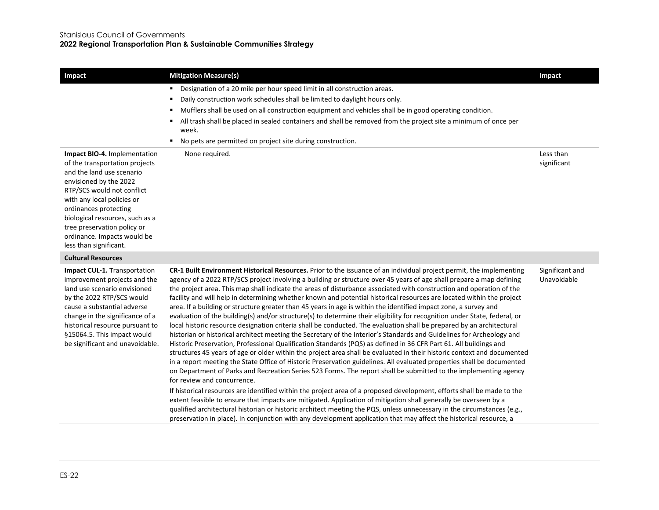**2022 Regional Transportation Plan & Sustainable Communities Strategy**

| Impact                                                                                                                                                                                                                                                                                                                                | <b>Mitigation Measure(s)</b>                                                                                                                                                                                                                                                                                                                                                                                                                                                                                                                                                                                                                                                                                                                                                                                                                                                                                                                                                                                                                                                                                          | Impact                         |
|---------------------------------------------------------------------------------------------------------------------------------------------------------------------------------------------------------------------------------------------------------------------------------------------------------------------------------------|-----------------------------------------------------------------------------------------------------------------------------------------------------------------------------------------------------------------------------------------------------------------------------------------------------------------------------------------------------------------------------------------------------------------------------------------------------------------------------------------------------------------------------------------------------------------------------------------------------------------------------------------------------------------------------------------------------------------------------------------------------------------------------------------------------------------------------------------------------------------------------------------------------------------------------------------------------------------------------------------------------------------------------------------------------------------------------------------------------------------------|--------------------------------|
|                                                                                                                                                                                                                                                                                                                                       | Designation of a 20 mile per hour speed limit in all construction areas.<br>п.<br>Daily construction work schedules shall be limited to daylight hours only.<br>٠<br>Mufflers shall be used on all construction equipment and vehicles shall be in good operating condition.<br>All trash shall be placed in sealed containers and shall be removed from the project site a minimum of once per<br>٠<br>week.<br>No pets are permitted on project site during construction.<br>٠                                                                                                                                                                                                                                                                                                                                                                                                                                                                                                                                                                                                                                      |                                |
| Impact BIO-4. Implementation<br>of the transportation projects<br>and the land use scenario<br>envisioned by the 2022<br>RTP/SCS would not conflict<br>with any local policies or<br>ordinances protecting<br>biological resources, such as a<br>tree preservation policy or<br>ordinance. Impacts would be<br>less than significant. | None required.                                                                                                                                                                                                                                                                                                                                                                                                                                                                                                                                                                                                                                                                                                                                                                                                                                                                                                                                                                                                                                                                                                        | Less than<br>significant       |
| <b>Cultural Resources</b>                                                                                                                                                                                                                                                                                                             |                                                                                                                                                                                                                                                                                                                                                                                                                                                                                                                                                                                                                                                                                                                                                                                                                                                                                                                                                                                                                                                                                                                       |                                |
| Impact CUL-1. Transportation<br>improvement projects and the<br>land use scenario envisioned<br>by the 2022 RTP/SCS would<br>cause a substantial adverse<br>change in the significance of a<br>historical resource pursuant to<br>§15064.5. This impact would<br>be significant and unavoidable.                                      | CR-1 Built Environment Historical Resources. Prior to the issuance of an individual project permit, the implementing<br>agency of a 2022 RTP/SCS project involving a building or structure over 45 years of age shall prepare a map defining<br>the project area. This map shall indicate the areas of disturbance associated with construction and operation of the<br>facility and will help in determining whether known and potential historical resources are located within the project<br>area. If a building or structure greater than 45 years in age is within the identified impact zone, a survey and<br>evaluation of the building(s) and/or structure(s) to determine their eligibility for recognition under State, federal, or<br>local historic resource designation criteria shall be conducted. The evaluation shall be prepared by an architectural<br>historian or historical architect meeting the Secretary of the Interior's Standards and Guidelines for Archeology and<br>Historic Preservation, Professional Qualification Standards (PQS) as defined in 36 CFR Part 61. All buildings and | Significant and<br>Unavoidable |

in a report meeting the State Office of Historic Preservation guidelines. All evaluated properties shall be documented on Department of Parks and Recreation Series 523 Forms. The report shall be submitted to the implementing agency for review and concurrence. If historical resources are identified within the project area of a proposed development, efforts shall be made to the

extent feasible to ensure that impacts are mitigated. Application of mitigation shall generally be overseen by a qualified architectural historian or historic architect meeting the PQS, unless unnecessary in the circumstances (e.g., preservation in place). In conjunction with any development application that may affect the historical resource, a

structures 45 years of age or older within the project area shall be evaluated in their historic context and documented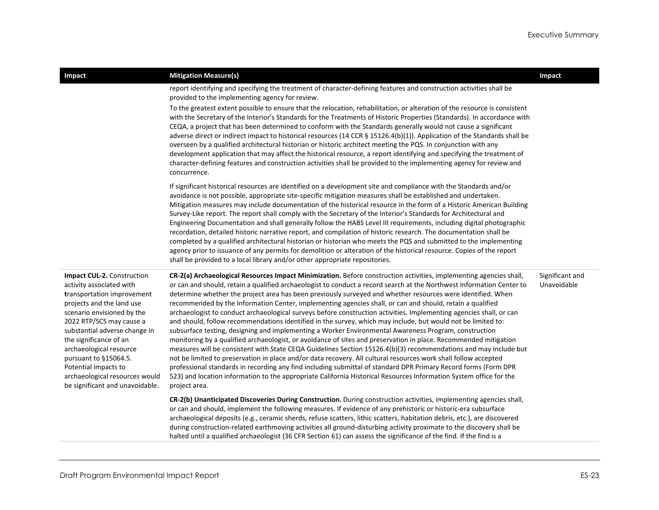| Impact                                                                                                                                                                                                                                                                                                                                                                                         | <b>Mitigation Measure(s)</b>                                                                                                                                                                                                                                                                                                                                                                                                                                                                                                                                                                                                                                                                                                                                                                                                                                                                                                                                                                                                                                                                                                                                                                                                                                                                                                                                                                                                                 | Impact                         |
|------------------------------------------------------------------------------------------------------------------------------------------------------------------------------------------------------------------------------------------------------------------------------------------------------------------------------------------------------------------------------------------------|----------------------------------------------------------------------------------------------------------------------------------------------------------------------------------------------------------------------------------------------------------------------------------------------------------------------------------------------------------------------------------------------------------------------------------------------------------------------------------------------------------------------------------------------------------------------------------------------------------------------------------------------------------------------------------------------------------------------------------------------------------------------------------------------------------------------------------------------------------------------------------------------------------------------------------------------------------------------------------------------------------------------------------------------------------------------------------------------------------------------------------------------------------------------------------------------------------------------------------------------------------------------------------------------------------------------------------------------------------------------------------------------------------------------------------------------|--------------------------------|
|                                                                                                                                                                                                                                                                                                                                                                                                | report identifying and specifying the treatment of character-defining features and construction activities shall be<br>provided to the implementing agency for review.                                                                                                                                                                                                                                                                                                                                                                                                                                                                                                                                                                                                                                                                                                                                                                                                                                                                                                                                                                                                                                                                                                                                                                                                                                                                       |                                |
|                                                                                                                                                                                                                                                                                                                                                                                                | To the greatest extent possible to ensure that the relocation, rehabilitation, or alteration of the resource is consistent<br>with the Secretary of the Interior's Standards for the Treatments of Historic Properties (Standards). In accordance with<br>CEQA, a project that has been determined to conform with the Standards generally would not cause a significant<br>adverse direct or indirect impact to historical resources (14 CCR § 15126.4(b)(1)). Application of the Standards shall be<br>overseen by a qualified architectural historian or historic architect meeting the PQS. In conjunction with any<br>development application that may affect the historical resource, a report identifying and specifying the treatment of<br>character-defining features and construction activities shall be provided to the implementing agency for review and<br>concurrence.                                                                                                                                                                                                                                                                                                                                                                                                                                                                                                                                                      |                                |
|                                                                                                                                                                                                                                                                                                                                                                                                | If significant historical resources are identified on a development site and compliance with the Standards and/or<br>avoidance is not possible, appropriate site-specific mitigation measures shall be established and undertaken.<br>Mitigation measures may include documentation of the historical resource in the form of a Historic American Building<br>Survey-Like report. The report shall comply with the Secretary of the Interior's Standards for Architectural and<br>Engineering Documentation and shall generally follow the HABS Level III requirements, including digital photographic<br>recordation, detailed historic narrative report, and compilation of historic research. The documentation shall be<br>completed by a qualified architectural historian or historian who meets the PQS and submitted to the implementing<br>agency prior to issuance of any permits for demolition or alteration of the historical resource. Copies of the report<br>shall be provided to a local library and/or other appropriate repositories.                                                                                                                                                                                                                                                                                                                                                                                     |                                |
| <b>Impact CUL-2.</b> Construction<br>activity associated with<br>transportation improvement<br>projects and the land use<br>scenario envisioned by the<br>2022 RTP/SCS may cause a<br>substantial adverse change in<br>the significance of an<br>archaeological resource<br>pursuant to §15064.5.<br>Potential impacts to<br>archaeological resources would<br>be significant and unavoidable. | CR-2(a) Archaeological Resources Impact Minimization. Before construction activities, implementing agencies shall,<br>or can and should, retain a qualified archaeologist to conduct a record search at the Northwest Information Center to<br>determine whether the project area has been previously surveyed and whether resources were identified. When<br>recommended by the Information Center, implementing agencies shall, or can and should, retain a qualified<br>archaeologist to conduct archaeological surveys before construction activities. Implementing agencies shall, or can<br>and should, follow recommendations identified in the survey, which may include, but would not be limited to:<br>subsurface testing, designing and implementing a Worker Environmental Awareness Program, construction<br>monitoring by a qualified archaeologist, or avoidance of sites and preservation in place. Recommended mitigation<br>measures will be consistent with State CEQA Guidelines Section 15126.4(b)(3) recommendations and may include but<br>not be limited to preservation in place and/or data recovery. All cultural resources work shall follow accepted<br>professional standards in recording any find including submittal of standard DPR Primary Record forms (Form DPR<br>523) and location information to the appropriate California Historical Resources Information System office for the<br>project area. | Significant and<br>Unavoidable |
|                                                                                                                                                                                                                                                                                                                                                                                                | CR-2(b) Unanticipated Discoveries During Construction. During construction activities, implementing agencies shall,<br>or can and should, implement the following measures. If evidence of any prehistoric or historic-era subsurface<br>archaeological deposits (e.g., ceramic sherds, refuse scatters, lithic scatters, habitation debris, etc.), are discovered<br>during construction-related earthmoving activities all ground-disturbing activity proximate to the discovery shall be                                                                                                                                                                                                                                                                                                                                                                                                                                                                                                                                                                                                                                                                                                                                                                                                                                                                                                                                                  |                                |

halted until a qualified archaeologist (36 CFR Section 61) can assess the significance of the find. If the find is a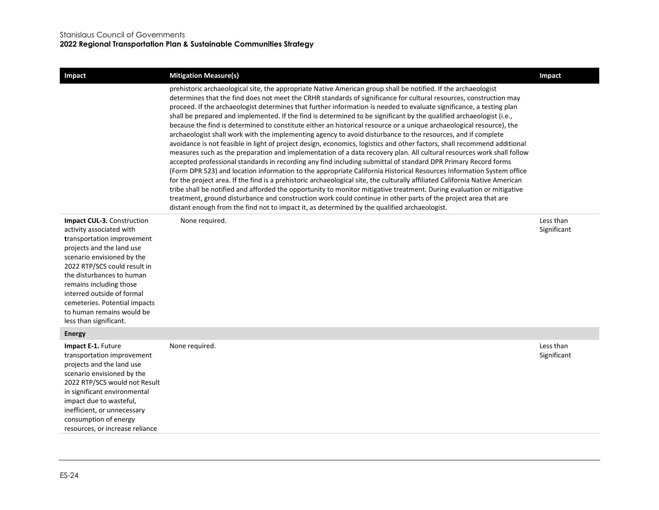| <b>Impact</b>                                                                                                                                                                                                                                                                                                                                                 | <b>Mitigation Measure(s)</b>                                                                                                                                                                                                                                                                                                                                                                                                                                                                                                                                                                                                                                                                                                                                                                                                                                                                                                                                                                                                                                                                                                                                                                                                                                                                                                                                                                                                                                                                                                                                                                                                                                                                           | Impact                   |
|---------------------------------------------------------------------------------------------------------------------------------------------------------------------------------------------------------------------------------------------------------------------------------------------------------------------------------------------------------------|--------------------------------------------------------------------------------------------------------------------------------------------------------------------------------------------------------------------------------------------------------------------------------------------------------------------------------------------------------------------------------------------------------------------------------------------------------------------------------------------------------------------------------------------------------------------------------------------------------------------------------------------------------------------------------------------------------------------------------------------------------------------------------------------------------------------------------------------------------------------------------------------------------------------------------------------------------------------------------------------------------------------------------------------------------------------------------------------------------------------------------------------------------------------------------------------------------------------------------------------------------------------------------------------------------------------------------------------------------------------------------------------------------------------------------------------------------------------------------------------------------------------------------------------------------------------------------------------------------------------------------------------------------------------------------------------------------|--------------------------|
|                                                                                                                                                                                                                                                                                                                                                               | prehistoric archaeological site, the appropriate Native American group shall be notified. If the archaeologist<br>determines that the find does not meet the CRHR standards of significance for cultural resources, construction may<br>proceed. If the archaeologist determines that further information is needed to evaluate significance, a testing plan<br>shall be prepared and implemented. If the find is determined to be significant by the qualified archaeologist (i.e.,<br>because the find is determined to constitute either an historical resource or a unique archaeological resource), the<br>archaeologist shall work with the implementing agency to avoid disturbance to the resources, and if complete<br>avoidance is not feasible in light of project design, economics, logistics and other factors, shall recommend additional<br>measures such as the preparation and implementation of a data recovery plan. All cultural resources work shall follow<br>accepted professional standards in recording any find including submittal of standard DPR Primary Record forms<br>(Form DPR 523) and location information to the appropriate California Historical Resources Information System office<br>for the project area. If the find is a prehistoric archaeological site, the culturally affiliated California Native American<br>tribe shall be notified and afforded the opportunity to monitor mitigative treatment. During evaluation or mitigative<br>treatment, ground disturbance and construction work could continue in other parts of the project area that are<br>distant enough from the find not to impact it, as determined by the qualified archaeologist. |                          |
| Impact CUL-3. Construction<br>activity associated with<br>transportation improvement<br>projects and the land use<br>scenario envisioned by the<br>2022 RTP/SCS could result in<br>the disturbances to human<br>remains including those<br>interred outside of formal<br>cemeteries. Potential impacts<br>to human remains would be<br>less than significant. | None required.                                                                                                                                                                                                                                                                                                                                                                                                                                                                                                                                                                                                                                                                                                                                                                                                                                                                                                                                                                                                                                                                                                                                                                                                                                                                                                                                                                                                                                                                                                                                                                                                                                                                                         | Less than<br>Significant |
| <b>Energy</b>                                                                                                                                                                                                                                                                                                                                                 |                                                                                                                                                                                                                                                                                                                                                                                                                                                                                                                                                                                                                                                                                                                                                                                                                                                                                                                                                                                                                                                                                                                                                                                                                                                                                                                                                                                                                                                                                                                                                                                                                                                                                                        |                          |
| Impact E-1. Future<br>transportation improvement<br>projects and the land use<br>scenario envisioned by the<br>2022 RTP/SCS would not Result<br>in significant environmental<br>impact due to wasteful,<br>inefficient, or unnecessary<br>consumption of energy<br>resources, or increase reliance                                                            | None required.                                                                                                                                                                                                                                                                                                                                                                                                                                                                                                                                                                                                                                                                                                                                                                                                                                                                                                                                                                                                                                                                                                                                                                                                                                                                                                                                                                                                                                                                                                                                                                                                                                                                                         | Less than<br>Significant |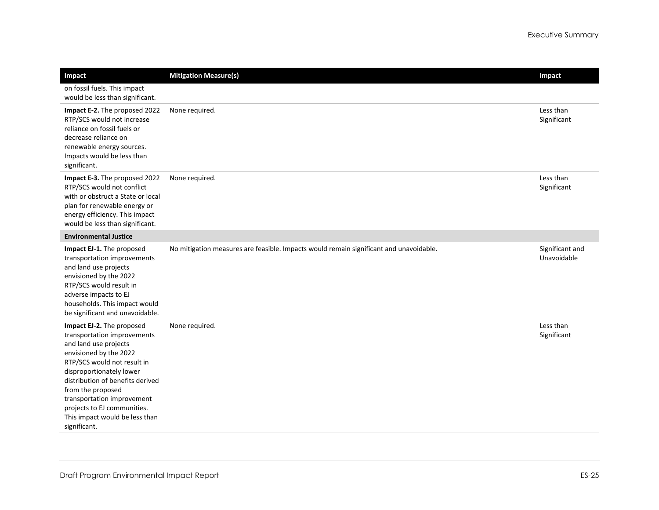| Impact                                                                                                                                                                                                                                                                                                                                         | <b>Mitigation Measure(s)</b>                                                           | Impact                         |
|------------------------------------------------------------------------------------------------------------------------------------------------------------------------------------------------------------------------------------------------------------------------------------------------------------------------------------------------|----------------------------------------------------------------------------------------|--------------------------------|
| on fossil fuels. This impact<br>would be less than significant.                                                                                                                                                                                                                                                                                |                                                                                        |                                |
| Impact E-2. The proposed 2022<br>RTP/SCS would not increase<br>reliance on fossil fuels or<br>decrease reliance on<br>renewable energy sources.<br>Impacts would be less than<br>significant.                                                                                                                                                  | None required.                                                                         | Less than<br>Significant       |
| Impact E-3. The proposed 2022<br>RTP/SCS would not conflict<br>with or obstruct a State or local<br>plan for renewable energy or<br>energy efficiency. This impact<br>would be less than significant.                                                                                                                                          | None required.                                                                         | Less than<br>Significant       |
| <b>Environmental Justice</b>                                                                                                                                                                                                                                                                                                                   |                                                                                        |                                |
| Impact EJ-1. The proposed<br>transportation improvements<br>and land use projects<br>envisioned by the 2022<br>RTP/SCS would result in<br>adverse impacts to EJ<br>households. This impact would<br>be significant and unavoidable.                                                                                                            | No mitigation measures are feasible. Impacts would remain significant and unavoidable. | Significant and<br>Unavoidable |
| Impact EJ-2. The proposed<br>transportation improvements<br>and land use projects<br>envisioned by the 2022<br>RTP/SCS would not result in<br>disproportionately lower<br>distribution of benefits derived<br>from the proposed<br>transportation improvement<br>projects to EJ communities.<br>This impact would be less than<br>significant. | None required.                                                                         | Less than<br>Significant       |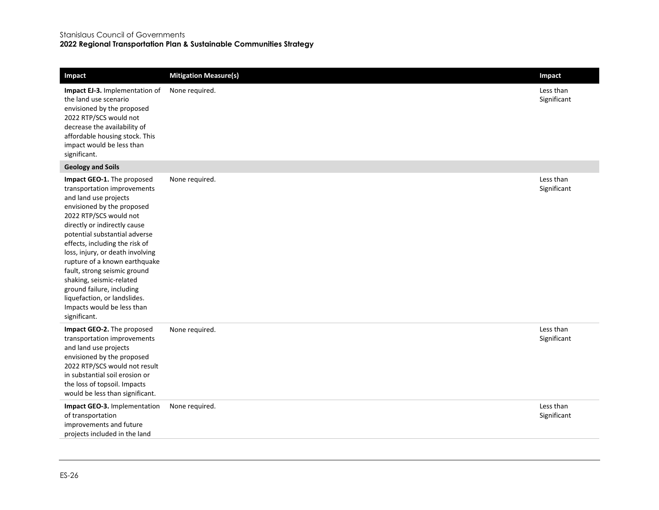#### Stanislaus Council of Governments

#### **2022 Regional Transportation Plan & Sustainable Communities Strategy**

| Impact                                                                                                                                                                                                                                                                                                                                                                                                                                                                                    | <b>Mitigation Measure(s)</b> | Impact                   |
|-------------------------------------------------------------------------------------------------------------------------------------------------------------------------------------------------------------------------------------------------------------------------------------------------------------------------------------------------------------------------------------------------------------------------------------------------------------------------------------------|------------------------------|--------------------------|
| <b>Impact EJ-3.</b> Implementation of<br>the land use scenario<br>envisioned by the proposed<br>2022 RTP/SCS would not<br>decrease the availability of<br>affordable housing stock. This<br>impact would be less than<br>significant.                                                                                                                                                                                                                                                     | None required.               | Less than<br>Significant |
| <b>Geology and Soils</b>                                                                                                                                                                                                                                                                                                                                                                                                                                                                  |                              |                          |
| Impact GEO-1. The proposed<br>transportation improvements<br>and land use projects<br>envisioned by the proposed<br>2022 RTP/SCS would not<br>directly or indirectly cause<br>potential substantial adverse<br>effects, including the risk of<br>loss, injury, or death involving<br>rupture of a known earthquake<br>fault, strong seismic ground<br>shaking, seismic-related<br>ground failure, including<br>liquefaction, or landslides.<br>Impacts would be less than<br>significant. | None required.               | Less than<br>Significant |
| Impact GEO-2. The proposed<br>transportation improvements<br>and land use projects<br>envisioned by the proposed<br>2022 RTP/SCS would not result<br>in substantial soil erosion or<br>the loss of topsoil. Impacts<br>would be less than significant.                                                                                                                                                                                                                                    | None required.               | Less than<br>Significant |
| Impact GEO-3. Implementation<br>of transportation<br>improvements and future<br>projects included in the land                                                                                                                                                                                                                                                                                                                                                                             | None required.               | Less than<br>Significant |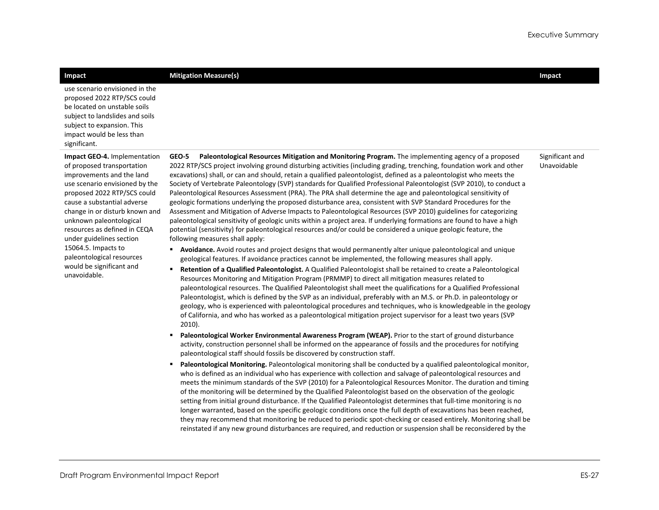| Impact                                                                                                                                                                                                                                                                                                                                                                                                           | <b>Mitigation Measure(s)</b>                                                                                                                                                                                                                                                                                                                                                                                                                                                                                                                                                                                                                                                                                                                                                                                                                                                                                                                                                                                                                                                                                                                                                                                                                                                                                                                                                                                                                                                                                                                                                                                                                                                                                                                                                                                                                                                                                                                                                                                                                                                                                                                                                                                                                                                                                                                                                                                                                                                                                                                                                                                                                                                                                                                                                                                                                                                                                                                                                                                                                                                                                                                                                                                                                                                                                                                       | Impact                         |
|------------------------------------------------------------------------------------------------------------------------------------------------------------------------------------------------------------------------------------------------------------------------------------------------------------------------------------------------------------------------------------------------------------------|----------------------------------------------------------------------------------------------------------------------------------------------------------------------------------------------------------------------------------------------------------------------------------------------------------------------------------------------------------------------------------------------------------------------------------------------------------------------------------------------------------------------------------------------------------------------------------------------------------------------------------------------------------------------------------------------------------------------------------------------------------------------------------------------------------------------------------------------------------------------------------------------------------------------------------------------------------------------------------------------------------------------------------------------------------------------------------------------------------------------------------------------------------------------------------------------------------------------------------------------------------------------------------------------------------------------------------------------------------------------------------------------------------------------------------------------------------------------------------------------------------------------------------------------------------------------------------------------------------------------------------------------------------------------------------------------------------------------------------------------------------------------------------------------------------------------------------------------------------------------------------------------------------------------------------------------------------------------------------------------------------------------------------------------------------------------------------------------------------------------------------------------------------------------------------------------------------------------------------------------------------------------------------------------------------------------------------------------------------------------------------------------------------------------------------------------------------------------------------------------------------------------------------------------------------------------------------------------------------------------------------------------------------------------------------------------------------------------------------------------------------------------------------------------------------------------------------------------------------------------------------------------------------------------------------------------------------------------------------------------------------------------------------------------------------------------------------------------------------------------------------------------------------------------------------------------------------------------------------------------------------------------------------------------------------------------------------------------------|--------------------------------|
| use scenario envisioned in the<br>proposed 2022 RTP/SCS could<br>be located on unstable soils<br>subject to landslides and soils<br>subject to expansion. This<br>impact would be less than<br>significant.                                                                                                                                                                                                      |                                                                                                                                                                                                                                                                                                                                                                                                                                                                                                                                                                                                                                                                                                                                                                                                                                                                                                                                                                                                                                                                                                                                                                                                                                                                                                                                                                                                                                                                                                                                                                                                                                                                                                                                                                                                                                                                                                                                                                                                                                                                                                                                                                                                                                                                                                                                                                                                                                                                                                                                                                                                                                                                                                                                                                                                                                                                                                                                                                                                                                                                                                                                                                                                                                                                                                                                                    |                                |
| Impact GEO-4. Implementation<br>of proposed transportation<br>improvements and the land<br>use scenario envisioned by the<br>proposed 2022 RTP/SCS could<br>cause a substantial adverse<br>change in or disturb known and<br>unknown paleontological<br>resources as defined in CEQA<br>under guidelines section<br>15064.5. Impacts to<br>paleontological resources<br>would be significant and<br>unavoidable. | GEO-5<br>Paleontological Resources Mitigation and Monitoring Program. The implementing agency of a proposed<br>2022 RTP/SCS project involving ground disturbing activities (including grading, trenching, foundation work and other<br>excavations) shall, or can and should, retain a qualified paleontologist, defined as a paleontologist who meets the<br>Society of Vertebrate Paleontology (SVP) standards for Qualified Professional Paleontologist (SVP 2010), to conduct a<br>Paleontological Resources Assessment (PRA). The PRA shall determine the age and paleontological sensitivity of<br>geologic formations underlying the proposed disturbance area, consistent with SVP Standard Procedures for the<br>Assessment and Mitigation of Adverse Impacts to Paleontological Resources (SVP 2010) guidelines for categorizing<br>paleontological sensitivity of geologic units within a project area. If underlying formations are found to have a high<br>potential (sensitivity) for paleontological resources and/or could be considered a unique geologic feature, the<br>following measures shall apply:<br>Avoidance. Avoid routes and project designs that would permanently alter unique paleontological and unique<br>geological features. If avoidance practices cannot be implemented, the following measures shall apply.<br>Retention of a Qualified Paleontologist. A Qualified Paleontologist shall be retained to create a Paleontological<br>Resources Monitoring and Mitigation Program (PRMMP) to direct all mitigation measures related to<br>paleontological resources. The Qualified Paleontologist shall meet the qualifications for a Qualified Professional<br>Paleontologist, which is defined by the SVP as an individual, preferably with an M.S. or Ph.D. in paleontology or<br>geology, who is experienced with paleontological procedures and techniques, who is knowledgeable in the geology<br>of California, and who has worked as a paleontological mitigation project supervisor for a least two years (SVP<br>$2010$ ).<br>Paleontological Worker Environmental Awareness Program (WEAP). Prior to the start of ground disturbance<br>activity, construction personnel shall be informed on the appearance of fossils and the procedures for notifying<br>paleontological staff should fossils be discovered by construction staff.<br>Paleontological Monitoring. Paleontological monitoring shall be conducted by a qualified paleontological monitor,<br>who is defined as an individual who has experience with collection and salvage of paleontological resources and<br>meets the minimum standards of the SVP (2010) for a Paleontological Resources Monitor. The duration and timing<br>of the monitoring will be determined by the Qualified Paleontologist based on the observation of the geologic<br>setting from initial ground disturbance. If the Qualified Paleontologist determines that full-time monitoring is no<br>longer warranted, based on the specific geologic conditions once the full depth of excavations has been reached,<br>they may recommend that monitoring be reduced to periodic spot-checking or ceased entirely. Monitoring shall be<br>reinstated if any new ground disturbances are required, and reduction or suspension shall be reconsidered by the | Significant and<br>Unavoidable |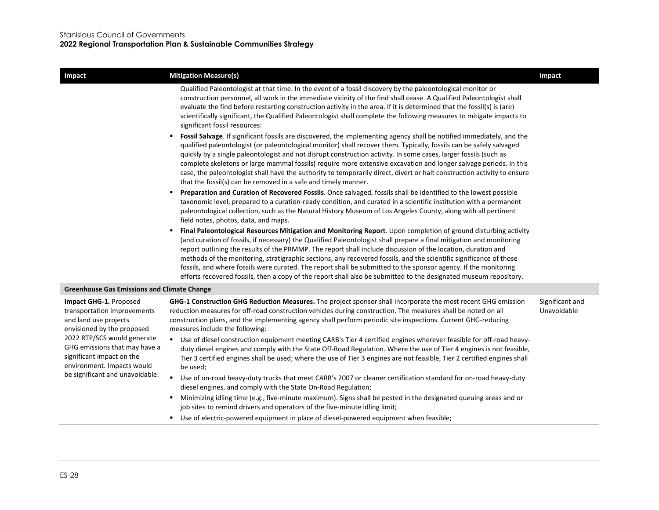| Impact                                                                                                                                                                                                                                                                     | <b>Mitigation Measure(s)</b>                                                                                                                                                                                                                                                                                                                                                                                                                                                                                                                                                                                                                                                                                               | Impact                         |
|----------------------------------------------------------------------------------------------------------------------------------------------------------------------------------------------------------------------------------------------------------------------------|----------------------------------------------------------------------------------------------------------------------------------------------------------------------------------------------------------------------------------------------------------------------------------------------------------------------------------------------------------------------------------------------------------------------------------------------------------------------------------------------------------------------------------------------------------------------------------------------------------------------------------------------------------------------------------------------------------------------------|--------------------------------|
|                                                                                                                                                                                                                                                                            | Qualified Paleontologist at that time. In the event of a fossil discovery by the paleontological monitor or<br>construction personnel, all work in the immediate vicinity of the find shall cease. A Qualified Paleontologist shall<br>evaluate the find before restarting construction activity in the area. If it is determined that the fossil(s) is (are)<br>scientifically significant, the Qualified Paleontologist shall complete the following measures to mitigate impacts to<br>significant fossil resources:                                                                                                                                                                                                    |                                |
|                                                                                                                                                                                                                                                                            | Fossil Salvage. If significant fossils are discovered, the implementing agency shall be notified immediately, and the<br>٠<br>qualified paleontologist (or paleontological monitor) shall recover them. Typically, fossils can be safely salvaged<br>quickly by a single paleontologist and not disrupt construction activity. In some cases, larger fossils (such as<br>complete skeletons or large mammal fossils) require more extensive excavation and longer salvage periods. In this<br>case, the paleontologist shall have the authority to temporarily direct, divert or halt construction activity to ensure<br>that the fossil(s) can be removed in a safe and timely manner.                                    |                                |
|                                                                                                                                                                                                                                                                            | Preparation and Curation of Recovered Fossils. Once salvaged, fossils shall be identified to the lowest possible<br>٠<br>taxonomic level, prepared to a curation-ready condition, and curated in a scientific institution with a permanent<br>paleontological collection, such as the Natural History Museum of Los Angeles County, along with all pertinent<br>field notes, photos, data, and maps.                                                                                                                                                                                                                                                                                                                       |                                |
|                                                                                                                                                                                                                                                                            | Final Paleontological Resources Mitigation and Monitoring Report. Upon completion of ground disturbing activity<br>٠<br>(and curation of fossils, if necessary) the Qualified Paleontologist shall prepare a final mitigation and monitoring<br>report outlining the results of the PRMMP. The report shall include discussion of the location, duration and<br>methods of the monitoring, stratigraphic sections, any recovered fossils, and the scientific significance of those<br>fossils, and where fossils were curated. The report shall be submitted to the sponsor agency. If the monitoring<br>efforts recovered fossils, then a copy of the report shall also be submitted to the designated museum repository. |                                |
| <b>Greenhouse Gas Emissions and Climate Change</b>                                                                                                                                                                                                                         |                                                                                                                                                                                                                                                                                                                                                                                                                                                                                                                                                                                                                                                                                                                            |                                |
| Impact GHG-1. Proposed<br>transportation improvements<br>and land use projects<br>envisioned by the proposed<br>2022 RTP/SCS would generate<br>GHG emissions that may have a<br>significant impact on the<br>environment. Impacts would<br>be significant and unavoidable. | GHG-1 Construction GHG Reduction Measures. The project sponsor shall incorporate the most recent GHG emission<br>reduction measures for off-road construction vehicles during construction. The measures shall be noted on all<br>construction plans, and the implementing agency shall perform periodic site inspections. Current GHG-reducing<br>measures include the following:                                                                                                                                                                                                                                                                                                                                         | Significant and<br>Unavoidable |
|                                                                                                                                                                                                                                                                            | Use of diesel construction equipment meeting CARB's Tier 4 certified engines wherever feasible for off-road heavy-<br>٠.<br>duty diesel engines and comply with the State Off-Road Regulation. Where the use of Tier 4 engines is not feasible,<br>Tier 3 certified engines shall be used; where the use of Tier 3 engines are not feasible, Tier 2 certified engines shall<br>be used;                                                                                                                                                                                                                                                                                                                                    |                                |
|                                                                                                                                                                                                                                                                            | $\blacksquare$<br>Use of on-road heavy-duty trucks that meet CARB's 2007 or cleaner certification standard for on-road heavy-duty<br>diesel engines, and comply with the State On-Road Regulation;                                                                                                                                                                                                                                                                                                                                                                                                                                                                                                                         |                                |
|                                                                                                                                                                                                                                                                            | Minimizing idling time (e.g., five-minute maximum). Signs shall be posted in the designated queuing areas and or<br>٠<br>job sites to remind drivers and operators of the five-minute idling limit;                                                                                                                                                                                                                                                                                                                                                                                                                                                                                                                        |                                |
|                                                                                                                                                                                                                                                                            | Use of electric-powered equipment in place of diesel-powered equipment when feasible;                                                                                                                                                                                                                                                                                                                                                                                                                                                                                                                                                                                                                                      |                                |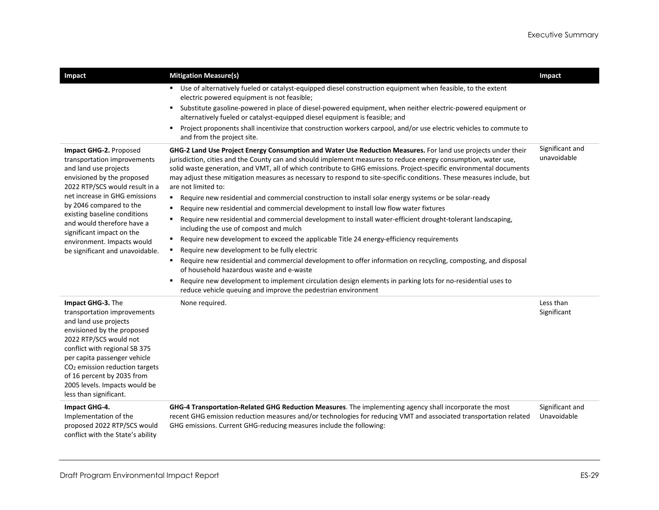| Impact                                                                                                                                                                                                                                                                                                                                                                 | <b>Mitigation Measure(s)</b><br>• Use of alternatively fueled or catalyst-equipped diesel construction equipment when feasible, to the extent<br>electric powered equipment is not feasible;<br>Substitute gasoline-powered in place of diesel-powered equipment, when neither electric-powered equipment or<br>$\blacksquare$<br>alternatively fueled or catalyst-equipped diesel equipment is feasible; and<br>Project proponents shall incentivize that construction workers carpool, and/or use electric vehicles to commute to<br>٠.<br>and from the project site.                                                                                                                                                                                                                                                                                                                                                                                                                                                                                                                                                                                                                                                                                                                                                                                                                           | Impact                         |
|------------------------------------------------------------------------------------------------------------------------------------------------------------------------------------------------------------------------------------------------------------------------------------------------------------------------------------------------------------------------|---------------------------------------------------------------------------------------------------------------------------------------------------------------------------------------------------------------------------------------------------------------------------------------------------------------------------------------------------------------------------------------------------------------------------------------------------------------------------------------------------------------------------------------------------------------------------------------------------------------------------------------------------------------------------------------------------------------------------------------------------------------------------------------------------------------------------------------------------------------------------------------------------------------------------------------------------------------------------------------------------------------------------------------------------------------------------------------------------------------------------------------------------------------------------------------------------------------------------------------------------------------------------------------------------------------------------------------------------------------------------------------------------|--------------------------------|
| Impact GHG-2. Proposed<br>transportation improvements<br>and land use projects<br>envisioned by the proposed<br>2022 RTP/SCS would result in a<br>net increase in GHG emissions<br>by 2046 compared to the<br>existing baseline conditions<br>and would therefore have a<br>significant impact on the<br>environment. Impacts would<br>be significant and unavoidable. | GHG-2 Land Use Project Energy Consumption and Water Use Reduction Measures. For land use projects under their<br>jurisdiction, cities and the County can and should implement measures to reduce energy consumption, water use,<br>solid waste generation, and VMT, all of which contribute to GHG emissions. Project-specific environmental documents<br>may adjust these mitigation measures as necessary to respond to site-specific conditions. These measures include, but<br>are not limited to:<br>Require new residential and commercial construction to install solar energy systems or be solar-ready<br>$\blacksquare$<br>Require new residential and commercial development to install low flow water fixtures<br>٠<br>Require new residential and commercial development to install water-efficient drought-tolerant landscaping,<br>٠<br>including the use of compost and mulch<br>Require new development to exceed the applicable Title 24 energy-efficiency requirements<br>Require new development to be fully electric<br>٠<br>Require new residential and commercial development to offer information on recycling, composting, and disposal<br>of household hazardous waste and e-waste<br>Require new development to implement circulation design elements in parking lots for no-residential uses to<br>٠<br>reduce vehicle queuing and improve the pedestrian environment | Significant and<br>unavoidable |
| Impact GHG-3. The<br>transportation improvements<br>and land use projects<br>envisioned by the proposed<br>2022 RTP/SCS would not<br>conflict with regional SB 375<br>per capita passenger vehicle<br>CO <sub>2</sub> emission reduction targets<br>of 16 percent by 2035 from<br>2005 levels. Impacts would be<br>less than significant.                              | None required.                                                                                                                                                                                                                                                                                                                                                                                                                                                                                                                                                                                                                                                                                                                                                                                                                                                                                                                                                                                                                                                                                                                                                                                                                                                                                                                                                                                    | Less than<br>Significant       |
| Impact GHG-4.<br>Implementation of the<br>proposed 2022 RTP/SCS would<br>conflict with the State's ability                                                                                                                                                                                                                                                             | GHG-4 Transportation-Related GHG Reduction Measures. The implementing agency shall incorporate the most<br>recent GHG emission reduction measures and/or technologies for reducing VMT and associated transportation related<br>GHG emissions. Current GHG-reducing measures include the following:                                                                                                                                                                                                                                                                                                                                                                                                                                                                                                                                                                                                                                                                                                                                                                                                                                                                                                                                                                                                                                                                                               | Significant and<br>Unavoidable |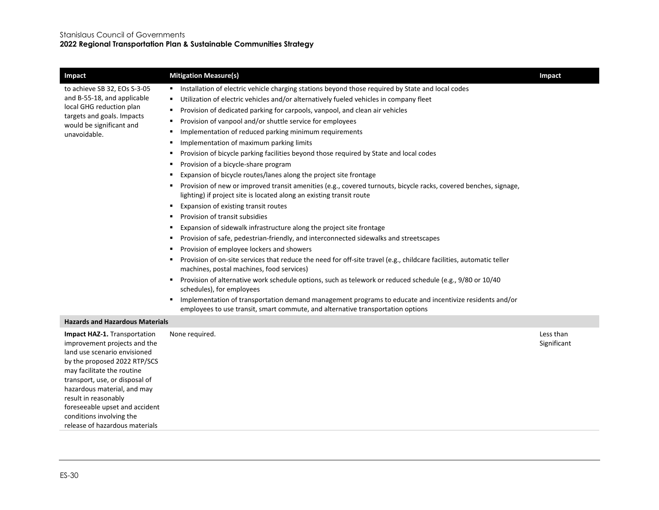| Impact                                                                                                                                                                                                                                                                                                                                              | <b>Mitigation Measure(s)</b>                                                                                                                                                                                                                                                                                                                                                                                                                                                                                                                                                                                                                                                                                                                                                                                                                                                                                                                                                                                                                                                                                                                                                                                                                                                                                                                                                                                                                                                                                                                                                                                                                                                                                                           | Impact                   |
|-----------------------------------------------------------------------------------------------------------------------------------------------------------------------------------------------------------------------------------------------------------------------------------------------------------------------------------------------------|----------------------------------------------------------------------------------------------------------------------------------------------------------------------------------------------------------------------------------------------------------------------------------------------------------------------------------------------------------------------------------------------------------------------------------------------------------------------------------------------------------------------------------------------------------------------------------------------------------------------------------------------------------------------------------------------------------------------------------------------------------------------------------------------------------------------------------------------------------------------------------------------------------------------------------------------------------------------------------------------------------------------------------------------------------------------------------------------------------------------------------------------------------------------------------------------------------------------------------------------------------------------------------------------------------------------------------------------------------------------------------------------------------------------------------------------------------------------------------------------------------------------------------------------------------------------------------------------------------------------------------------------------------------------------------------------------------------------------------------|--------------------------|
| to achieve SB 32, EOs S-3-05<br>and B-55-18, and applicable<br>local GHG reduction plan<br>targets and goals. Impacts<br>would be significant and<br>unavoidable.                                                                                                                                                                                   | Installation of electric vehicle charging stations beyond those required by State and local codes<br>٠<br>Utilization of electric vehicles and/or alternatively fueled vehicles in company fleet<br>Provision of dedicated parking for carpools, vanpool, and clean air vehicles<br>٠<br>Provision of vanpool and/or shuttle service for employees<br>٠<br>Implementation of reduced parking minimum requirements<br>٠<br>Implementation of maximum parking limits<br>٠<br>Provision of bicycle parking facilities beyond those required by State and local codes<br>٠<br>Provision of a bicycle-share program<br>٠<br>Expansion of bicycle routes/lanes along the project site frontage<br>٠<br>Provision of new or improved transit amenities (e.g., covered turnouts, bicycle racks, covered benches, signage,<br>٠<br>lighting) if project site is located along an existing transit route<br>Expansion of existing transit routes<br>٠<br>Provision of transit subsidies<br>٠<br>Expansion of sidewalk infrastructure along the project site frontage<br>٠<br>Provision of safe, pedestrian-friendly, and interconnected sidewalks and streetscapes<br>٠<br>Provision of employee lockers and showers<br>٠<br>Provision of on-site services that reduce the need for off-site travel (e.g., childcare facilities, automatic teller<br>٠<br>machines, postal machines, food services)<br>Provision of alternative work schedule options, such as telework or reduced schedule (e.g., 9/80 or 10/40<br>٠<br>schedules), for employees<br>Implementation of transportation demand management programs to educate and incentivize residents and/or<br>employees to use transit, smart commute, and alternative transportation options |                          |
| <b>Hazards and Hazardous Materials</b>                                                                                                                                                                                                                                                                                                              |                                                                                                                                                                                                                                                                                                                                                                                                                                                                                                                                                                                                                                                                                                                                                                                                                                                                                                                                                                                                                                                                                                                                                                                                                                                                                                                                                                                                                                                                                                                                                                                                                                                                                                                                        |                          |
| Impact HAZ-1. Transportation<br>improvement projects and the<br>land use scenario envisioned<br>by the proposed 2022 RTP/SCS<br>may facilitate the routine<br>transport, use, or disposal of<br>hazardous material, and may<br>result in reasonably<br>foreseeable upset and accident<br>conditions involving the<br>release of hazardous materials | None required.                                                                                                                                                                                                                                                                                                                                                                                                                                                                                                                                                                                                                                                                                                                                                                                                                                                                                                                                                                                                                                                                                                                                                                                                                                                                                                                                                                                                                                                                                                                                                                                                                                                                                                                         | Less than<br>Significant |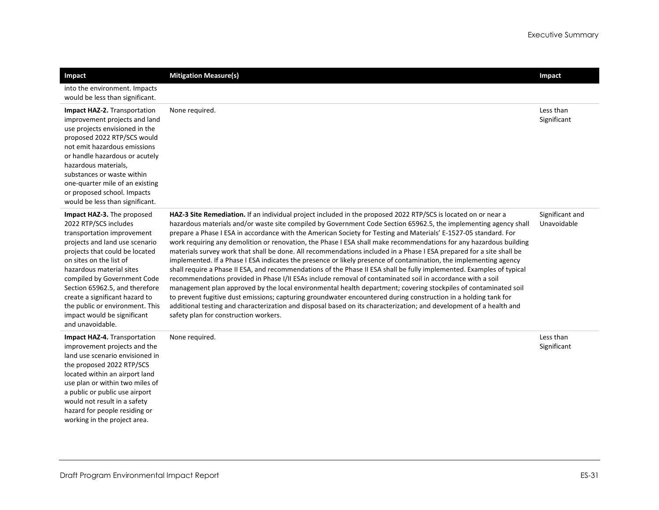| Impact                                                                                                                                                                                                                                                                                                                                                                                                | <b>Mitigation Measure(s)</b>                                                                                                                                                                                                                                                                                                                                                                                                                                                                                                                                                                                                                                                                                                                                                                                                                                                                                                                                                                                                                                                                                                                                                                                                                                                                                                                                           | Impact                         |
|-------------------------------------------------------------------------------------------------------------------------------------------------------------------------------------------------------------------------------------------------------------------------------------------------------------------------------------------------------------------------------------------------------|------------------------------------------------------------------------------------------------------------------------------------------------------------------------------------------------------------------------------------------------------------------------------------------------------------------------------------------------------------------------------------------------------------------------------------------------------------------------------------------------------------------------------------------------------------------------------------------------------------------------------------------------------------------------------------------------------------------------------------------------------------------------------------------------------------------------------------------------------------------------------------------------------------------------------------------------------------------------------------------------------------------------------------------------------------------------------------------------------------------------------------------------------------------------------------------------------------------------------------------------------------------------------------------------------------------------------------------------------------------------|--------------------------------|
| into the environment. Impacts<br>would be less than significant.                                                                                                                                                                                                                                                                                                                                      |                                                                                                                                                                                                                                                                                                                                                                                                                                                                                                                                                                                                                                                                                                                                                                                                                                                                                                                                                                                                                                                                                                                                                                                                                                                                                                                                                                        |                                |
| Impact HAZ-2. Transportation<br>improvement projects and land<br>use projects envisioned in the<br>proposed 2022 RTP/SCS would<br>not emit hazardous emissions<br>or handle hazardous or acutely<br>hazardous materials,<br>substances or waste within<br>one-quarter mile of an existing<br>or proposed school. Impacts<br>would be less than significant.                                           | None required.                                                                                                                                                                                                                                                                                                                                                                                                                                                                                                                                                                                                                                                                                                                                                                                                                                                                                                                                                                                                                                                                                                                                                                                                                                                                                                                                                         | Less than<br>Significant       |
| Impact HAZ-3. The proposed<br>2022 RTP/SCS includes<br>transportation improvement<br>projects and land use scenario<br>projects that could be located<br>on sites on the list of<br>hazardous material sites<br>compiled by Government Code<br>Section 65962.5, and therefore<br>create a significant hazard to<br>the public or environment. This<br>impact would be significant<br>and unavoidable. | HAZ-3 Site Remediation. If an individual project included in the proposed 2022 RTP/SCS is located on or near a<br>hazardous materials and/or waste site compiled by Government Code Section 65962.5, the implementing agency shall<br>prepare a Phase I ESA in accordance with the American Society for Testing and Materials' E-1527-05 standard. For<br>work requiring any demolition or renovation, the Phase I ESA shall make recommendations for any hazardous building<br>materials survey work that shall be done. All recommendations included in a Phase I ESA prepared for a site shall be<br>implemented. If a Phase I ESA indicates the presence or likely presence of contamination, the implementing agency<br>shall require a Phase II ESA, and recommendations of the Phase II ESA shall be fully implemented. Examples of typical<br>recommendations provided in Phase I/II ESAs include removal of contaminated soil in accordance with a soil<br>management plan approved by the local environmental health department; covering stockpiles of contaminated soil<br>to prevent fugitive dust emissions; capturing groundwater encountered during construction in a holding tank for<br>additional testing and characterization and disposal based on its characterization; and development of a health and<br>safety plan for construction workers. | Significant and<br>Unavoidable |
| Impact HAZ-4. Transportation<br>improvement projects and the<br>land use scenario envisioned in<br>the proposed 2022 RTP/SCS<br>located within an airport land<br>use plan or within two miles of<br>a public or public use airport<br>would not result in a safety<br>hazard for people residing or<br>working in the project area.                                                                  | None required.                                                                                                                                                                                                                                                                                                                                                                                                                                                                                                                                                                                                                                                                                                                                                                                                                                                                                                                                                                                                                                                                                                                                                                                                                                                                                                                                                         | Less than<br>Significant       |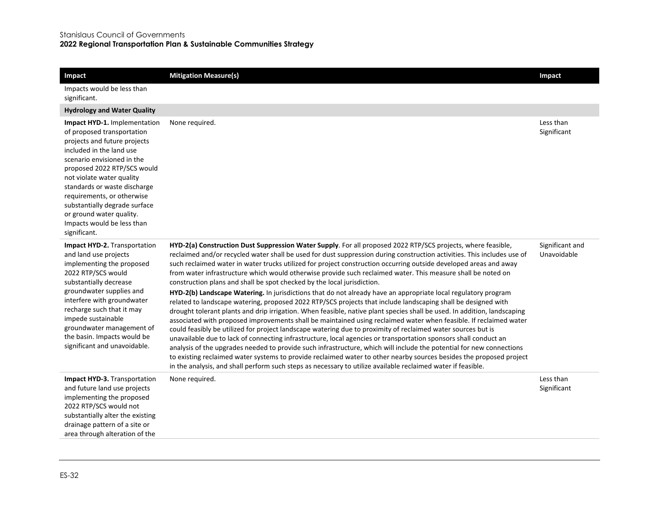#### Stanislaus Council of Governments

**2022 Regional Transportation Plan & Sustainable Communities Strategy**

| Impact                                                                                                                                                                                                                                                                                                                                                                                    | <b>Mitigation Measure(s)</b>                                                                                                                                                                                                                                                                                                                                                                                                                                                                                                                                                                                                                                                                                                                                                                                                                                                                                                                                                                                                                                                                                                                                                                                                                                                                                                                                                                                                                                                                                                                                                                                                                   | Impact                         |
|-------------------------------------------------------------------------------------------------------------------------------------------------------------------------------------------------------------------------------------------------------------------------------------------------------------------------------------------------------------------------------------------|------------------------------------------------------------------------------------------------------------------------------------------------------------------------------------------------------------------------------------------------------------------------------------------------------------------------------------------------------------------------------------------------------------------------------------------------------------------------------------------------------------------------------------------------------------------------------------------------------------------------------------------------------------------------------------------------------------------------------------------------------------------------------------------------------------------------------------------------------------------------------------------------------------------------------------------------------------------------------------------------------------------------------------------------------------------------------------------------------------------------------------------------------------------------------------------------------------------------------------------------------------------------------------------------------------------------------------------------------------------------------------------------------------------------------------------------------------------------------------------------------------------------------------------------------------------------------------------------------------------------------------------------|--------------------------------|
| Impacts would be less than<br>significant.                                                                                                                                                                                                                                                                                                                                                |                                                                                                                                                                                                                                                                                                                                                                                                                                                                                                                                                                                                                                                                                                                                                                                                                                                                                                                                                                                                                                                                                                                                                                                                                                                                                                                                                                                                                                                                                                                                                                                                                                                |                                |
| <b>Hydrology and Water Quality</b>                                                                                                                                                                                                                                                                                                                                                        |                                                                                                                                                                                                                                                                                                                                                                                                                                                                                                                                                                                                                                                                                                                                                                                                                                                                                                                                                                                                                                                                                                                                                                                                                                                                                                                                                                                                                                                                                                                                                                                                                                                |                                |
| Impact HYD-1. Implementation<br>of proposed transportation<br>projects and future projects<br>included in the land use<br>scenario envisioned in the<br>proposed 2022 RTP/SCS would<br>not violate water quality<br>standards or waste discharge<br>requirements, or otherwise<br>substantially degrade surface<br>or ground water quality.<br>Impacts would be less than<br>significant. | None required.                                                                                                                                                                                                                                                                                                                                                                                                                                                                                                                                                                                                                                                                                                                                                                                                                                                                                                                                                                                                                                                                                                                                                                                                                                                                                                                                                                                                                                                                                                                                                                                                                                 | Less than<br>Significant       |
| Impact HYD-2. Transportation<br>and land use projects<br>implementing the proposed<br>2022 RTP/SCS would<br>substantially decrease<br>groundwater supplies and<br>interfere with groundwater<br>recharge such that it may<br>impede sustainable<br>groundwater management of<br>the basin. Impacts would be<br>significant and unavoidable.                                               | HYD-2(a) Construction Dust Suppression Water Supply. For all proposed 2022 RTP/SCS projects, where feasible,<br>reclaimed and/or recycled water shall be used for dust suppression during construction activities. This includes use of<br>such reclaimed water in water trucks utilized for project construction occurring outside developed areas and away<br>from water infrastructure which would otherwise provide such reclaimed water. This measure shall be noted on<br>construction plans and shall be spot checked by the local jurisdiction.<br>HYD-2(b) Landscape Watering. In jurisdictions that do not already have an appropriate local regulatory program<br>related to landscape watering, proposed 2022 RTP/SCS projects that include landscaping shall be designed with<br>drought tolerant plants and drip irrigation. When feasible, native plant species shall be used. In addition, landscaping<br>associated with proposed improvements shall be maintained using reclaimed water when feasible. If reclaimed water<br>could feasibly be utilized for project landscape watering due to proximity of reclaimed water sources but is<br>unavailable due to lack of connecting infrastructure, local agencies or transportation sponsors shall conduct an<br>analysis of the upgrades needed to provide such infrastructure, which will include the potential for new connections<br>to existing reclaimed water systems to provide reclaimed water to other nearby sources besides the proposed project<br>in the analysis, and shall perform such steps as necessary to utilize available reclaimed water if feasible. | Significant and<br>Unavoidable |
| Impact HYD-3. Transportation<br>and future land use projects<br>implementing the proposed<br>2022 RTP/SCS would not<br>substantially alter the existing<br>drainage pattern of a site or<br>area through alteration of the                                                                                                                                                                | None required.                                                                                                                                                                                                                                                                                                                                                                                                                                                                                                                                                                                                                                                                                                                                                                                                                                                                                                                                                                                                                                                                                                                                                                                                                                                                                                                                                                                                                                                                                                                                                                                                                                 | Less than<br>Significant       |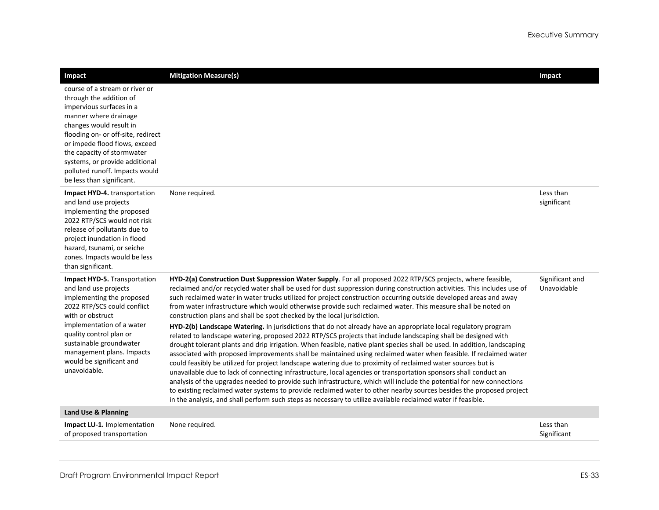| Impact                                                                                                                                                                                                                                                                                                                                          | <b>Mitigation Measure(s)</b>                                                                                                                                                                                                                                                                                                                                                                                                                                                                                                                                                                                                                                                                                                                                                                                                                                                                                                                                                                                                                                                                                                                                                                                                                                                                                                                                                                                                                                                                                                                                                                                                                   | Impact                         |
|-------------------------------------------------------------------------------------------------------------------------------------------------------------------------------------------------------------------------------------------------------------------------------------------------------------------------------------------------|------------------------------------------------------------------------------------------------------------------------------------------------------------------------------------------------------------------------------------------------------------------------------------------------------------------------------------------------------------------------------------------------------------------------------------------------------------------------------------------------------------------------------------------------------------------------------------------------------------------------------------------------------------------------------------------------------------------------------------------------------------------------------------------------------------------------------------------------------------------------------------------------------------------------------------------------------------------------------------------------------------------------------------------------------------------------------------------------------------------------------------------------------------------------------------------------------------------------------------------------------------------------------------------------------------------------------------------------------------------------------------------------------------------------------------------------------------------------------------------------------------------------------------------------------------------------------------------------------------------------------------------------|--------------------------------|
| course of a stream or river or<br>through the addition of<br>impervious surfaces in a<br>manner where drainage<br>changes would result in<br>flooding on- or off-site, redirect<br>or impede flood flows, exceed<br>the capacity of stormwater<br>systems, or provide additional<br>polluted runoff. Impacts would<br>be less than significant. |                                                                                                                                                                                                                                                                                                                                                                                                                                                                                                                                                                                                                                                                                                                                                                                                                                                                                                                                                                                                                                                                                                                                                                                                                                                                                                                                                                                                                                                                                                                                                                                                                                                |                                |
| Impact HYD-4. transportation<br>and land use projects<br>implementing the proposed<br>2022 RTP/SCS would not risk<br>release of pollutants due to<br>project inundation in flood<br>hazard, tsunami, or seiche<br>zones. Impacts would be less<br>than significant.                                                                             | None required.                                                                                                                                                                                                                                                                                                                                                                                                                                                                                                                                                                                                                                                                                                                                                                                                                                                                                                                                                                                                                                                                                                                                                                                                                                                                                                                                                                                                                                                                                                                                                                                                                                 | Less than<br>significant       |
| <b>Impact HYD-5.</b> Transportation<br>and land use projects<br>implementing the proposed<br>2022 RTP/SCS could conflict<br>with or obstruct<br>implementation of a water<br>quality control plan or<br>sustainable groundwater<br>management plans. Impacts<br>would be significant and<br>unavoidable.                                        | HYD-2(a) Construction Dust Suppression Water Supply. For all proposed 2022 RTP/SCS projects, where feasible,<br>reclaimed and/or recycled water shall be used for dust suppression during construction activities. This includes use of<br>such reclaimed water in water trucks utilized for project construction occurring outside developed areas and away<br>from water infrastructure which would otherwise provide such reclaimed water. This measure shall be noted on<br>construction plans and shall be spot checked by the local jurisdiction.<br>HYD-2(b) Landscape Watering. In jurisdictions that do not already have an appropriate local regulatory program<br>related to landscape watering, proposed 2022 RTP/SCS projects that include landscaping shall be designed with<br>drought tolerant plants and drip irrigation. When feasible, native plant species shall be used. In addition, landscaping<br>associated with proposed improvements shall be maintained using reclaimed water when feasible. If reclaimed water<br>could feasibly be utilized for project landscape watering due to proximity of reclaimed water sources but is<br>unavailable due to lack of connecting infrastructure, local agencies or transportation sponsors shall conduct an<br>analysis of the upgrades needed to provide such infrastructure, which will include the potential for new connections<br>to existing reclaimed water systems to provide reclaimed water to other nearby sources besides the proposed project<br>in the analysis, and shall perform such steps as necessary to utilize available reclaimed water if feasible. | Significant and<br>Unavoidable |
| Land Use & Planning                                                                                                                                                                                                                                                                                                                             |                                                                                                                                                                                                                                                                                                                                                                                                                                                                                                                                                                                                                                                                                                                                                                                                                                                                                                                                                                                                                                                                                                                                                                                                                                                                                                                                                                                                                                                                                                                                                                                                                                                |                                |
| Impact LU-1. Implementation<br>of proposed transportation                                                                                                                                                                                                                                                                                       | None required.                                                                                                                                                                                                                                                                                                                                                                                                                                                                                                                                                                                                                                                                                                                                                                                                                                                                                                                                                                                                                                                                                                                                                                                                                                                                                                                                                                                                                                                                                                                                                                                                                                 | Less than<br>Significant       |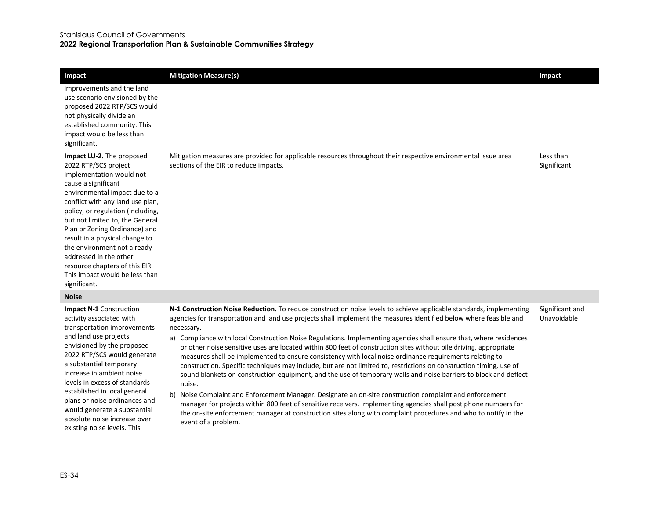#### Stanislaus Council of Governments

 $\begin{array}{c} \hline \end{array}$ 

#### **2022 Regional Transportation Plan & Sustainable Communities Strategy**

| Impact                                                                                                                                                                                                                                                                                                                                                                                                                                                            | <b>Mitigation Measure(s)</b>                                                                                                                                                                                                                                                                                                                                                                                                                                                                                                                                                                                                                                                                                                                                                                                                                                                                                                                                                                                                                                                                                                                                                                                                                | Impact                         |
|-------------------------------------------------------------------------------------------------------------------------------------------------------------------------------------------------------------------------------------------------------------------------------------------------------------------------------------------------------------------------------------------------------------------------------------------------------------------|---------------------------------------------------------------------------------------------------------------------------------------------------------------------------------------------------------------------------------------------------------------------------------------------------------------------------------------------------------------------------------------------------------------------------------------------------------------------------------------------------------------------------------------------------------------------------------------------------------------------------------------------------------------------------------------------------------------------------------------------------------------------------------------------------------------------------------------------------------------------------------------------------------------------------------------------------------------------------------------------------------------------------------------------------------------------------------------------------------------------------------------------------------------------------------------------------------------------------------------------|--------------------------------|
| improvements and the land<br>use scenario envisioned by the<br>proposed 2022 RTP/SCS would<br>not physically divide an<br>established community. This<br>impact would be less than<br>significant.                                                                                                                                                                                                                                                                |                                                                                                                                                                                                                                                                                                                                                                                                                                                                                                                                                                                                                                                                                                                                                                                                                                                                                                                                                                                                                                                                                                                                                                                                                                             |                                |
| Impact LU-2. The proposed<br>2022 RTP/SCS project<br>implementation would not<br>cause a significant<br>environmental impact due to a<br>conflict with any land use plan,<br>policy, or regulation (including,<br>but not limited to, the General<br>Plan or Zoning Ordinance) and<br>result in a physical change to<br>the environment not already<br>addressed in the other<br>resource chapters of this EIR.<br>This impact would be less than<br>significant. | Mitigation measures are provided for applicable resources throughout their respective environmental issue area<br>sections of the EIR to reduce impacts.                                                                                                                                                                                                                                                                                                                                                                                                                                                                                                                                                                                                                                                                                                                                                                                                                                                                                                                                                                                                                                                                                    | Less than<br>Significant       |
| <b>Noise</b>                                                                                                                                                                                                                                                                                                                                                                                                                                                      |                                                                                                                                                                                                                                                                                                                                                                                                                                                                                                                                                                                                                                                                                                                                                                                                                                                                                                                                                                                                                                                                                                                                                                                                                                             |                                |
| <b>Impact N-1 Construction</b><br>activity associated with<br>transportation improvements<br>and land use projects<br>envisioned by the proposed<br>2022 RTP/SCS would generate<br>a substantial temporary<br>increase in ambient noise<br>levels in excess of standards<br>established in local general<br>plans or noise ordinances and<br>would generate a substantial<br>absolute noise increase over<br>existing noise levels. This                          | N-1 Construction Noise Reduction. To reduce construction noise levels to achieve applicable standards, implementing<br>agencies for transportation and land use projects shall implement the measures identified below where feasible and<br>necessary.<br>a) Compliance with local Construction Noise Regulations. Implementing agencies shall ensure that, where residences<br>or other noise sensitive uses are located within 800 feet of construction sites without pile driving, appropriate<br>measures shall be implemented to ensure consistency with local noise ordinance requirements relating to<br>construction. Specific techniques may include, but are not limited to, restrictions on construction timing, use of<br>sound blankets on construction equipment, and the use of temporary walls and noise barriers to block and deflect<br>noise.<br>Noise Complaint and Enforcement Manager. Designate an on-site construction complaint and enforcement<br>b)<br>manager for projects within 800 feet of sensitive receivers. Implementing agencies shall post phone numbers for<br>the on-site enforcement manager at construction sites along with complaint procedures and who to notify in the<br>event of a problem. | Significant and<br>Unavoidable |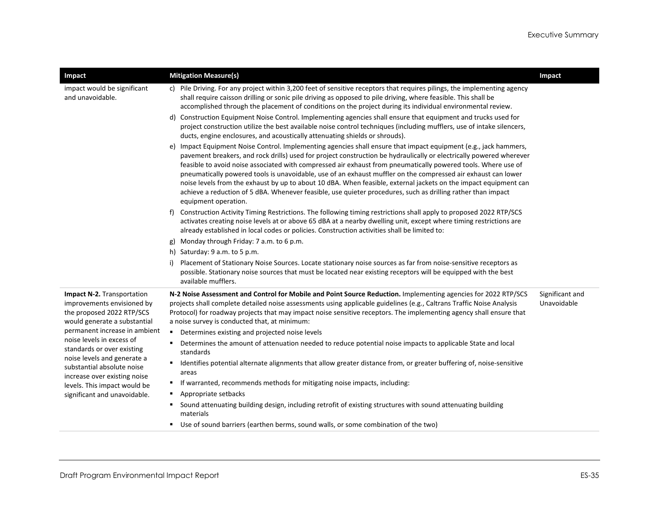| Impact                                                                                                                                                 | <b>Mitigation Measure(s)</b>                                                                                                                                                                                                                                                                                                                                                                                                                                                                                                                                                                                                                                                                                                                                                                                                                                                                                                                                                                                                                                                                                                                                                                                                                                                                                                                                                                                                                                                                                                                                                                                                                                             | Impact                         |
|--------------------------------------------------------------------------------------------------------------------------------------------------------|--------------------------------------------------------------------------------------------------------------------------------------------------------------------------------------------------------------------------------------------------------------------------------------------------------------------------------------------------------------------------------------------------------------------------------------------------------------------------------------------------------------------------------------------------------------------------------------------------------------------------------------------------------------------------------------------------------------------------------------------------------------------------------------------------------------------------------------------------------------------------------------------------------------------------------------------------------------------------------------------------------------------------------------------------------------------------------------------------------------------------------------------------------------------------------------------------------------------------------------------------------------------------------------------------------------------------------------------------------------------------------------------------------------------------------------------------------------------------------------------------------------------------------------------------------------------------------------------------------------------------------------------------------------------------|--------------------------------|
| impact would be significant<br>and unavoidable.                                                                                                        | c) Pile Driving. For any project within 3,200 feet of sensitive receptors that requires pilings, the implementing agency<br>shall require caisson drilling or sonic pile driving as opposed to pile driving, where feasible. This shall be<br>accomplished through the placement of conditions on the project during its individual environmental review.<br>d) Construction Equipment Noise Control. Implementing agencies shall ensure that equipment and trucks used for<br>project construction utilize the best available noise control techniques (including mufflers, use of intake silencers,<br>ducts, engine enclosures, and acoustically attenuating shields or shrouds).<br>e) Impact Equipment Noise Control. Implementing agencies shall ensure that impact equipment (e.g., jack hammers,<br>pavement breakers, and rock drills) used for project construction be hydraulically or electrically powered wherever<br>feasible to avoid noise associated with compressed air exhaust from pneumatically powered tools. Where use of<br>pneumatically powered tools is unavoidable, use of an exhaust muffler on the compressed air exhaust can lower<br>noise levels from the exhaust by up to about 10 dBA. When feasible, external jackets on the impact equipment can<br>achieve a reduction of 5 dBA. Whenever feasible, use quieter procedures, such as drilling rather than impact<br>equipment operation.<br>Construction Activity Timing Restrictions. The following timing restrictions shall apply to proposed 2022 RTP/SCS<br>activates creating noise levels at or above 65 dBA at a nearby dwelling unit, except where timing restrictions are |                                |
|                                                                                                                                                        | already established in local codes or policies. Construction activities shall be limited to:                                                                                                                                                                                                                                                                                                                                                                                                                                                                                                                                                                                                                                                                                                                                                                                                                                                                                                                                                                                                                                                                                                                                                                                                                                                                                                                                                                                                                                                                                                                                                                             |                                |
|                                                                                                                                                        | g) Monday through Friday: 7 a.m. to 6 p.m.                                                                                                                                                                                                                                                                                                                                                                                                                                                                                                                                                                                                                                                                                                                                                                                                                                                                                                                                                                                                                                                                                                                                                                                                                                                                                                                                                                                                                                                                                                                                                                                                                               |                                |
|                                                                                                                                                        | h) Saturday: 9 a.m. to 5 p.m.<br>Placement of Stationary Noise Sources. Locate stationary noise sources as far from noise-sensitive receptors as<br>i)<br>possible. Stationary noise sources that must be located near existing receptors will be equipped with the best<br>available mufflers.                                                                                                                                                                                                                                                                                                                                                                                                                                                                                                                                                                                                                                                                                                                                                                                                                                                                                                                                                                                                                                                                                                                                                                                                                                                                                                                                                                          |                                |
| Impact N-2. Transportation<br>improvements envisioned by<br>the proposed 2022 RTP/SCS<br>would generate a substantial<br>permanent increase in ambient | N-2 Noise Assessment and Control for Mobile and Point Source Reduction. Implementing agencies for 2022 RTP/SCS<br>projects shall complete detailed noise assessments using applicable guidelines (e.g., Caltrans Traffic Noise Analysis<br>Protocol) for roadway projects that may impact noise sensitive receptors. The implementing agency shall ensure that<br>a noise survey is conducted that, at minimum:                                                                                                                                                                                                                                                                                                                                                                                                                                                                                                                                                                                                                                                                                                                                                                                                                                                                                                                                                                                                                                                                                                                                                                                                                                                          | Significant and<br>Unavoidable |
| noise levels in excess of                                                                                                                              | $\blacksquare$<br>Determines existing and projected noise levels                                                                                                                                                                                                                                                                                                                                                                                                                                                                                                                                                                                                                                                                                                                                                                                                                                                                                                                                                                                                                                                                                                                                                                                                                                                                                                                                                                                                                                                                                                                                                                                                         |                                |
| standards or over existing<br>noise levels and generate a                                                                                              | Determines the amount of attenuation needed to reduce potential noise impacts to applicable State and local<br>٠<br>standards<br>Identifies potential alternate alignments that allow greater distance from, or greater buffering of, noise-sensitive<br>٠                                                                                                                                                                                                                                                                                                                                                                                                                                                                                                                                                                                                                                                                                                                                                                                                                                                                                                                                                                                                                                                                                                                                                                                                                                                                                                                                                                                                               |                                |
| substantial absolute noise<br>increase over existing noise                                                                                             | areas                                                                                                                                                                                                                                                                                                                                                                                                                                                                                                                                                                                                                                                                                                                                                                                                                                                                                                                                                                                                                                                                                                                                                                                                                                                                                                                                                                                                                                                                                                                                                                                                                                                                    |                                |
| levels. This impact would be                                                                                                                           | If warranted, recommends methods for mitigating noise impacts, including:<br>٠                                                                                                                                                                                                                                                                                                                                                                                                                                                                                                                                                                                                                                                                                                                                                                                                                                                                                                                                                                                                                                                                                                                                                                                                                                                                                                                                                                                                                                                                                                                                                                                           |                                |
| significant and unavoidable.                                                                                                                           | Appropriate setbacks                                                                                                                                                                                                                                                                                                                                                                                                                                                                                                                                                                                                                                                                                                                                                                                                                                                                                                                                                                                                                                                                                                                                                                                                                                                                                                                                                                                                                                                                                                                                                                                                                                                     |                                |
|                                                                                                                                                        | Sound attenuating building design, including retrofit of existing structures with sound attenuating building<br>٠<br>materials                                                                                                                                                                                                                                                                                                                                                                                                                                                                                                                                                                                                                                                                                                                                                                                                                                                                                                                                                                                                                                                                                                                                                                                                                                                                                                                                                                                                                                                                                                                                           |                                |
|                                                                                                                                                        | " Use of sound barriers (earthen berms, sound walls, or some combination of the two)                                                                                                                                                                                                                                                                                                                                                                                                                                                                                                                                                                                                                                                                                                                                                                                                                                                                                                                                                                                                                                                                                                                                                                                                                                                                                                                                                                                                                                                                                                                                                                                     |                                |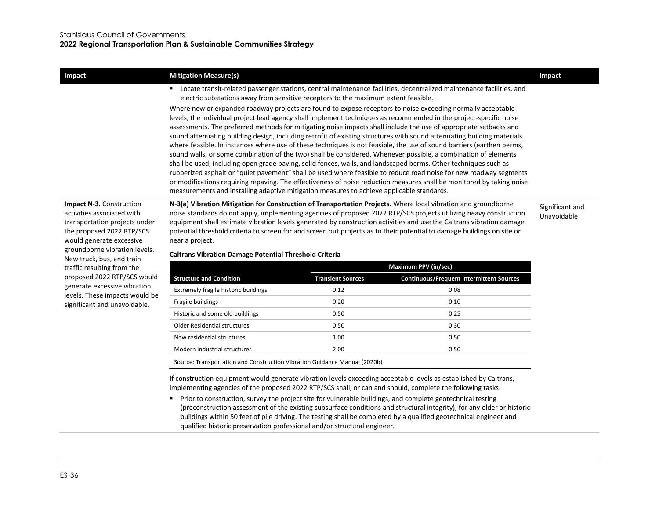| Impact                                                                                                                                                                                                                | <b>Mitigation Measure(s)</b>                                                                                                                                                                                                                                                                                                                                                                                                                                                                                                                                                                                                                                                                                                                                                                                                                                                                                                                                                                                                                                                                                                                                                              | Impact                         |
|-----------------------------------------------------------------------------------------------------------------------------------------------------------------------------------------------------------------------|-------------------------------------------------------------------------------------------------------------------------------------------------------------------------------------------------------------------------------------------------------------------------------------------------------------------------------------------------------------------------------------------------------------------------------------------------------------------------------------------------------------------------------------------------------------------------------------------------------------------------------------------------------------------------------------------------------------------------------------------------------------------------------------------------------------------------------------------------------------------------------------------------------------------------------------------------------------------------------------------------------------------------------------------------------------------------------------------------------------------------------------------------------------------------------------------|--------------------------------|
|                                                                                                                                                                                                                       | Locate transit-related passenger stations, central maintenance facilities, decentralized maintenance facilities, and<br>electric substations away from sensitive receptors to the maximum extent feasible.                                                                                                                                                                                                                                                                                                                                                                                                                                                                                                                                                                                                                                                                                                                                                                                                                                                                                                                                                                                |                                |
|                                                                                                                                                                                                                       | Where new or expanded roadway projects are found to expose receptors to noise exceeding normally acceptable<br>levels, the individual project lead agency shall implement techniques as recommended in the project-specific noise<br>assessments. The preferred methods for mitigating noise impacts shall include the use of appropriate setbacks and<br>sound attenuating building design, including retrofit of existing structures with sound attenuating building materials<br>where feasible. In instances where use of these techniques is not feasible, the use of sound barriers (earthen berms,<br>sound walls, or some combination of the two) shall be considered. Whenever possible, a combination of elements<br>shall be used, including open grade paving, solid fences, walls, and landscaped berms. Other techniques such as<br>rubberized asphalt or "quiet pavement" shall be used where feasible to reduce road noise for new roadway segments<br>or modifications requiring repaving. The effectiveness of noise reduction measures shall be monitored by taking noise<br>measurements and installing adaptive mitigation measures to achieve applicable standards. |                                |
| <b>Impact N-3.</b> Construction<br>activities associated with<br>transportation projects under<br>the proposed 2022 RTP/SCS<br>would generate excessive<br>groundborne vibration levels.<br>New truck, bus, and train | N-3(a) Vibration Mitigation for Construction of Transportation Projects. Where local vibration and groundborne<br>noise standards do not apply, implementing agencies of proposed 2022 RTP/SCS projects utilizing heavy construction<br>equipment shall estimate vibration levels generated by construction activities and use the Caltrans vibration damage<br>potential threshold criteria to screen for and screen out projects as to their potential to damage buildings on site or<br>near a project.<br><b>Caltrans Vibration Damage Potential Threshold Criteria</b>                                                                                                                                                                                                                                                                                                                                                                                                                                                                                                                                                                                                               | Significant and<br>Unavoidable |
| traffic resulting from the                                                                                                                                                                                            | <b>Maximum PPV (in/sec)</b>                                                                                                                                                                                                                                                                                                                                                                                                                                                                                                                                                                                                                                                                                                                                                                                                                                                                                                                                                                                                                                                                                                                                                               |                                |
|                                                                                                                                                                                                                       |                                                                                                                                                                                                                                                                                                                                                                                                                                                                                                                                                                                                                                                                                                                                                                                                                                                                                                                                                                                                                                                                                                                                                                                           |                                |

groundborne vibration levels. New truck, bus, and train traffic resulting from the proposed 2022 RTP/SCS would generate excessive vibration levels. These impacts would be significant and unavoidable.

**Structure and Condition Transient Sources Continuous/Frequent Intermittent Sources** Extremely fragile historic buildings 6.12 0.08 0.12 0.08 Fragile buildings 0.20 0.10 Historic and some old buildings and the control of the control of the control of the control of the control of the control of the control of the control of the control of the control of the control of the control of the co Older Residential structures 0.50 0.30 New residential structures and the control of the control of the control of the control of the control of the control of the control of the control of the control of the control of the control of the control of the control Modern industrial structures and the control of the control of the control of the control of the control of the control of the control of the control of the control of the control of the control of the control of the contr Source: Transportation and Construction Vibration Guidance Manual (2020b)

If construction equipment would generate vibration levels exceeding acceptable levels as established by Caltrans, implementing agencies of the proposed 2022 RTP/SCS shall, or can and should, complete the following tasks:

**Prior to construction, survey the project site for vulnerable buildings, and complete geotechnical testing** (preconstruction assessment of the existing subsurface conditions and structural integrity), for any older or historic buildings within 50 feet of pile driving. The testing shall be completed by a qualified geotechnical engineer and qualified historic preservation professional and/or structural engineer.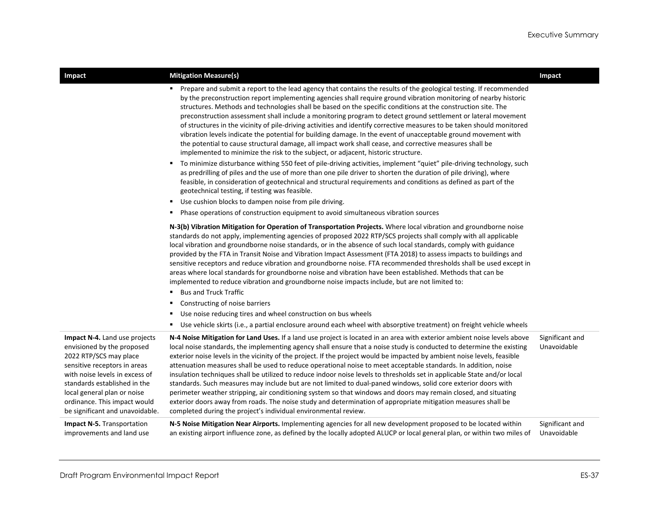| Impact                                                                                                                                                                                                                                                                                    | <b>Mitigation Measure(s)</b>                                                                                                                                                                                                                                                                                                                                                                                                                                                                                                                                                                                                                                                                                                                                                                                                                                                                                                                                                                                                                                                                                                                                                                                                                                                                                                                                                                                                                                                                       | Impact                         |
|-------------------------------------------------------------------------------------------------------------------------------------------------------------------------------------------------------------------------------------------------------------------------------------------|----------------------------------------------------------------------------------------------------------------------------------------------------------------------------------------------------------------------------------------------------------------------------------------------------------------------------------------------------------------------------------------------------------------------------------------------------------------------------------------------------------------------------------------------------------------------------------------------------------------------------------------------------------------------------------------------------------------------------------------------------------------------------------------------------------------------------------------------------------------------------------------------------------------------------------------------------------------------------------------------------------------------------------------------------------------------------------------------------------------------------------------------------------------------------------------------------------------------------------------------------------------------------------------------------------------------------------------------------------------------------------------------------------------------------------------------------------------------------------------------------|--------------------------------|
|                                                                                                                                                                                                                                                                                           | Prepare and submit a report to the lead agency that contains the results of the geological testing. If recommended<br>by the preconstruction report implementing agencies shall require ground vibration monitoring of nearby historic<br>structures. Methods and technologies shall be based on the specific conditions at the construction site. The<br>preconstruction assessment shall include a monitoring program to detect ground settlement or lateral movement<br>of structures in the vicinity of pile-driving activities and identify corrective measures to be taken should monitored<br>vibration levels indicate the potential for building damage. In the event of unacceptable ground movement with<br>the potential to cause structural damage, all impact work shall cease, and corrective measures shall be<br>implemented to minimize the risk to the subject, or adjacent, historic structure.<br>To minimize disturbance withing 550 feet of pile-driving activities, implement "quiet" pile-driving technology, such<br>٠<br>as predrilling of piles and the use of more than one pile driver to shorten the duration of pile driving), where<br>feasible, in consideration of geotechnical and structural requirements and conditions as defined as part of the<br>geotechnical testing, if testing was feasible.<br>Use cushion blocks to dampen noise from pile driving.<br>٠<br>Phase operations of construction equipment to avoid simultaneous vibration sources<br>٠ |                                |
|                                                                                                                                                                                                                                                                                           | N-3(b) Vibration Mitigation for Operation of Transportation Projects. Where local vibration and groundborne noise<br>standards do not apply, implementing agencies of proposed 2022 RTP/SCS projects shall comply with all applicable<br>local vibration and groundborne noise standards, or in the absence of such local standards, comply with guidance<br>provided by the FTA in Transit Noise and Vibration Impact Assessment (FTA 2018) to assess impacts to buildings and<br>sensitive receptors and reduce vibration and groundborne noise. FTA recommended thresholds shall be used except in<br>areas where local standards for groundborne noise and vibration have been established. Methods that can be<br>implemented to reduce vibration and groundborne noise impacts include, but are not limited to:<br><b>Bus and Truck Traffic</b><br>٠<br>Constructing of noise barriers<br>٠<br>Use noise reducing tires and wheel construction on bus wheels<br>٠<br>Use vehicle skirts (i.e., a partial enclosure around each wheel with absorptive treatment) on freight vehicle wheels<br>٠                                                                                                                                                                                                                                                                                                                                                                                               |                                |
| Impact N-4. Land use projects<br>envisioned by the proposed<br>2022 RTP/SCS may place<br>sensitive receptors in areas<br>with noise levels in excess of<br>standards established in the<br>local general plan or noise<br>ordinance. This impact would<br>be significant and unavoidable. | N-4 Noise Mitigation for Land Uses. If a land use project is located in an area with exterior ambient noise levels above<br>local noise standards, the implementing agency shall ensure that a noise study is conducted to determine the existing<br>exterior noise levels in the vicinity of the project. If the project would be impacted by ambient noise levels, feasible<br>attenuation measures shall be used to reduce operational noise to meet acceptable standards. In addition, noise<br>insulation techniques shall be utilized to reduce indoor noise levels to thresholds set in applicable State and/or local<br>standards. Such measures may include but are not limited to dual-paned windows, solid core exterior doors with<br>perimeter weather stripping, air conditioning system so that windows and doors may remain closed, and situating<br>exterior doors away from roads. The noise study and determination of appropriate mitigation measures shall be<br>completed during the project's individual environmental review.                                                                                                                                                                                                                                                                                                                                                                                                                                              | Significant and<br>Unavoidable |
| <b>Impact N-5.</b> Transportation<br>improvements and land use                                                                                                                                                                                                                            | N-5 Noise Mitigation Near Airports. Implementing agencies for all new development proposed to be located within<br>an existing airport influence zone, as defined by the locally adopted ALUCP or local general plan, or within two miles of                                                                                                                                                                                                                                                                                                                                                                                                                                                                                                                                                                                                                                                                                                                                                                                                                                                                                                                                                                                                                                                                                                                                                                                                                                                       | Significant and<br>Unavoidable |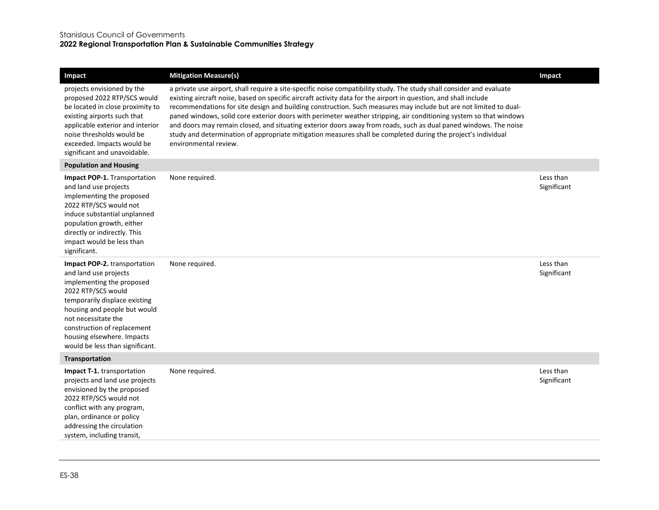| Impact                                                                                                                                                                                                                                                                                           | <b>Mitigation Measure(s)</b>                                                                                                                                                                                                                                                                                                                                                                                                                                                                                                                                                                                                                                                                                                                       | Impact                   |
|--------------------------------------------------------------------------------------------------------------------------------------------------------------------------------------------------------------------------------------------------------------------------------------------------|----------------------------------------------------------------------------------------------------------------------------------------------------------------------------------------------------------------------------------------------------------------------------------------------------------------------------------------------------------------------------------------------------------------------------------------------------------------------------------------------------------------------------------------------------------------------------------------------------------------------------------------------------------------------------------------------------------------------------------------------------|--------------------------|
| projects envisioned by the<br>proposed 2022 RTP/SCS would<br>be located in close proximity to<br>existing airports such that<br>applicable exterior and interior<br>noise thresholds would be<br>exceeded. Impacts would be<br>significant and unavoidable.                                      | a private use airport, shall require a site-specific noise compatibility study. The study shall consider and evaluate<br>existing aircraft noise, based on specific aircraft activity data for the airport in question, and shall include<br>recommendations for site design and building construction. Such measures may include but are not limited to dual-<br>paned windows, solid core exterior doors with perimeter weather stripping, air conditioning system so that windows<br>and doors may remain closed, and situating exterior doors away from roads, such as dual paned windows. The noise<br>study and determination of appropriate mitigation measures shall be completed during the project's individual<br>environmental review. |                          |
| <b>Population and Housing</b>                                                                                                                                                                                                                                                                    |                                                                                                                                                                                                                                                                                                                                                                                                                                                                                                                                                                                                                                                                                                                                                    |                          |
| <b>Impact POP-1.</b> Transportation<br>and land use projects<br>implementing the proposed<br>2022 RTP/SCS would not<br>induce substantial unplanned<br>population growth, either<br>directly or indirectly. This<br>impact would be less than<br>significant.                                    | None required.                                                                                                                                                                                                                                                                                                                                                                                                                                                                                                                                                                                                                                                                                                                                     | Less than<br>Significant |
| Impact POP-2. transportation<br>and land use projects<br>implementing the proposed<br>2022 RTP/SCS would<br>temporarily displace existing<br>housing and people but would<br>not necessitate the<br>construction of replacement<br>housing elsewhere. Impacts<br>would be less than significant. | None required.                                                                                                                                                                                                                                                                                                                                                                                                                                                                                                                                                                                                                                                                                                                                     | Less than<br>Significant |
| Transportation                                                                                                                                                                                                                                                                                   |                                                                                                                                                                                                                                                                                                                                                                                                                                                                                                                                                                                                                                                                                                                                                    |                          |
| Impact T-1. transportation<br>projects and land use projects<br>envisioned by the proposed<br>2022 RTP/SCS would not<br>conflict with any program,<br>plan, ordinance or policy<br>addressing the circulation<br>system, including transit,                                                      | None required.                                                                                                                                                                                                                                                                                                                                                                                                                                                                                                                                                                                                                                                                                                                                     | Less than<br>Significant |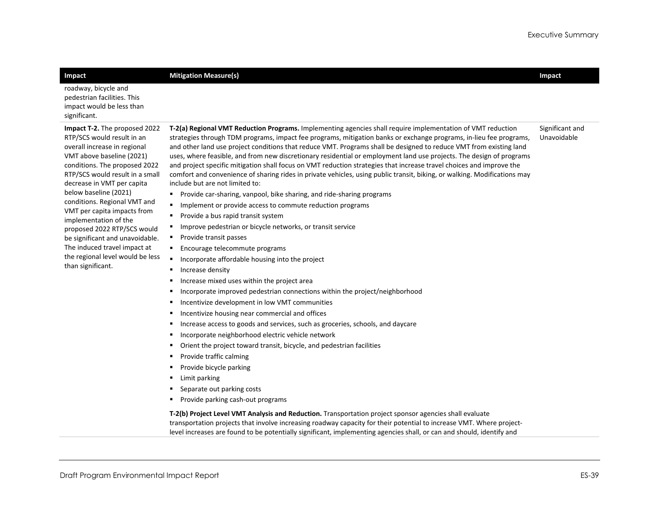| Impact                                                                                                                                                                                                                                                                                                                                                                                                                                                                                                 | <b>Mitigation Measure(s)</b>                                                                                                                                                                                                                                                                                                                                                                                                                                                                                                                                                                                                                                                                                                                                                                                                                                                                                                                                                                                                                                                                                                                                                                                                                                                                                                                                                                                                                                                                                                                                                                                                                                                                                                                                                                                                                                                                                                                                                                                                                                                                                                                                                                                              | Impact                         |
|--------------------------------------------------------------------------------------------------------------------------------------------------------------------------------------------------------------------------------------------------------------------------------------------------------------------------------------------------------------------------------------------------------------------------------------------------------------------------------------------------------|---------------------------------------------------------------------------------------------------------------------------------------------------------------------------------------------------------------------------------------------------------------------------------------------------------------------------------------------------------------------------------------------------------------------------------------------------------------------------------------------------------------------------------------------------------------------------------------------------------------------------------------------------------------------------------------------------------------------------------------------------------------------------------------------------------------------------------------------------------------------------------------------------------------------------------------------------------------------------------------------------------------------------------------------------------------------------------------------------------------------------------------------------------------------------------------------------------------------------------------------------------------------------------------------------------------------------------------------------------------------------------------------------------------------------------------------------------------------------------------------------------------------------------------------------------------------------------------------------------------------------------------------------------------------------------------------------------------------------------------------------------------------------------------------------------------------------------------------------------------------------------------------------------------------------------------------------------------------------------------------------------------------------------------------------------------------------------------------------------------------------------------------------------------------------------------------------------------------------|--------------------------------|
| roadway, bicycle and<br>pedestrian facilities. This<br>impact would be less than<br>significant.                                                                                                                                                                                                                                                                                                                                                                                                       |                                                                                                                                                                                                                                                                                                                                                                                                                                                                                                                                                                                                                                                                                                                                                                                                                                                                                                                                                                                                                                                                                                                                                                                                                                                                                                                                                                                                                                                                                                                                                                                                                                                                                                                                                                                                                                                                                                                                                                                                                                                                                                                                                                                                                           |                                |
| Impact T-2. The proposed 2022<br>RTP/SCS would result in an<br>overall increase in regional<br>VMT above baseline (2021)<br>conditions. The proposed 2022<br>RTP/SCS would result in a small<br>decrease in VMT per capita<br>below baseline (2021)<br>conditions. Regional VMT and<br>VMT per capita impacts from<br>implementation of the<br>proposed 2022 RTP/SCS would<br>be significant and unavoidable.<br>The induced travel impact at<br>the regional level would be less<br>than significant. | T-2(a) Regional VMT Reduction Programs. Implementing agencies shall require implementation of VMT reduction<br>strategies through TDM programs, impact fee programs, mitigation banks or exchange programs, in-lieu fee programs,<br>and other land use project conditions that reduce VMT. Programs shall be designed to reduce VMT from existing land<br>uses, where feasible, and from new discretionary residential or employment land use projects. The design of programs<br>and project specific mitigation shall focus on VMT reduction strategies that increase travel choices and improve the<br>comfort and convenience of sharing rides in private vehicles, using public transit, biking, or walking. Modifications may<br>include but are not limited to:<br>Provide car-sharing, vanpool, bike sharing, and ride-sharing programs<br>٠<br>Implement or provide access to commute reduction programs<br>٠<br>Provide a bus rapid transit system<br>٠<br>Improve pedestrian or bicycle networks, or transit service<br>Provide transit passes<br>٠<br>Encourage telecommute programs<br>٠<br>$\blacksquare$<br>Incorporate affordable housing into the project<br>٠<br>Increase density<br>Increase mixed uses within the project area<br>Е<br>Incorporate improved pedestrian connections within the project/neighborhood<br>٠<br>Incentivize development in low VMT communities<br>٠<br>Incentivize housing near commercial and offices<br>٠<br>Increase access to goods and services, such as groceries, schools, and daycare<br>٠<br>Incorporate neighborhood electric vehicle network<br>٠<br>Orient the project toward transit, bicycle, and pedestrian facilities<br>٠<br>Provide traffic calming<br>٠<br>Provide bicycle parking<br>٠<br>Limit parking<br>٠<br>Separate out parking costs<br>٠<br>Provide parking cash-out programs<br>٠<br>T-2(b) Project Level VMT Analysis and Reduction. Transportation project sponsor agencies shall evaluate<br>transportation projects that involve increasing roadway capacity for their potential to increase VMT. Where project-<br>level increases are found to be potentially significant, implementing agencies shall, or can and should, identify and | Significant and<br>Unavoidable |
|                                                                                                                                                                                                                                                                                                                                                                                                                                                                                                        |                                                                                                                                                                                                                                                                                                                                                                                                                                                                                                                                                                                                                                                                                                                                                                                                                                                                                                                                                                                                                                                                                                                                                                                                                                                                                                                                                                                                                                                                                                                                                                                                                                                                                                                                                                                                                                                                                                                                                                                                                                                                                                                                                                                                                           |                                |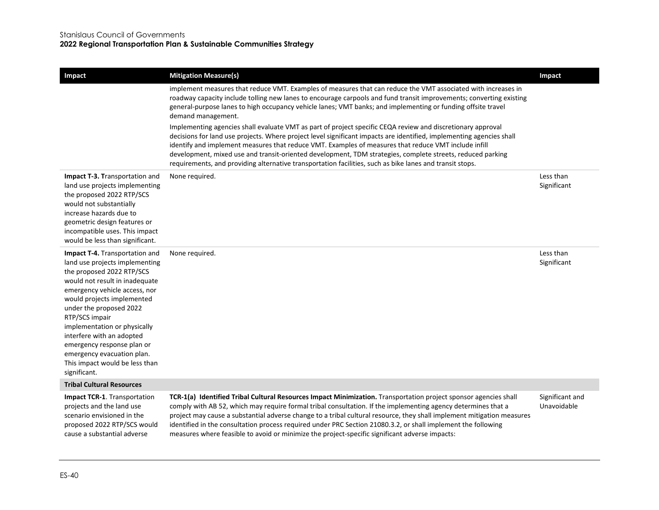| Impact                                                                                                                                                                                                                                                                                                                                                                                                                 | <b>Mitigation Measure(s)</b>                                                                                                                                                                                                                                                                                                                                                                                                                                                                                                                                                                                                                                                                                                                                                                                                                                                                                                                        | Impact                         |
|------------------------------------------------------------------------------------------------------------------------------------------------------------------------------------------------------------------------------------------------------------------------------------------------------------------------------------------------------------------------------------------------------------------------|-----------------------------------------------------------------------------------------------------------------------------------------------------------------------------------------------------------------------------------------------------------------------------------------------------------------------------------------------------------------------------------------------------------------------------------------------------------------------------------------------------------------------------------------------------------------------------------------------------------------------------------------------------------------------------------------------------------------------------------------------------------------------------------------------------------------------------------------------------------------------------------------------------------------------------------------------------|--------------------------------|
|                                                                                                                                                                                                                                                                                                                                                                                                                        | implement measures that reduce VMT. Examples of measures that can reduce the VMT associated with increases in<br>roadway capacity include tolling new lanes to encourage carpools and fund transit improvements; converting existing<br>general-purpose lanes to high occupancy vehicle lanes; VMT banks; and implementing or funding offsite travel<br>demand management.<br>Implementing agencies shall evaluate VMT as part of project specific CEQA review and discretionary approval<br>decisions for land use projects. Where project level significant impacts are identified, implementing agencies shall<br>identify and implement measures that reduce VMT. Examples of measures that reduce VMT include infill<br>development, mixed use and transit-oriented development, TDM strategies, complete streets, reduced parking<br>requirements, and providing alternative transportation facilities, such as bike lanes and transit stops. |                                |
| Impact T-3. Transportation and<br>land use projects implementing<br>the proposed 2022 RTP/SCS<br>would not substantially<br>increase hazards due to<br>geometric design features or<br>incompatible uses. This impact<br>would be less than significant.                                                                                                                                                               | None required.                                                                                                                                                                                                                                                                                                                                                                                                                                                                                                                                                                                                                                                                                                                                                                                                                                                                                                                                      | Less than<br>Significant       |
| Impact T-4. Transportation and<br>land use projects implementing<br>the proposed 2022 RTP/SCS<br>would not result in inadequate<br>emergency vehicle access, nor<br>would projects implemented<br>under the proposed 2022<br>RTP/SCS impair<br>implementation or physically<br>interfere with an adopted<br>emergency response plan or<br>emergency evacuation plan.<br>This impact would be less than<br>significant. | None required.                                                                                                                                                                                                                                                                                                                                                                                                                                                                                                                                                                                                                                                                                                                                                                                                                                                                                                                                      | Less than<br>Significant       |
| <b>Tribal Cultural Resources</b>                                                                                                                                                                                                                                                                                                                                                                                       |                                                                                                                                                                                                                                                                                                                                                                                                                                                                                                                                                                                                                                                                                                                                                                                                                                                                                                                                                     |                                |
| Impact TCR-1. Transportation<br>projects and the land use<br>scenario envisioned in the<br>proposed 2022 RTP/SCS would<br>cause a substantial adverse                                                                                                                                                                                                                                                                  | TCR-1(a) Identified Tribal Cultural Resources Impact Minimization. Transportation project sponsor agencies shall<br>comply with AB 52, which may require formal tribal consultation. If the implementing agency determines that a<br>project may cause a substantial adverse change to a tribal cultural resource, they shall implement mitigation measures<br>identified in the consultation process required under PRC Section 21080.3.2, or shall implement the following<br>measures where feasible to avoid or minimize the project-specific significant adverse impacts:                                                                                                                                                                                                                                                                                                                                                                      | Significant and<br>Unavoidable |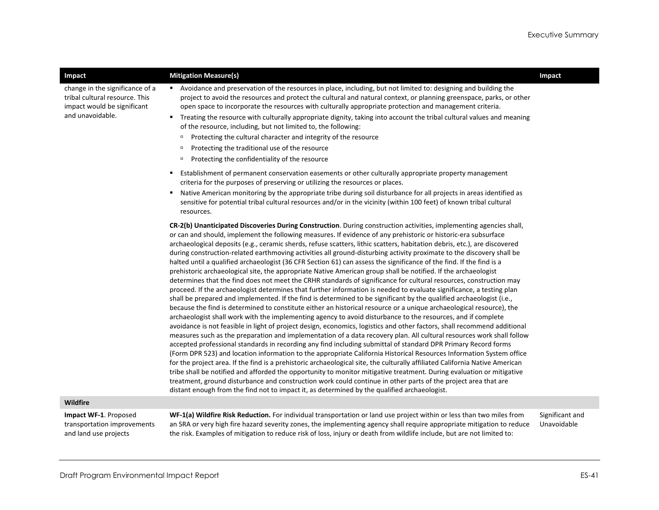| Impact                                                                                                               | <b>Mitigation Measure(s)</b>                                                                                                                                                                                                                                                                                                                                                                                                                                                                                                                                                                                                                                                                                                                                                                                                                                                                                                                                                                                                                                                                                                                                                                                                                                                                                                                                                                                                                                                                                                                                                                                                                                                                                                                                                                                                                                                                                                                                                                                                                                                                                                                                                                                                                                                                                                  | Impact                         |
|----------------------------------------------------------------------------------------------------------------------|-------------------------------------------------------------------------------------------------------------------------------------------------------------------------------------------------------------------------------------------------------------------------------------------------------------------------------------------------------------------------------------------------------------------------------------------------------------------------------------------------------------------------------------------------------------------------------------------------------------------------------------------------------------------------------------------------------------------------------------------------------------------------------------------------------------------------------------------------------------------------------------------------------------------------------------------------------------------------------------------------------------------------------------------------------------------------------------------------------------------------------------------------------------------------------------------------------------------------------------------------------------------------------------------------------------------------------------------------------------------------------------------------------------------------------------------------------------------------------------------------------------------------------------------------------------------------------------------------------------------------------------------------------------------------------------------------------------------------------------------------------------------------------------------------------------------------------------------------------------------------------------------------------------------------------------------------------------------------------------------------------------------------------------------------------------------------------------------------------------------------------------------------------------------------------------------------------------------------------------------------------------------------------------------------------------------------------|--------------------------------|
| change in the significance of a<br>tribal cultural resource. This<br>impact would be significant<br>and unavoidable. | Avoidance and preservation of the resources in place, including, but not limited to: designing and building the<br>project to avoid the resources and protect the cultural and natural context, or planning greenspace, parks, or other<br>open space to incorporate the resources with culturally appropriate protection and management criteria.<br>" Treating the resource with culturally appropriate dignity, taking into account the tribal cultural values and meaning<br>of the resource, including, but not limited to, the following:<br>Protecting the cultural character and integrity of the resource<br>$\Box$<br>Protecting the traditional use of the resource<br>$\Box$<br>Protecting the confidentiality of the resource<br>$\Box$                                                                                                                                                                                                                                                                                                                                                                                                                                                                                                                                                                                                                                                                                                                                                                                                                                                                                                                                                                                                                                                                                                                                                                                                                                                                                                                                                                                                                                                                                                                                                                          |                                |
|                                                                                                                      | Establishment of permanent conservation easements or other culturally appropriate property management<br>٠<br>criteria for the purposes of preserving or utilizing the resources or places.<br>Native American monitoring by the appropriate tribe during soil disturbance for all projects in areas identified as<br>٠<br>sensitive for potential tribal cultural resources and/or in the vicinity (within 100 feet) of known tribal cultural<br>resources.                                                                                                                                                                                                                                                                                                                                                                                                                                                                                                                                                                                                                                                                                                                                                                                                                                                                                                                                                                                                                                                                                                                                                                                                                                                                                                                                                                                                                                                                                                                                                                                                                                                                                                                                                                                                                                                                  |                                |
|                                                                                                                      | CR-2(b) Unanticipated Discoveries During Construction. During construction activities, implementing agencies shall,<br>or can and should, implement the following measures. If evidence of any prehistoric or historic-era subsurface<br>archaeological deposits (e.g., ceramic sherds, refuse scatters, lithic scatters, habitation debris, etc.), are discovered<br>during construction-related earthmoving activities all ground-disturbing activity proximate to the discovery shall be<br>halted until a qualified archaeologist (36 CFR Section 61) can assess the significance of the find. If the find is a<br>prehistoric archaeological site, the appropriate Native American group shall be notified. If the archaeologist<br>determines that the find does not meet the CRHR standards of significance for cultural resources, construction may<br>proceed. If the archaeologist determines that further information is needed to evaluate significance, a testing plan<br>shall be prepared and implemented. If the find is determined to be significant by the qualified archaeologist (i.e.,<br>because the find is determined to constitute either an historical resource or a unique archaeological resource), the<br>archaeologist shall work with the implementing agency to avoid disturbance to the resources, and if complete<br>avoidance is not feasible in light of project design, economics, logistics and other factors, shall recommend additional<br>measures such as the preparation and implementation of a data recovery plan. All cultural resources work shall follow<br>accepted professional standards in recording any find including submittal of standard DPR Primary Record forms<br>(Form DPR 523) and location information to the appropriate California Historical Resources Information System office<br>for the project area. If the find is a prehistoric archaeological site, the culturally affiliated California Native American<br>tribe shall be notified and afforded the opportunity to monitor mitigative treatment. During evaluation or mitigative<br>treatment, ground disturbance and construction work could continue in other parts of the project area that are<br>distant enough from the find not to impact it, as determined by the qualified archaeologist. |                                |
| Wildfire                                                                                                             |                                                                                                                                                                                                                                                                                                                                                                                                                                                                                                                                                                                                                                                                                                                                                                                                                                                                                                                                                                                                                                                                                                                                                                                                                                                                                                                                                                                                                                                                                                                                                                                                                                                                                                                                                                                                                                                                                                                                                                                                                                                                                                                                                                                                                                                                                                                               |                                |
| Impact WF-1. Proposed<br>transportation improvements                                                                 | WF-1(a) Wildfire Risk Reduction. For individual transportation or land use project within or less than two miles from<br>an SRA or very high fire hazard severity zones, the implementing agency shall require appropriate mitigation to reduce                                                                                                                                                                                                                                                                                                                                                                                                                                                                                                                                                                                                                                                                                                                                                                                                                                                                                                                                                                                                                                                                                                                                                                                                                                                                                                                                                                                                                                                                                                                                                                                                                                                                                                                                                                                                                                                                                                                                                                                                                                                                               | Significant and<br>Unavoidable |

the risk. Examples of mitigation to reduce risk of loss, injury or death from wildlife include, but are not limited to:

and land use projects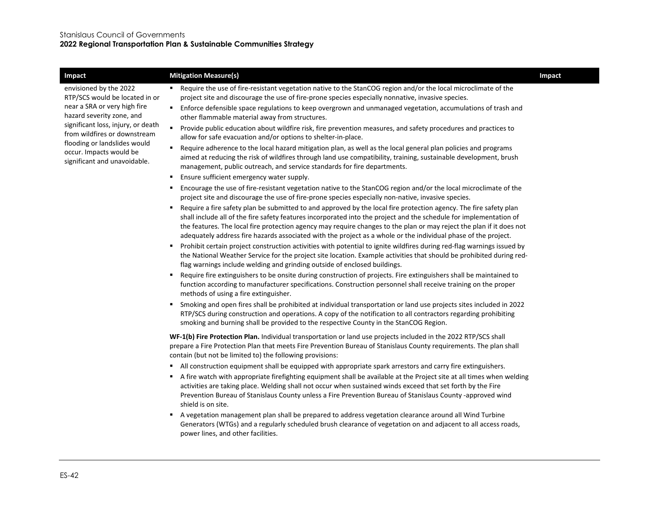| Impact                                                                                  | <b>Mitigation Measure(s)</b>                                                                                                                                                                                                                                                                                                                                                                                                                                                        | Impact |
|-----------------------------------------------------------------------------------------|-------------------------------------------------------------------------------------------------------------------------------------------------------------------------------------------------------------------------------------------------------------------------------------------------------------------------------------------------------------------------------------------------------------------------------------------------------------------------------------|--------|
| envisioned by the 2022<br>RTP/SCS would be located in or                                | " Require the use of fire-resistant vegetation native to the StanCOG region and/or the local microclimate of the<br>project site and discourage the use of fire-prone species especially nonnative, invasive species.                                                                                                                                                                                                                                                               |        |
| near a SRA or very high fire<br>hazard severity zone, and                               | Enforce defensible space regulations to keep overgrown and unmanaged vegetation, accumulations of trash and<br>$\blacksquare$<br>other flammable material away from structures.                                                                                                                                                                                                                                                                                                     |        |
| significant loss, injury, or death<br>from wildfires or downstream                      | $\blacksquare$<br>Provide public education about wildfire risk, fire prevention measures, and safety procedures and practices to<br>allow for safe evacuation and/or options to shelter-in-place.                                                                                                                                                                                                                                                                                   |        |
| flooding or landslides would<br>occur. Impacts would be<br>significant and unavoidable. | Require adherence to the local hazard mitigation plan, as well as the local general plan policies and programs<br>٠<br>aimed at reducing the risk of wildfires through land use compatibility, training, sustainable development, brush<br>management, public outreach, and service standards for fire departments.                                                                                                                                                                 |        |
|                                                                                         | Ensure sufficient emergency water supply.<br>٠                                                                                                                                                                                                                                                                                                                                                                                                                                      |        |
|                                                                                         | Encourage the use of fire-resistant vegetation native to the StanCOG region and/or the local microclimate of the<br>project site and discourage the use of fire-prone species especially non-native, invasive species.                                                                                                                                                                                                                                                              |        |
|                                                                                         | " Require a fire safety plan be submitted to and approved by the local fire protection agency. The fire safety plan<br>shall include all of the fire safety features incorporated into the project and the schedule for implementation of<br>the features. The local fire protection agency may require changes to the plan or may reject the plan if it does not<br>adequately address fire hazards associated with the project as a whole or the individual phase of the project. |        |
|                                                                                         | Prohibit certain project construction activities with potential to ignite wildfires during red-flag warnings issued by<br>٠<br>the National Weather Service for the project site location. Example activities that should be prohibited during red-<br>flag warnings include welding and grinding outside of enclosed buildings.                                                                                                                                                    |        |
|                                                                                         | Require fire extinguishers to be onsite during construction of projects. Fire extinguishers shall be maintained to<br>٠<br>function according to manufacturer specifications. Construction personnel shall receive training on the proper<br>methods of using a fire extinguisher.                                                                                                                                                                                                  |        |
|                                                                                         | Smoking and open fires shall be prohibited at individual transportation or land use projects sites included in 2022<br>٠<br>RTP/SCS during construction and operations. A copy of the notification to all contractors regarding prohibiting<br>smoking and burning shall be provided to the respective County in the StanCOG Region.                                                                                                                                                |        |
|                                                                                         | WF-1(b) Fire Protection Plan. Individual transportation or land use projects included in the 2022 RTP/SCS shall<br>prepare a Fire Protection Plan that meets Fire Prevention Bureau of Stanislaus County requirements. The plan shall<br>contain (but not be limited to) the following provisions:                                                                                                                                                                                  |        |
|                                                                                         | All construction equipment shall be equipped with appropriate spark arrestors and carry fire extinguishers.<br>٠                                                                                                                                                                                                                                                                                                                                                                    |        |
|                                                                                         | A fire watch with appropriate firefighting equipment shall be available at the Project site at all times when welding<br>٠<br>activities are taking place. Welding shall not occur when sustained winds exceed that set forth by the Fire<br>Prevention Bureau of Stanislaus County unless a Fire Prevention Bureau of Stanislaus County -approved wind<br>shield is on site.                                                                                                       |        |
|                                                                                         | A vegetation management plan shall be prepared to address vegetation clearance around all Wind Turbine<br>٠<br>Generators (WTGs) and a regularly scheduled brush clearance of vegetation on and adjacent to all access roads,<br>power lines, and other facilities.                                                                                                                                                                                                                 |        |
|                                                                                         |                                                                                                                                                                                                                                                                                                                                                                                                                                                                                     |        |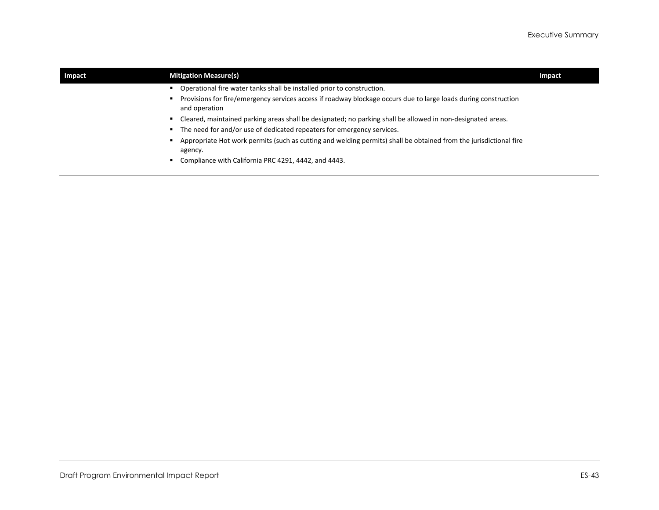| Impact | <b>Mitigation Measure(s)</b>                                                                                                     | Impact |
|--------|----------------------------------------------------------------------------------------------------------------------------------|--------|
|        | Operational fire water tanks shall be installed prior to construction.                                                           |        |
|        | Provisions for fire/emergency services access if roadway blockage occurs due to large loads during construction<br>and operation |        |
|        | Cleared, maintained parking areas shall be designated; no parking shall be allowed in non-designated areas.                      |        |
|        | The need for and/or use of dedicated repeaters for emergency services.                                                           |        |
|        | Appropriate Hot work permits (such as cutting and welding permits) shall be obtained from the jurisdictional fire<br>agency.     |        |
|        | Compliance with California PRC 4291, 4442, and 4443.                                                                             |        |